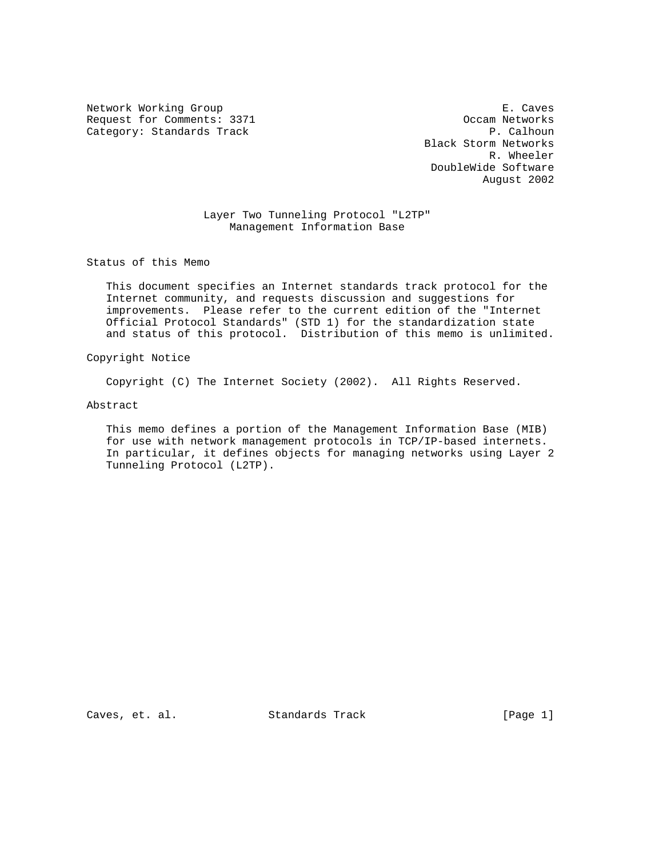Network Working Group **E. Caves** E. Caves Request for Comments: 3371 Occam Networks<br>
Category: Standards Track Category: Standards Track Category: Standards Track

 Black Storm Networks R. Wheeler DoubleWide Software August 2002

 Layer Two Tunneling Protocol "L2TP" Management Information Base

Status of this Memo

 This document specifies an Internet standards track protocol for the Internet community, and requests discussion and suggestions for improvements. Please refer to the current edition of the "Internet Official Protocol Standards" (STD 1) for the standardization state and status of this protocol. Distribution of this memo is unlimited.

Copyright Notice

Copyright (C) The Internet Society (2002). All Rights Reserved.

Abstract

 This memo defines a portion of the Management Information Base (MIB) for use with network management protocols in TCP/IP-based internets. In particular, it defines objects for managing networks using Layer 2 Tunneling Protocol (L2TP).

Caves, et. al. Standards Track [Page 1]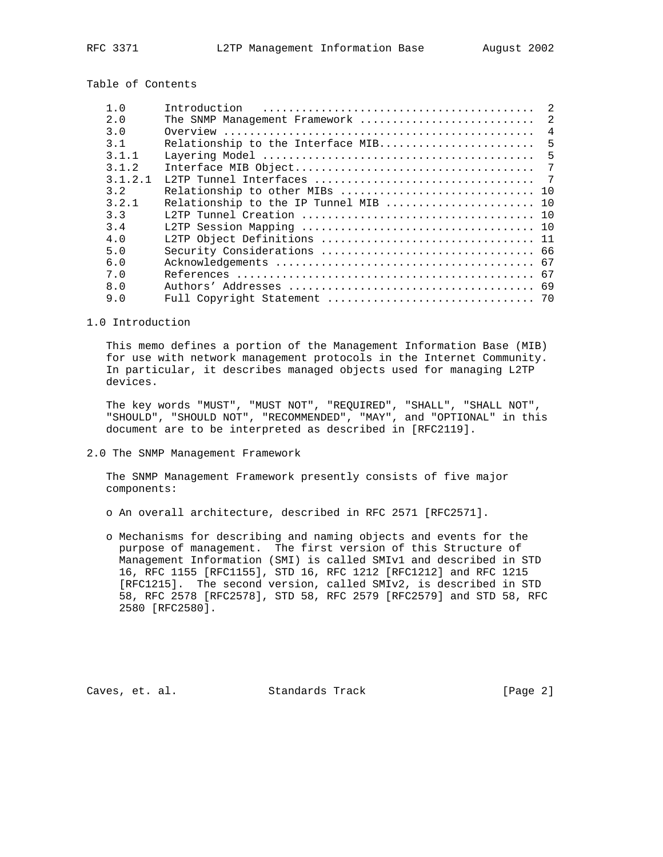Table of Contents

| 1.0     | Introduction                          | $\mathfrak{D}$  |
|---------|---------------------------------------|-----------------|
| 2.0     | The SNMP Management Framework         | $\overline{2}$  |
| 3.0     |                                       | $\overline{4}$  |
| 3.1     | Relationship to the Interface MIB     | - 5             |
| 3 1 1   |                                       | $5\overline{5}$ |
| 3.1.2   |                                       |                 |
| 3.1.2.1 |                                       |                 |
| 3.2     |                                       |                 |
| 3.2.1   | Relationship to the IP Tunnel MIB  10 |                 |
| 3.3     |                                       |                 |
| 34      |                                       |                 |
| 4.0     | L2TP Object Definitions  11           |                 |
| 5.0     |                                       |                 |
| 6.0     |                                       |                 |
| 7.0     |                                       |                 |
| 8.0     |                                       |                 |
| 9.0     |                                       |                 |

#### 1.0 Introduction

 This memo defines a portion of the Management Information Base (MIB) for use with network management protocols in the Internet Community. In particular, it describes managed objects used for managing L2TP devices.

 The key words "MUST", "MUST NOT", "REQUIRED", "SHALL", "SHALL NOT", "SHOULD", "SHOULD NOT", "RECOMMENDED", "MAY", and "OPTIONAL" in this document are to be interpreted as described in [RFC2119].

2.0 The SNMP Management Framework

 The SNMP Management Framework presently consists of five major components:

o An overall architecture, described in RFC 2571 [RFC2571].

 o Mechanisms for describing and naming objects and events for the purpose of management. The first version of this Structure of Management Information (SMI) is called SMIv1 and described in STD 16, RFC 1155 [RFC1155], STD 16, RFC 1212 [RFC1212] and RFC 1215 [RFC1215]. The second version, called SMIv2, is described in STD 58, RFC 2578 [RFC2578], STD 58, RFC 2579 [RFC2579] and STD 58, RFC 2580 [RFC2580].

Caves, et. al. Standards Track [Page 2]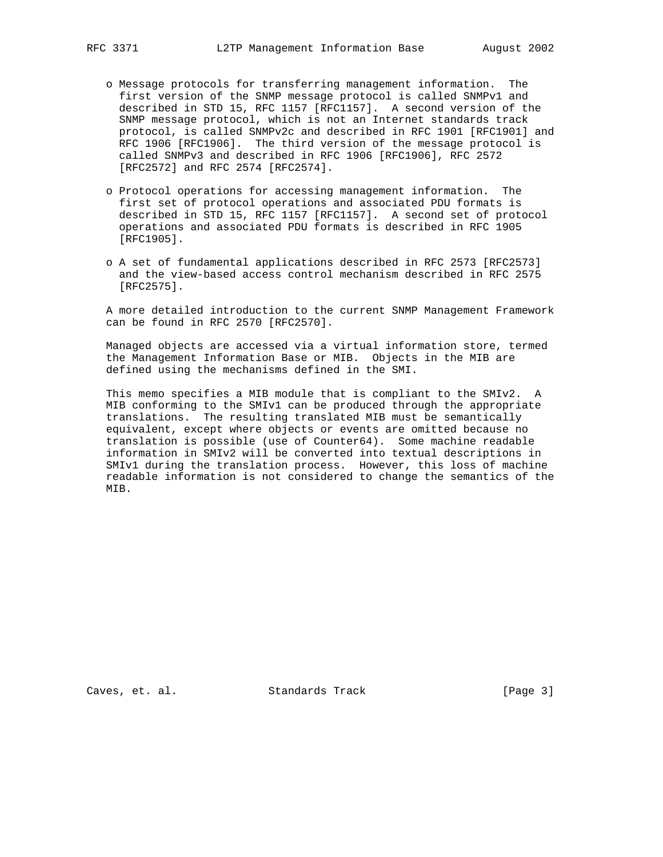- o Message protocols for transferring management information. The first version of the SNMP message protocol is called SNMPv1 and described in STD 15, RFC 1157 [RFC1157]. A second version of the SNMP message protocol, which is not an Internet standards track protocol, is called SNMPv2c and described in RFC 1901 [RFC1901] and RFC 1906 [RFC1906]. The third version of the message protocol is called SNMPv3 and described in RFC 1906 [RFC1906], RFC 2572 [RFC2572] and RFC 2574 [RFC2574].
- o Protocol operations for accessing management information. The first set of protocol operations and associated PDU formats is described in STD 15, RFC 1157 [RFC1157]. A second set of protocol operations and associated PDU formats is described in RFC 1905 [RFC1905].
- o A set of fundamental applications described in RFC 2573 [RFC2573] and the view-based access control mechanism described in RFC 2575 [RFC2575].

 A more detailed introduction to the current SNMP Management Framework can be found in RFC 2570 [RFC2570].

 Managed objects are accessed via a virtual information store, termed the Management Information Base or MIB. Objects in the MIB are defined using the mechanisms defined in the SMI.

 This memo specifies a MIB module that is compliant to the SMIv2. A MIB conforming to the SMIv1 can be produced through the appropriate translations. The resulting translated MIB must be semantically equivalent, except where objects or events are omitted because no translation is possible (use of Counter64). Some machine readable information in SMIv2 will be converted into textual descriptions in SMIv1 during the translation process. However, this loss of machine readable information is not considered to change the semantics of the MIB.

Caves, et. al. Standards Track [Page 3]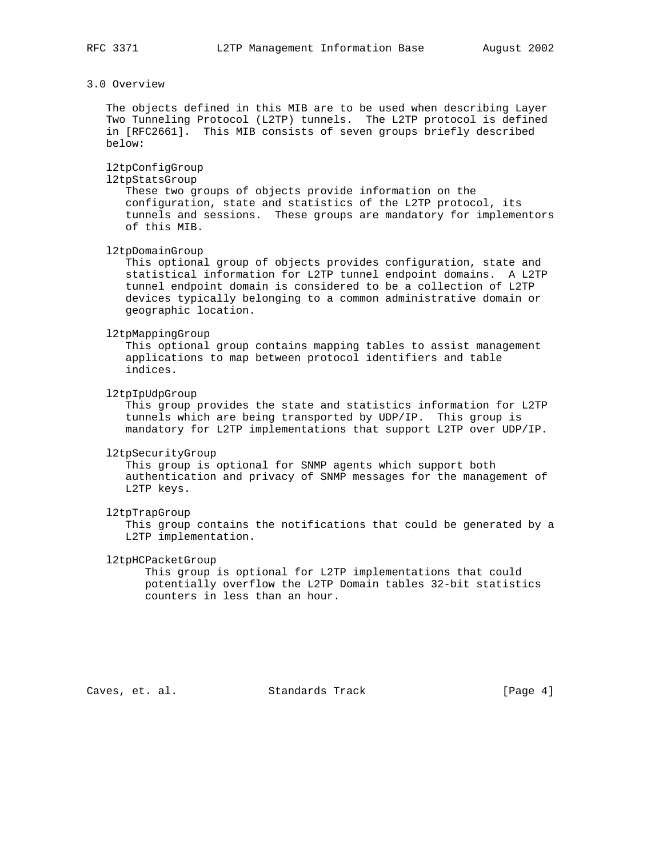# 3.0 Overview

 The objects defined in this MIB are to be used when describing Layer Two Tunneling Protocol (L2TP) tunnels. The L2TP protocol is defined in [RFC2661]. This MIB consists of seven groups briefly described below:

# l2tpConfigGroup

l2tpStatsGroup

 These two groups of objects provide information on the configuration, state and statistics of the L2TP protocol, its tunnels and sessions. These groups are mandatory for implementors of this MIB.

l2tpDomainGroup

 This optional group of objects provides configuration, state and statistical information for L2TP tunnel endpoint domains. A L2TP tunnel endpoint domain is considered to be a collection of L2TP devices typically belonging to a common administrative domain or geographic location.

### l2tpMappingGroup

 This optional group contains mapping tables to assist management applications to map between protocol identifiers and table indices.

#### l2tpIpUdpGroup

 This group provides the state and statistics information for L2TP tunnels which are being transported by UDP/IP. This group is mandatory for L2TP implementations that support L2TP over UDP/IP.

#### l2tpSecurityGroup

 This group is optional for SNMP agents which support both authentication and privacy of SNMP messages for the management of L2TP keys.

#### l2tpTrapGroup

 This group contains the notifications that could be generated by a L2TP implementation.

#### l2tpHCPacketGroup

 This group is optional for L2TP implementations that could potentially overflow the L2TP Domain tables 32-bit statistics counters in less than an hour.

Caves, et. al. Standards Track [Page 4]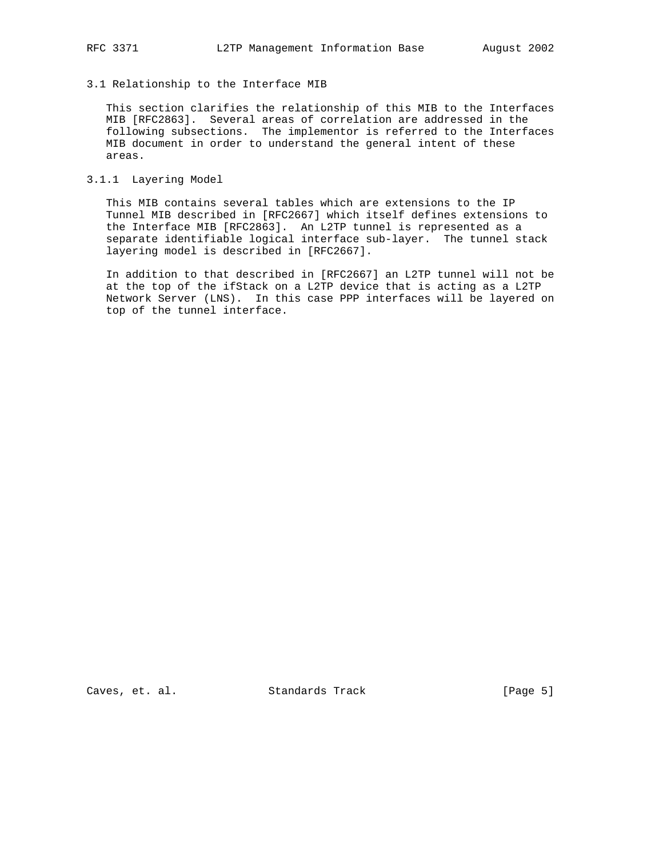3.1 Relationship to the Interface MIB

 This section clarifies the relationship of this MIB to the Interfaces MIB [RFC2863]. Several areas of correlation are addressed in the following subsections. The implementor is referred to the Interfaces MIB document in order to understand the general intent of these areas.

3.1.1 Layering Model

 This MIB contains several tables which are extensions to the IP Tunnel MIB described in [RFC2667] which itself defines extensions to the Interface MIB [RFC2863]. An L2TP tunnel is represented as a separate identifiable logical interface sub-layer. The tunnel stack layering model is described in [RFC2667].

 In addition to that described in [RFC2667] an L2TP tunnel will not be at the top of the ifStack on a L2TP device that is acting as a L2TP Network Server (LNS). In this case PPP interfaces will be layered on top of the tunnel interface.

Caves, et. al. Standards Track [Page 5]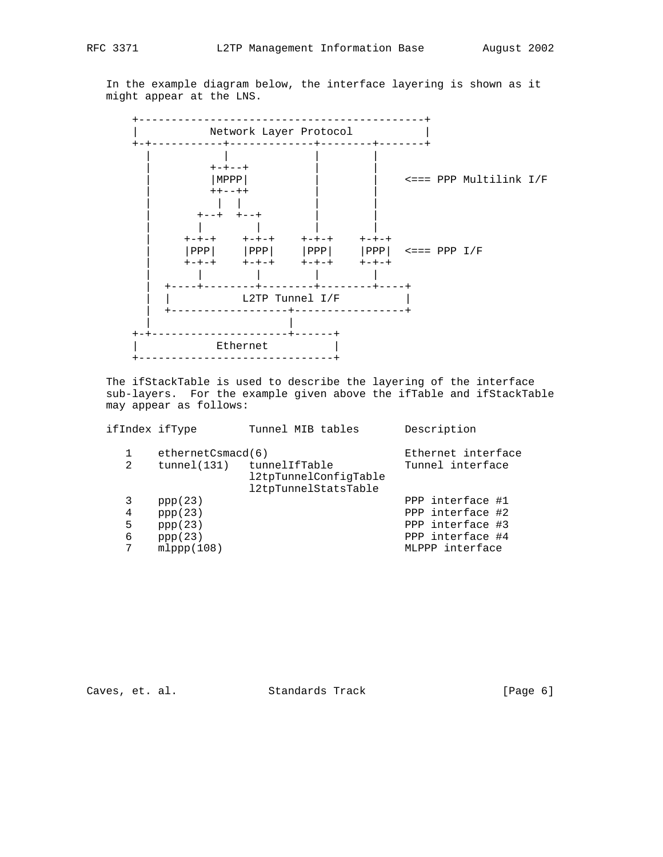In the example diagram below, the interface layering is shown as it might appear at the LNS.



 The ifStackTable is used to describe the layering of the interface sub-layers. For the example given above the ifTable and ifStackTable may appear as follows:

| ifIndex ifType |                   | Tunnel MIB tables                                                          | Description      |
|----------------|-------------------|----------------------------------------------------------------------------|------------------|
|                | ethernetCsmacd(6) | Ethernet interface                                                         |                  |
| 2              |                   | tunnel(131) tunnelIfTable<br>12tpTunnelConfiqTable<br>12tpTunnelStatsTable | Tunnel interface |
| 3              | ppp(23)           |                                                                            | PPP interface #1 |
| 4              | ppp(23)           |                                                                            | PPP interface #2 |
| 5              | ppp(23)           |                                                                            | PPP interface #3 |
| 6              | ppp(23)           |                                                                            | PPP interface #4 |
|                | mlppp(108)        |                                                                            | MLPPP interface  |
|                |                   |                                                                            |                  |

Caves, et. al. Standards Track [Page 6]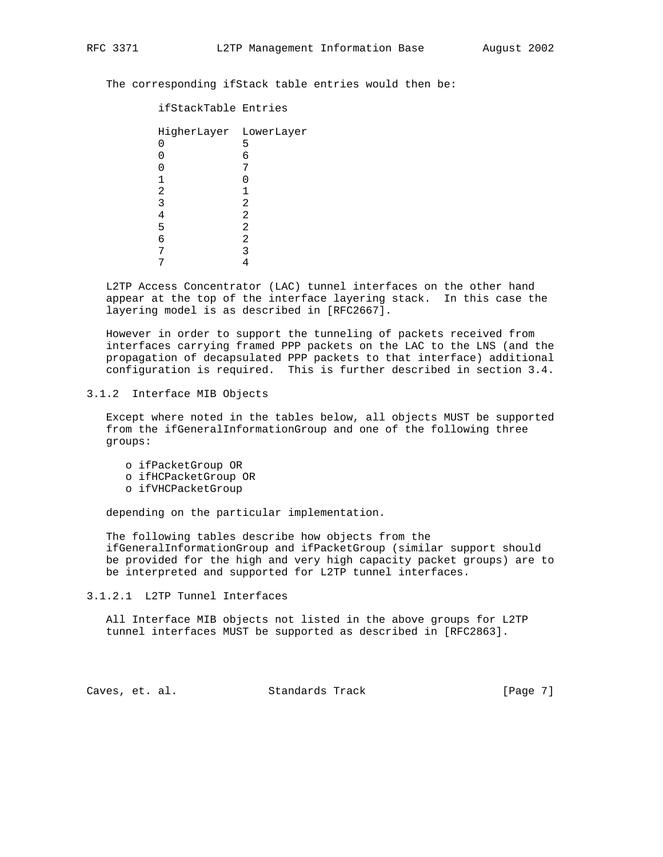The corresponding ifStack table entries would then be:

| ifStackTable Entries                  |                       |
|---------------------------------------|-----------------------|
| HigherLayer LowerLayer<br>1<br>2<br>3 | 5<br>6<br>7<br>1<br>2 |
| 4                                     | 2                     |
| 5                                     | 2                     |
| 6                                     | 2                     |
|                                       | 3                     |
|                                       |                       |

 L2TP Access Concentrator (LAC) tunnel interfaces on the other hand appear at the top of the interface layering stack. In this case the layering model is as described in [RFC2667].

 However in order to support the tunneling of packets received from interfaces carrying framed PPP packets on the LAC to the LNS (and the propagation of decapsulated PPP packets to that interface) additional configuration is required. This is further described in section 3.4.

### 3.1.2 Interface MIB Objects

 Except where noted in the tables below, all objects MUST be supported from the ifGeneralInformationGroup and one of the following three groups:

- o ifPacketGroup OR
- o ifHCPacketGroup OR
- o ifVHCPacketGroup

depending on the particular implementation.

 The following tables describe how objects from the ifGeneralInformationGroup and ifPacketGroup (similar support should be provided for the high and very high capacity packet groups) are to be interpreted and supported for L2TP tunnel interfaces.

3.1.2.1 L2TP Tunnel Interfaces

 All Interface MIB objects not listed in the above groups for L2TP tunnel interfaces MUST be supported as described in [RFC2863].

Caves, et. al. Standards Track [Page 7]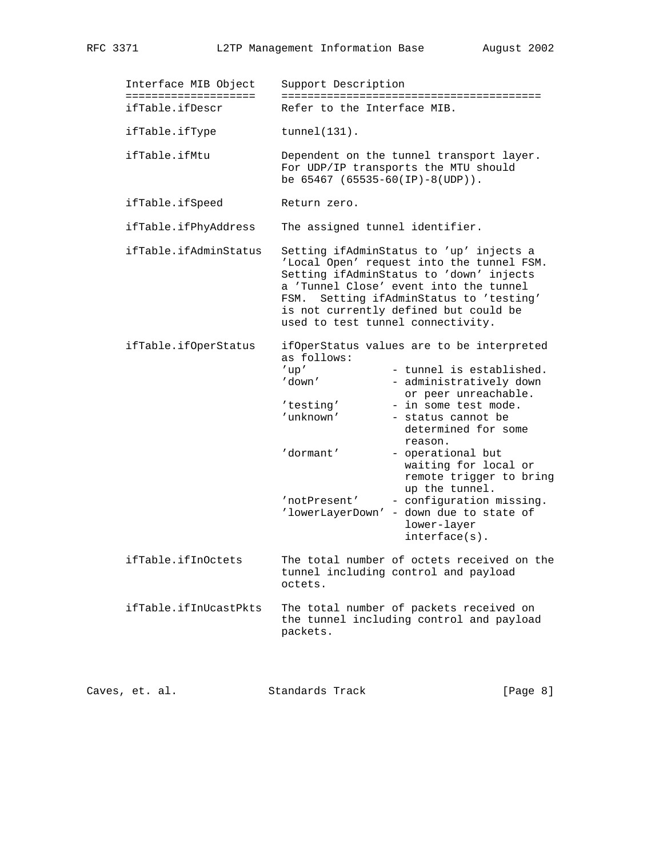| Interface MIB Object<br>===================== | Support Description                                                                                                                                                                                                                                                                                                                                                                                                                                                                                                    |  |
|-----------------------------------------------|------------------------------------------------------------------------------------------------------------------------------------------------------------------------------------------------------------------------------------------------------------------------------------------------------------------------------------------------------------------------------------------------------------------------------------------------------------------------------------------------------------------------|--|
| ifTable.ifDescr                               | ----------------------------------<br>Refer to the Interface MIB.                                                                                                                                                                                                                                                                                                                                                                                                                                                      |  |
| ifTable.ifType                                | $tunnel(131)$ .                                                                                                                                                                                                                                                                                                                                                                                                                                                                                                        |  |
| ifTable.ifMtu                                 | Dependent on the tunnel transport layer.<br>For UDP/IP transports the MTU should<br>be $65467$ $(65535-60(IP)-8(UDP))$ .                                                                                                                                                                                                                                                                                                                                                                                               |  |
| ifTable.ifSpeed                               | Return zero.                                                                                                                                                                                                                                                                                                                                                                                                                                                                                                           |  |
| ifTable.ifPhyAddress                          | The assigned tunnel identifier.<br>Setting ifAdminStatus to 'up' injects a<br>'Local Open' request into the tunnel FSM.<br>Setting ifAdminStatus to 'down' injects<br>a 'Tunnel Close' event into the tunnel<br>FSM. Setting ifAdminStatus to 'testing'<br>is not currently defined but could be<br>used to test tunnel connectivity.                                                                                                                                                                                  |  |
| ifTable.ifAdminStatus                         |                                                                                                                                                                                                                                                                                                                                                                                                                                                                                                                        |  |
| ifTable.ifOperStatus                          | ifOperStatus values are to be interpreted<br>as follows:<br>$^\prime$ up $^\prime$<br>- tunnel is established.<br>'down'<br>- administratively down<br>or peer unreachable.<br>'testing'<br>- in some test mode.<br>'unknown'<br>- status cannot be<br>determined for some<br>reason.<br>'dormant'<br>- operational but<br>waiting for local or<br>remote trigger to bring<br>up the tunnel.<br>- configuration missing.<br>'notPresent'<br>'lowerLayerDown' - down due to state of<br>lower-layer<br>$interface(s)$ . |  |
| ifTable.ifInOctets                            | The total number of octets received on the<br>tunnel including control and payload<br>octets.                                                                                                                                                                                                                                                                                                                                                                                                                          |  |
| ifTable.ifInUcastPkts                         | The total number of packets received on<br>the tunnel including control and payload<br>packets.                                                                                                                                                                                                                                                                                                                                                                                                                        |  |
| Caves, et. al.                                | Standards Track<br>[Page 8]                                                                                                                                                                                                                                                                                                                                                                                                                                                                                            |  |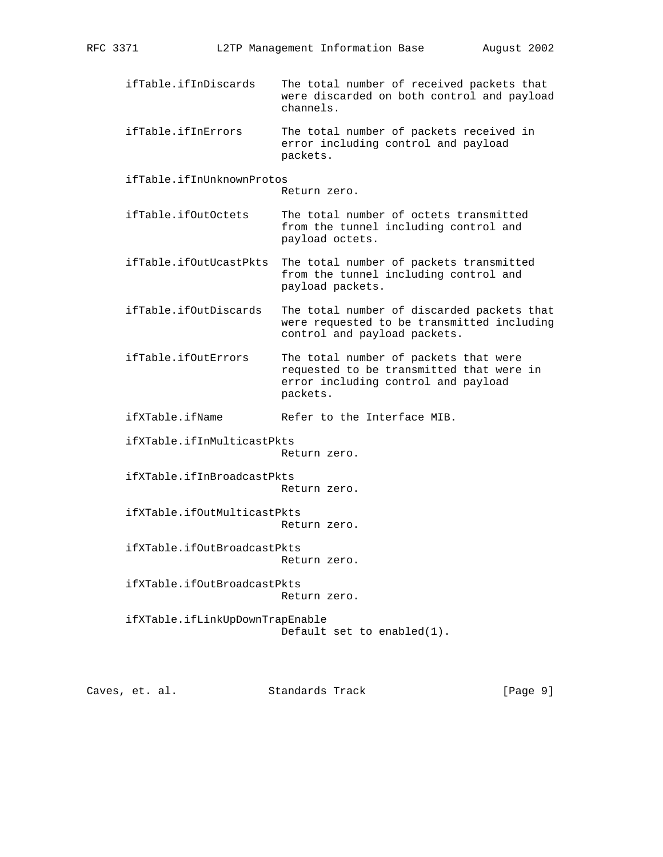- ifTable.ifInDiscards The total number of received packets that were discarded on both control and payload channels.
- ifTable.ifInErrors The total number of packets received in error including control and payload packets.

ifTable.ifInUnknownProtos

Return zero.

- ifTable.ifOutOctets The total number of octets transmitted from the tunnel including control and payload octets.
- ifTable.ifOutUcastPkts The total number of packets transmitted from the tunnel including control and payload packets.
- ifTable.ifOutDiscards The total number of discarded packets that were requested to be transmitted including control and payload packets.
- ifTable.ifOutErrors The total number of packets that were requested to be transmitted that were in error including control and payload packets.
- ifXTable.ifName Refer to the Interface MIB.

ifXTable.ifInMulticastPkts

Return zero.

 ifXTable.ifInBroadcastPkts Return zero.

 ifXTable.ifOutMulticastPkts Return zero.

 ifXTable.ifOutBroadcastPkts Return zero.

 ifXTable.ifOutBroadcastPkts Return zero.

 ifXTable.ifLinkUpDownTrapEnable Default set to enabled(1).

Caves, et. al. Standards Track [Page 9]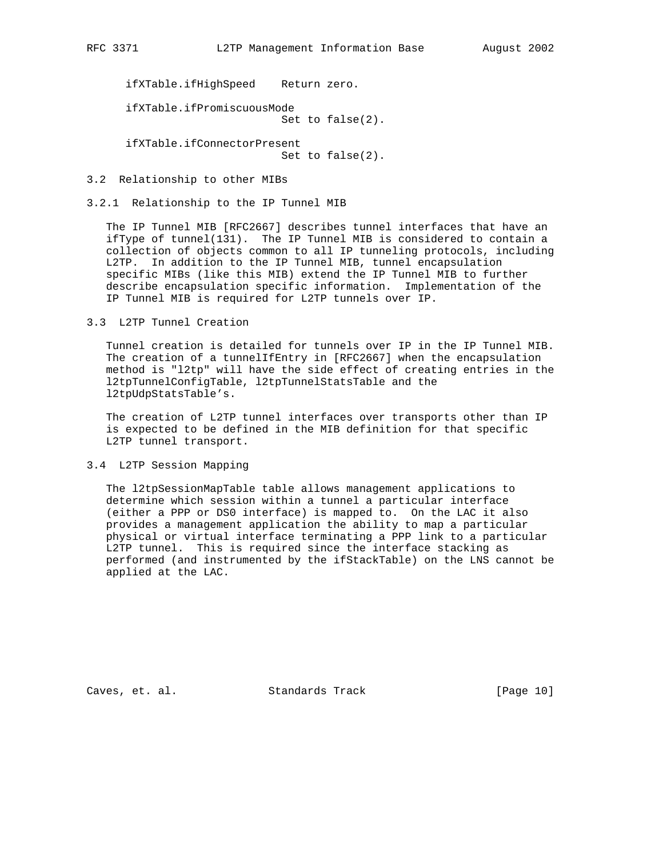ifXTable.ifHighSpeed Return zero.

 ifXTable.ifPromiscuousMode Set to false(2).

 ifXTable.ifConnectorPresent Set to false(2).

3.2 Relationship to other MIBs

### 3.2.1 Relationship to the IP Tunnel MIB

 The IP Tunnel MIB [RFC2667] describes tunnel interfaces that have an ifType of tunnel(131). The IP Tunnel MIB is considered to contain a collection of objects common to all IP tunneling protocols, including L2TP. In addition to the IP Tunnel MIB, tunnel encapsulation specific MIBs (like this MIB) extend the IP Tunnel MIB to further describe encapsulation specific information. Implementation of the IP Tunnel MIB is required for L2TP tunnels over IP.

# 3.3 L2TP Tunnel Creation

 Tunnel creation is detailed for tunnels over IP in the IP Tunnel MIB. The creation of a tunnelIfEntry in [RFC2667] when the encapsulation method is "l2tp" will have the side effect of creating entries in the l2tpTunnelConfigTable, l2tpTunnelStatsTable and the l2tpUdpStatsTable's.

 The creation of L2TP tunnel interfaces over transports other than IP is expected to be defined in the MIB definition for that specific L2TP tunnel transport.

#### 3.4 L2TP Session Mapping

 The l2tpSessionMapTable table allows management applications to determine which session within a tunnel a particular interface (either a PPP or DS0 interface) is mapped to. On the LAC it also provides a management application the ability to map a particular physical or virtual interface terminating a PPP link to a particular L2TP tunnel. This is required since the interface stacking as performed (and instrumented by the ifStackTable) on the LNS cannot be applied at the LAC.

Caves, et. al. Standards Track [Page 10]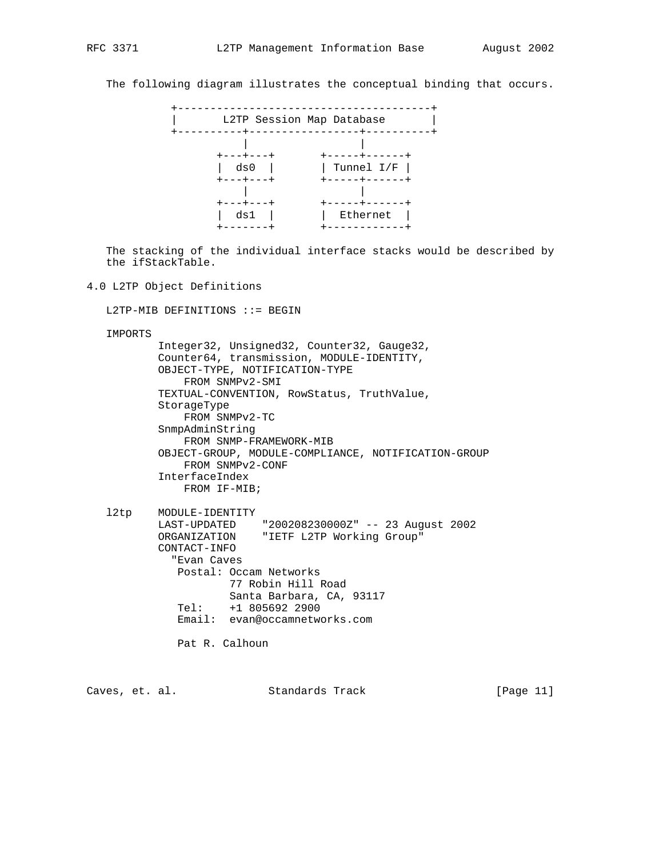The following diagram illustrates the conceptual binding that occurs.



 The stacking of the individual interface stacks would be described by the ifStackTable.

#### 4.0 L2TP Object Definitions

L2TP-MIB DEFINITIONS ::= BEGIN

IMPORTS

 Integer32, Unsigned32, Counter32, Gauge32, Counter64, transmission, MODULE-IDENTITY, OBJECT-TYPE, NOTIFICATION-TYPE FROM SNMPv2-SMI TEXTUAL-CONVENTION, RowStatus, TruthValue, StorageType FROM SNMPv2-TC SnmpAdminString FROM SNMP-FRAMEWORK-MIB OBJECT-GROUP, MODULE-COMPLIANCE, NOTIFICATION-GROUP FROM SNMPv2-CONF InterfaceIndex FROM IF-MIB;

 l2tp MODULE-IDENTITY LAST-UPDATED "200208230000Z" -- 23 August 2002 ORGANIZATION "IETF L2TP Working Group" CONTACT-INFO "Evan Caves Postal: Occam Networks 77 Robin Hill Road Santa Barbara, CA, 93117 Tel: +1 805692 2900 Email: evan@occamnetworks.com

Pat R. Calhoun

Caves, et. al. Standards Track [Page 11]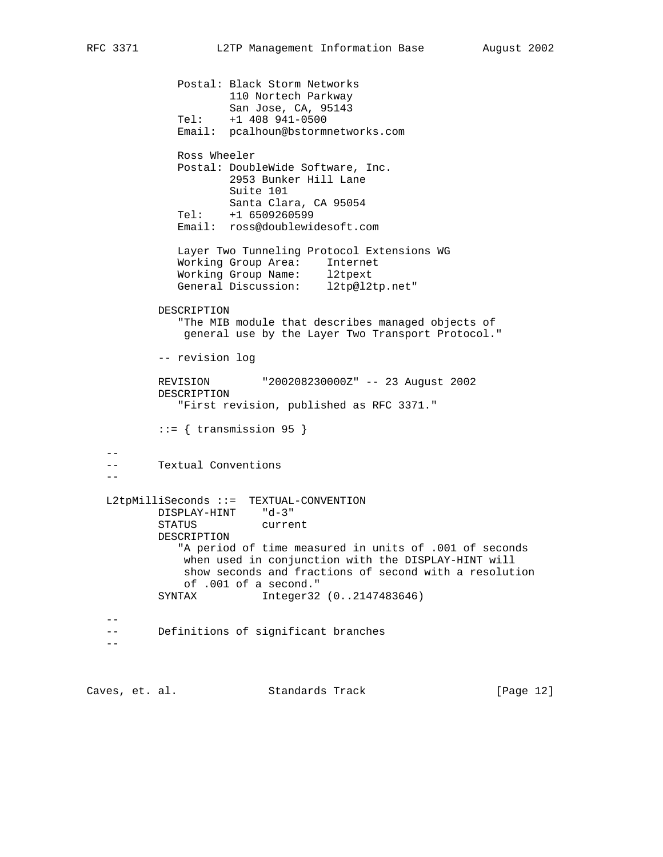```
 Postal: Black Storm Networks
                     110 Nortech Parkway
                    San Jose, CA, 95143
             Tel: +1 408 941-0500
             Email: pcalhoun@bstormnetworks.com
             Ross Wheeler
             Postal: DoubleWide Software, Inc.
                    2953 Bunker Hill Lane
                    Suite 101
                    Santa Clara, CA 95054
             Tel: +1 6509260599
             Email: ross@doublewidesoft.com
             Layer Two Tunneling Protocol Extensions WG
 Working Group Area: Internet
 Working Group Name: l2tpext
 General Discussion: l2tp@l2tp.net"
          DESCRIPTION
             "The MIB module that describes managed objects of
              general use by the Layer Two Transport Protocol."
           -- revision log
          REVISION "200208230000Z" -- 23 August 2002
          DESCRIPTION
             "First revision, published as RFC 3371."
         ::= { transmission 95 }
 --
   -- Textual Conventions
 --
   L2tpMilliSeconds ::= TEXTUAL-CONVENTION
 DISPLAY-HINT "d-3"
 STATUS current
          DESCRIPTION
             "A period of time measured in units of .001 of seconds
              when used in conjunction with the DISPLAY-HINT will
              show seconds and fractions of second with a resolution
              of .001 of a second."
          SYNTAX Integer32 (0..2147483646)
 --
   -- Definitions of significant branches
  -
```
Caves, et. al. Standards Track [Page 12]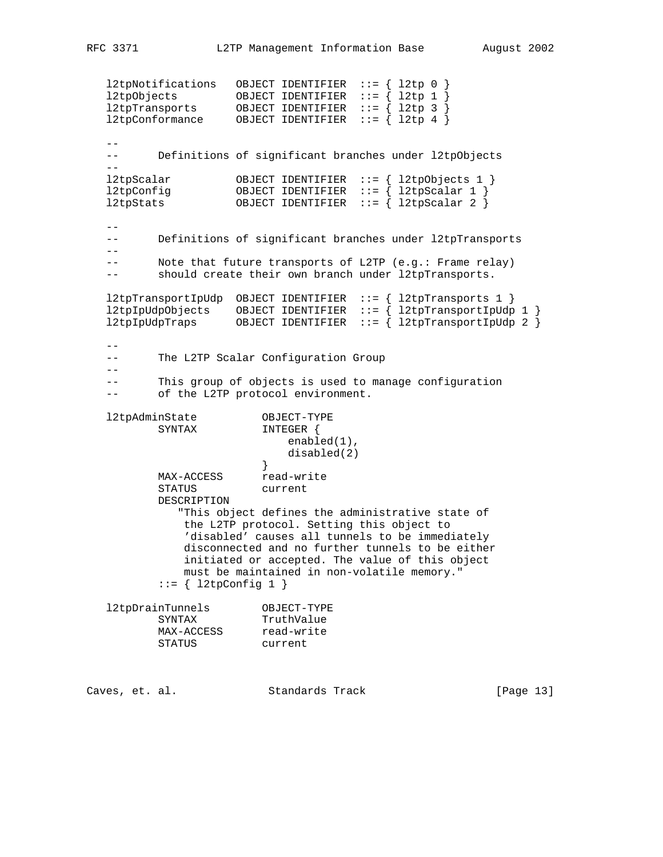l2tpNotifications OBJECT IDENTIFIER ::= { l2tp 0 } l2tpObjects OBJECT IDENTIFIER ::= { l2tp 1 } l2tpTransports OBJECT IDENTIFIER ::= { l2tp 3 } l2tpConformance OBJECT IDENTIFIER ::= { l2tp 4 }  $- -$  -- Definitions of significant branches under l2tpObjects  $-$  l2tpScalar OBJECT IDENTIFIER ::= { l2tpObjects 1 } l2tpConfig OBJECT IDENTIFIER ::= { l2tpScalar 1 } l2tpStats OBJECT IDENTIFIER ::= { l2tpScalar 2 }  $- -$  -- Definitions of significant branches under l2tpTransports  $- -$  -- Note that future transports of L2TP (e.g.: Frame relay) -- should create their own branch under l2tpTransports. l2tpTransportIpUdp OBJECT IDENTIFIER ::= { l2tpTransports 1 } l2tpIpUdpObjects OBJECT IDENTIFIER ::= { l2tpTransportIpUdp 1 } l2tpIpUdpTraps OBJECT IDENTIFIER ::= { l2tpTransportIpUdp 2 }  $- -$  -- The L2TP Scalar Configuration Group -- -- This group of objects is used to manage configuration -- of the L2TP protocol environment. l2tpAdminState OBJECT-TYPE SYNTAX INTEGER { enabled(1), disabled(2)<br>} } MAX-ACCESS read-write STATUS current DESCRIPTION "This object defines the administrative state of the L2TP protocol. Setting this object to 'disabled' causes all tunnels to be immediately disconnected and no further tunnels to be either initiated or accepted. The value of this object must be maintained in non-volatile memory."  $::= \{ 12tpConfig 1 \}$  l2tpDrainTunnels OBJECT-TYPE SYNTAX TruthValue MAX-ACCESS read-write STATUS current

Caves, et. al. Standards Track [Page 13]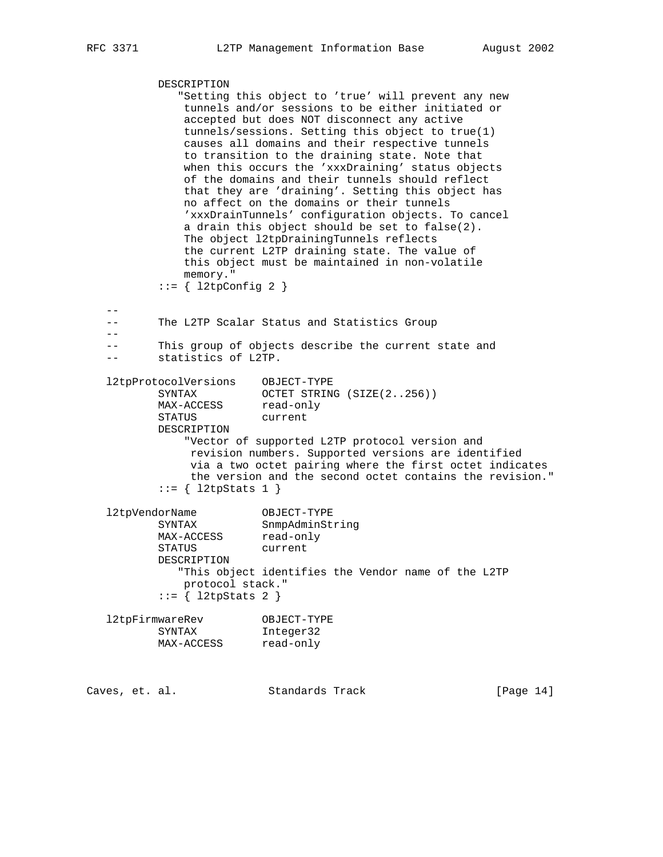DESCRIPTION "Setting this object to 'true' will prevent any new tunnels and/or sessions to be either initiated or accepted but does NOT disconnect any active tunnels/sessions. Setting this object to true(1) causes all domains and their respective tunnels to transition to the draining state. Note that when this occurs the 'xxxDraining' status objects of the domains and their tunnels should reflect that they are 'draining'. Setting this object has no affect on the domains or their tunnels 'xxxDrainTunnels' configuration objects. To cancel a drain this object should be set to false(2). The object l2tpDrainingTunnels reflects the current L2TP draining state. The value of this object must be maintained in non-volatile memory."  $::=$  {  $12tpConfig 2$  }  $-$  -- The L2TP Scalar Status and Statistics Group  $-$  -- This group of objects describe the current state and -- statistics of L2TP. l2tpProtocolVersions OBJECT-TYPE SYNTAX OCTET STRING (SIZE(2..256)) MAX-ACCESS read-only STATUS current DESCRIPTION "Vector of supported L2TP protocol version and revision numbers. Supported versions are identified via a two octet pairing where the first octet indicates the version and the second octet contains the revision."  $::= \{ 12tpStats 1 \}$  l2tpVendorName OBJECT-TYPE SYNTAX SnmpAdminString MAX-ACCESS read-only STATUS current DESCRIPTION "This object identifies the Vendor name of the L2TP protocol stack."  $::= \{ 12tpStats 2 \}$  l2tpFirmwareRev OBJECT-TYPE SYNTAX Integer32 MAX-ACCESS read-only Caves, et. al. Standards Track [Page 14]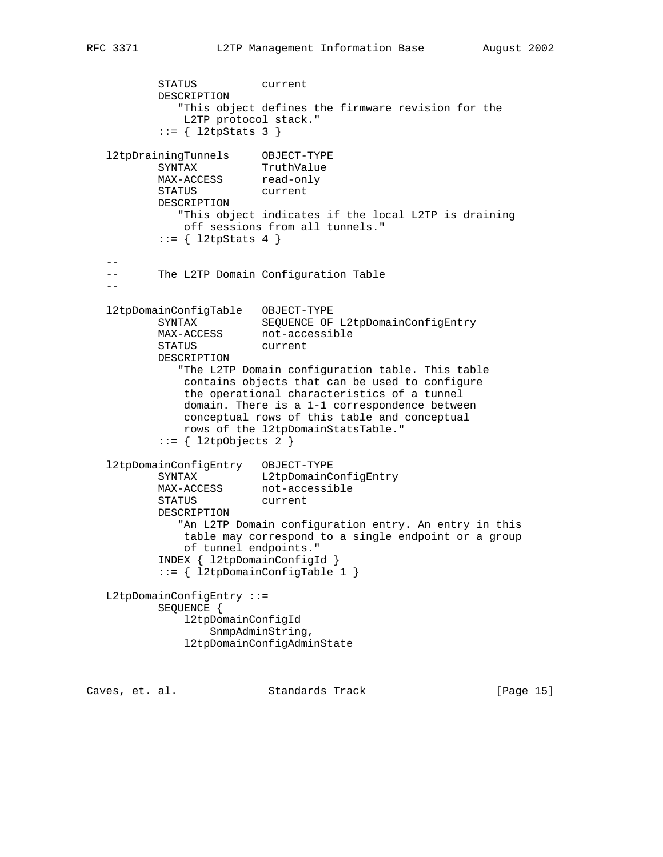```
 STATUS current
          DESCRIPTION
             "This object defines the firmware revision for the
             L2TP protocol stack."
          ::= { l2tpStats 3 }
 l2tpDrainingTunnels OBJECT-TYPE
SYNTAX TruthValue
MAX-ACCESS read-only
 STATUS current
          DESCRIPTION
             "This object indicates if the local L2TP is draining
             off sessions from all tunnels."
         ::= \{ 12tpStats 4 \} --
   -- The L2TP Domain Configuration Table
- l2tpDomainConfigTable OBJECT-TYPE
SYNTAX SEQUENCE OF L2tpDomainConfigEntry
MAX-ACCESS not-accessible
 STATUS current
          DESCRIPTION
             "The L2TP Domain configuration table. This table
              contains objects that can be used to configure
              the operational characteristics of a tunnel
              domain. There is a 1-1 correspondence between
              conceptual rows of this table and conceptual
              rows of the l2tpDomainStatsTable."
         ::= { l2tpObjects 2 }
   l2tpDomainConfigEntry OBJECT-TYPE
 SYNTAX L2tpDomainConfigEntry
MAX-ACCESS not-accessible
 STATUS current
          DESCRIPTION
             "An L2TP Domain configuration entry. An entry in this
              table may correspond to a single endpoint or a group
             of tunnel endpoints."
          INDEX { l2tpDomainConfigId }
          ::= { l2tpDomainConfigTable 1 }
   L2tpDomainConfigEntry ::=
          SEQUENCE {
              l2tpDomainConfigId
                 SnmpAdminString,
              l2tpDomainConfigAdminState
```
Caves, et. al. Standards Track [Page 15]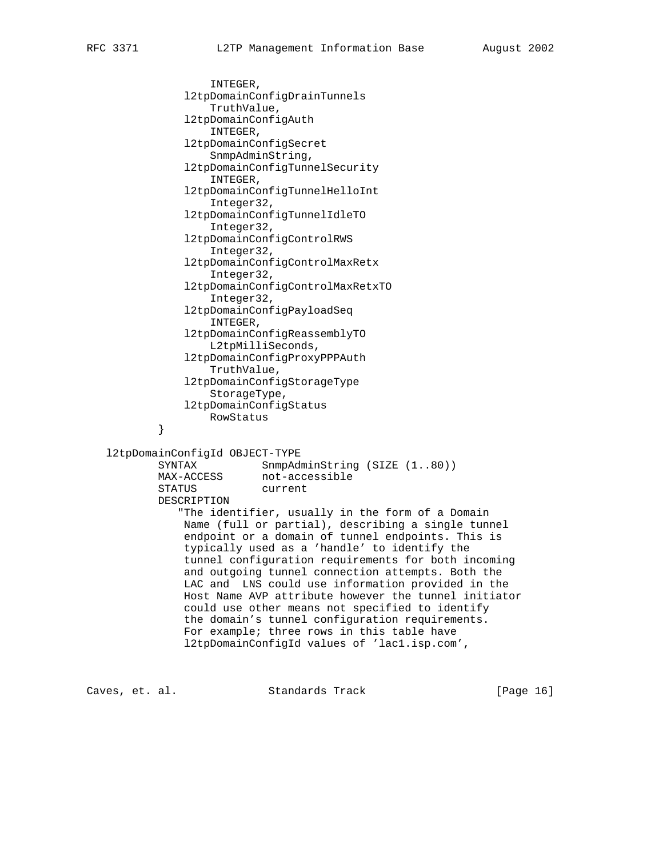INTEGER, l2tpDomainConfigDrainTunnels TruthValue, l2tpDomainConfigAuth INTEGER, l2tpDomainConfigSecret SnmpAdminString, l2tpDomainConfigTunnelSecurity INTEGER, l2tpDomainConfigTunnelHelloInt Integer32, l2tpDomainConfigTunnelIdleTO Integer32, l2tpDomainConfigControlRWS Integer32, l2tpDomainConfigControlMaxRetx Integer32, l2tpDomainConfigControlMaxRetxTO Integer32, l2tpDomainConfigPayloadSeq INTEGER, l2tpDomainConfigReassemblyTO L2tpMilliSeconds, l2tpDomainConfigProxyPPPAuth TruthValue, l2tpDomainConfigStorageType StorageType, l2tpDomainConfigStatus RowStatus<br>} } l2tpDomainConfigId OBJECT-TYPE SYNTAX SnmpAdminString (SIZE (1..80)) MAX-ACCESS not-accessible STATUS current DESCRIPTION "The identifier, usually in the form of a Domain Name (full or partial), describing a single tunnel endpoint or a domain of tunnel endpoints. This is typically used as a 'handle' to identify the tunnel configuration requirements for both incoming and outgoing tunnel connection attempts. Both the LAC and LNS could use information provided in the Host Name AVP attribute however the tunnel initiator could use other means not specified to identify the domain's tunnel configuration requirements. For example; three rows in this table have l2tpDomainConfigId values of 'lac1.isp.com',

Caves, et. al. Standards Track [Page 16]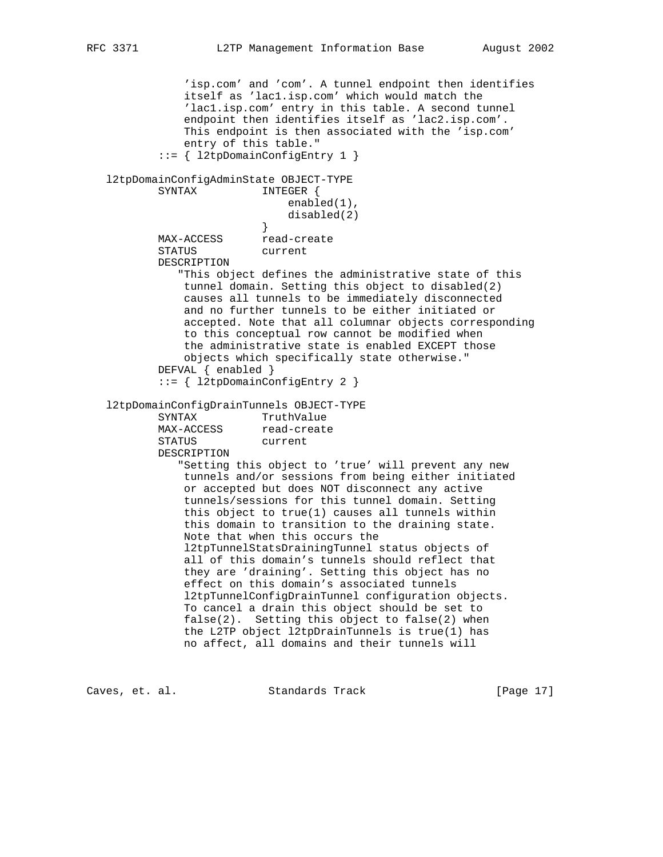'isp.com' and 'com'. A tunnel endpoint then identifies itself as 'lac1.isp.com' which would match the 'lac1.isp.com' entry in this table. A second tunnel endpoint then identifies itself as 'lac2.isp.com'. This endpoint is then associated with the 'isp.com' entry of this table." ::= { l2tpDomainConfigEntry 1 } l2tpDomainConfigAdminState OBJECT-TYPE SYNTAX INTEGER { enabled(1), disabled(2)  $\}$  } MAX-ACCESS read-create STATUS current DESCRIPTION "This object defines the administrative state of this tunnel domain. Setting this object to disabled(2) causes all tunnels to be immediately disconnected and no further tunnels to be either initiated or accepted. Note that all columnar objects corresponding to this conceptual row cannot be modified when the administrative state is enabled EXCEPT those objects which specifically state otherwise." DEFVAL { enabled } ::= { l2tpDomainConfigEntry 2 } l2tpDomainConfigDrainTunnels OBJECT-TYPE SYNTAX TruthValue MAX-ACCESS read-create STATUS current DESCRIPTION "Setting this object to 'true' will prevent any new tunnels and/or sessions from being either initiated or accepted but does NOT disconnect any active tunnels/sessions for this tunnel domain. Setting this object to true(1) causes all tunnels within this domain to transition to the draining state. Note that when this occurs the l2tpTunnelStatsDrainingTunnel status objects of all of this domain's tunnels should reflect that they are 'draining'. Setting this object has no effect on this domain's associated tunnels l2tpTunnelConfigDrainTunnel configuration objects. To cancel a drain this object should be set to false(2). Setting this object to false(2) when the L2TP object l2tpDrainTunnels is true(1) has no affect, all domains and their tunnels will

Caves, et. al. Standards Track [Page 17]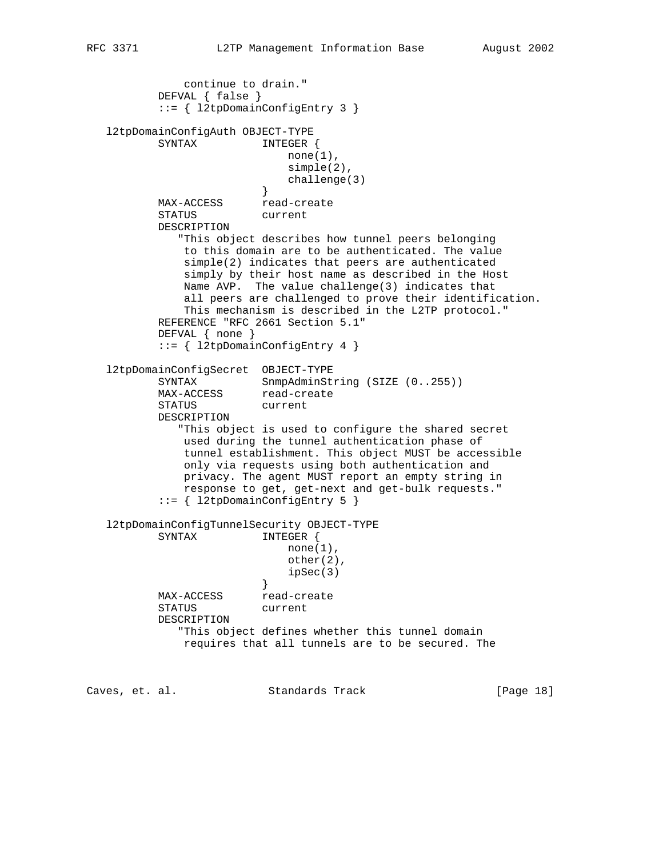```
 continue to drain."
          DEFVAL { false }
           ::= { l2tpDomainConfigEntry 3 }
   l2tpDomainConfigAuth OBJECT-TYPE
         SYNTAX INTEGER {
                            none(1),
                             simple(2),
                            challenge(3)
 }
         MAX-ACCESS read-create
          STATUS current
          DESCRIPTION
             "This object describes how tunnel peers belonging
              to this domain are to be authenticated. The value
              simple(2) indicates that peers are authenticated
              simply by their host name as described in the Host
              Name AVP. The value challenge(3) indicates that
              all peers are challenged to prove their identification.
              This mechanism is described in the L2TP protocol."
          REFERENCE "RFC 2661 Section 5.1"
          DEFVAL { none }
           ::= { l2tpDomainConfigEntry 4 }
   l2tpDomainConfigSecret OBJECT-TYPE
SYNTAX SnmpAdminString (SIZE (0..255))
MAX-ACCESS read-create
          STATUS current
          DESCRIPTION
              "This object is used to configure the shared secret
              used during the tunnel authentication phase of
              tunnel establishment. This object MUST be accessible
              only via requests using both authentication and
              privacy. The agent MUST report an empty string in
              response to get, get-next and get-bulk requests."
           ::= { l2tpDomainConfigEntry 5 }
   l2tpDomainConfigTunnelSecurity OBJECT-TYPE
         SYNTAX INTEGER {
                            none(1),
                             other(2),
                        ipSec(3) }
         MAX-ACCESS read-create
          STATUS current
          DESCRIPTION
             "This object defines whether this tunnel domain
              requires that all tunnels are to be secured. The
```
Caves, et. al. Standards Track [Page 18]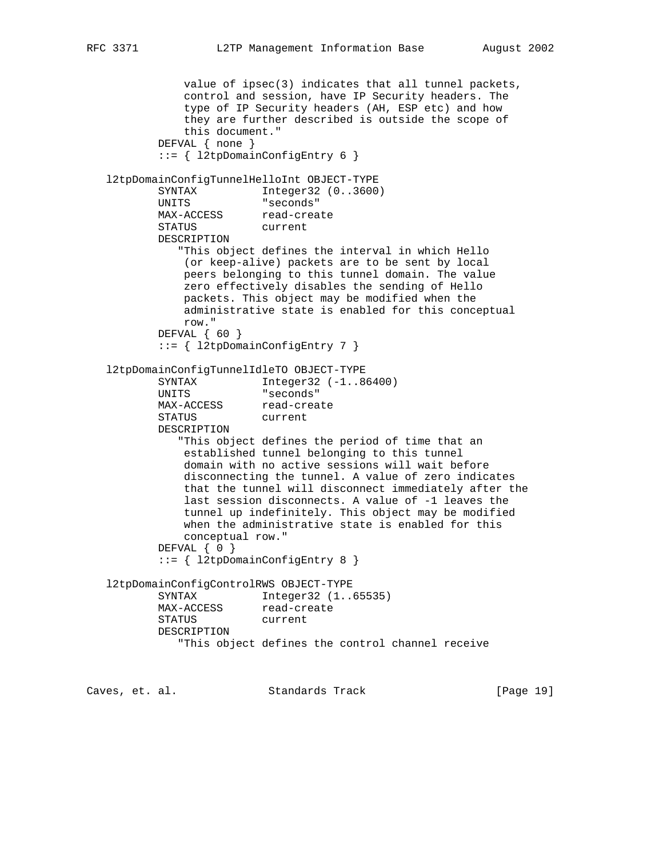```
 value of ipsec(3) indicates that all tunnel packets,
               control and session, have IP Security headers. The
               type of IP Security headers (AH, ESP etc) and how
               they are further described is outside the scope of
               this document."
           DEFVAL { none }
           ::= { l2tpDomainConfigEntry 6 }
   l2tpDomainConfigTunnelHelloInt OBJECT-TYPE
          SYNTAX Integer32 (0..3600)
           UNITS "seconds"
                       read-create
           STATUS current
           DESCRIPTION
              "This object defines the interval in which Hello
               (or keep-alive) packets are to be sent by local
               peers belonging to this tunnel domain. The value
               zero effectively disables the sending of Hello
               packets. This object may be modified when the
               administrative state is enabled for this conceptual
               row."
           DEFVAL { 60 }
           ::= { l2tpDomainConfigEntry 7 }
   l2tpDomainConfigTunnelIdleTO OBJECT-TYPE
          SYNTAX Integer32 (-1..86400)
           UNITS "seconds"
          MAX-ACCESS read-create
           STATUS current
           DESCRIPTION
              "This object defines the period of time that an
               established tunnel belonging to this tunnel
               domain with no active sessions will wait before
               disconnecting the tunnel. A value of zero indicates
               that the tunnel will disconnect immediately after the
               last session disconnects. A value of -1 leaves the
               tunnel up indefinitely. This object may be modified
               when the administrative state is enabled for this
               conceptual row."
           DEFVAL { 0 }
           ::= { l2tpDomainConfigEntry 8 }
   l2tpDomainConfigControlRWS OBJECT-TYPE
           SYNTAX Integer32 (1..65535)
          MAX-ACCESS read-create
           STATUS current
           DESCRIPTION
              "This object defines the control channel receive
Caves, et. al. Standards Track [Page 19]
```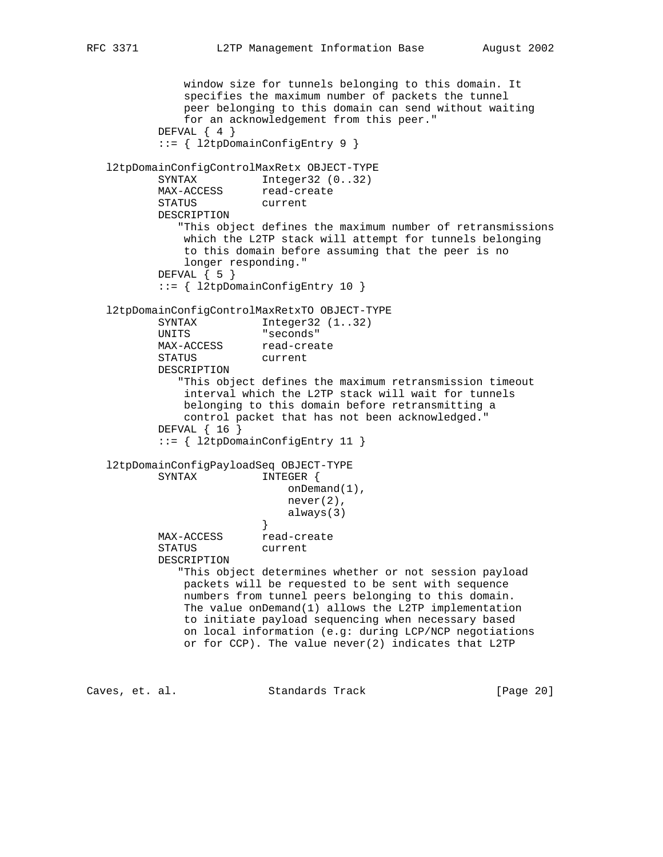```
 window size for tunnels belonging to this domain. It
               specifies the maximum number of packets the tunnel
               peer belonging to this domain can send without waiting
               for an acknowledgement from this peer."
           DEFVAL { 4 }
           ::= { l2tpDomainConfigEntry 9 }
   l2tpDomainConfigControlMaxRetx OBJECT-TYPE
SYNTAX Integer32 (0..32)
MAX-ACCESS read-create
          MAX-ACCESS read-cre<br>STATUS current
           DESCRIPTION
              "This object defines the maximum number of retransmissions
              which the L2TP stack will attempt for tunnels belonging
               to this domain before assuming that the peer is no
               longer responding."
          DEFVAL \{ 5 \} ::= { l2tpDomainConfigEntry 10 }
   l2tpDomainConfigControlMaxRetxTO OBJECT-TYPE
          SYNTAX Integer32 (1..32)
           UNITS "seconds"
          MAX-ACCESS read-create
           STATUS current
           DESCRIPTION
              "This object defines the maximum retransmission timeout
               interval which the L2TP stack will wait for tunnels
              belonging to this domain before retransmitting a
              control packet that has not been acknowledged."
           DEFVAL { 16 }
           ::= { l2tpDomainConfigEntry 11 }
   l2tpDomainConfigPayloadSeq OBJECT-TYPE
           SYNTAX INTEGER {
                             onDemand(1),
                             never(2),
                         always(3)<br>}
 }
MAX-ACCESS read-create
           STATUS current
           DESCRIPTION
              "This object determines whether or not session payload
               packets will be requested to be sent with sequence
               numbers from tunnel peers belonging to this domain.
               The value onDemand(1) allows the L2TP implementation
               to initiate payload sequencing when necessary based
               on local information (e.g: during LCP/NCP negotiations
               or for CCP). The value never(2) indicates that L2TP
Caves, et. al. Standards Track [Page 20]
```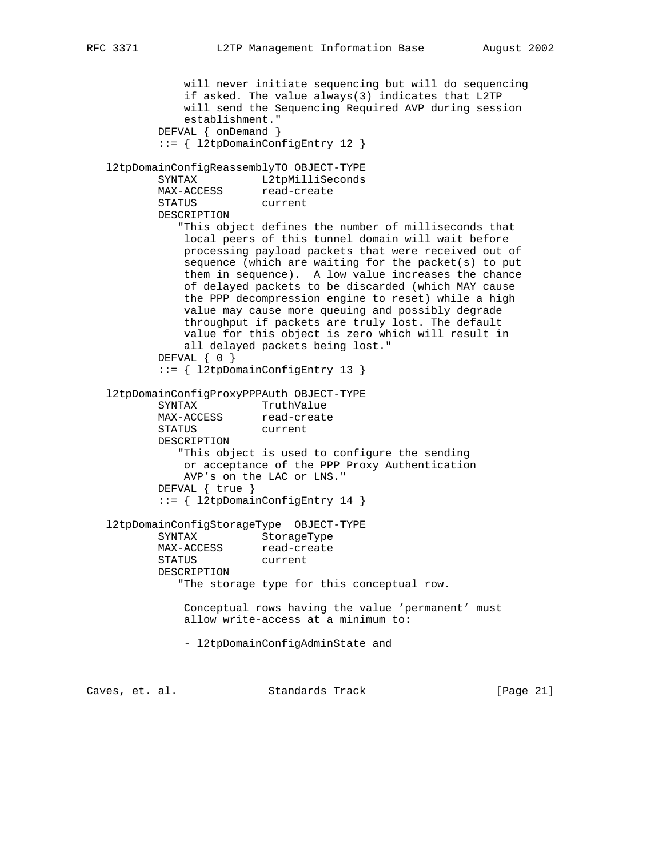```
 will never initiate sequencing but will do sequencing
               if asked. The value always(3) indicates that L2TP
               will send the Sequencing Required AVP during session
               establishment."
           DEFVAL { onDemand }
           ::= { l2tpDomainConfigEntry 12 }
   l2tpDomainConfigReassemblyTO OBJECT-TYPE
          SYNTAX L2tpMilliSeconds
MAX-ACCESS read-create
 STATUS current
           DESCRIPTION
              "This object defines the number of milliseconds that
               local peers of this tunnel domain will wait before
               processing payload packets that were received out of
               sequence (which are waiting for the packet(s) to put
               them in sequence). A low value increases the chance
               of delayed packets to be discarded (which MAY cause
               the PPP decompression engine to reset) while a high
               value may cause more queuing and possibly degrade
               throughput if packets are truly lost. The default
               value for this object is zero which will result in
               all delayed packets being lost."
           DEFVAL { 0 }
           ::= { l2tpDomainConfigEntry 13 }
   l2tpDomainConfigProxyPPPAuth OBJECT-TYPE
SYNTAX TruthValue
MAX-ACCESS read-create
           STATUS current
           DESCRIPTION
              "This object is used to configure the sending
              or acceptance of the PPP Proxy Authentication
               AVP's on the LAC or LNS."
           DEFVAL { true }
           ::= { l2tpDomainConfigEntry 14 }
   l2tpDomainConfigStorageType OBJECT-TYPE
          SYNTAX StorageType<br>MAX-ACCESS read-create
          SINIME-<br>MAX-ACCESS
           STATUS current
           DESCRIPTION
              "The storage type for this conceptual row.
               Conceptual rows having the value 'permanent' must
               allow write-access at a minimum to:
               - l2tpDomainConfigAdminState and
Caves, et. al. Standards Track [Page 21]
```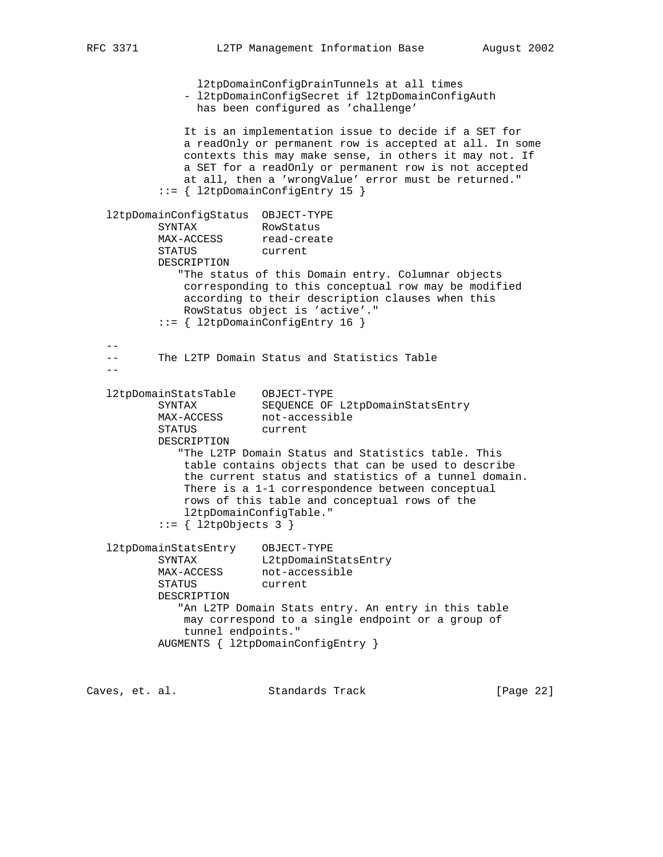l2tpDomainConfigDrainTunnels at all times - l2tpDomainConfigSecret if l2tpDomainConfigAuth has been configured as 'challenge' It is an implementation issue to decide if a SET for a readOnly or permanent row is accepted at all. In some contexts this may make sense, in others it may not. If a SET for a readOnly or permanent row is not accepted at all, then a 'wrongValue' error must be returned." ::= { l2tpDomainConfigEntry 15 } l2tpDomainConfigStatus OBJECT-TYPE SYNTAX RowStatus MAX-ACCESS read-create STATUS current DESCRIPTION "The status of this Domain entry. Columnar objects corresponding to this conceptual row may be modified according to their description clauses when this RowStatus object is 'active'." ::= { l2tpDomainConfigEntry 16 } -- -- The L2TP Domain Status and Statistics Table  $$  l2tpDomainStatsTable OBJECT-TYPE SYNTAX SEQUENCE OF L2tpDomainStatsEntry MAX-ACCESS not-accessible STATUS current DESCRIPTION "The L2TP Domain Status and Statistics table. This table contains objects that can be used to describe the current status and statistics of a tunnel domain. There is a 1-1 correspondence between conceptual rows of this table and conceptual rows of the l2tpDomainConfigTable."  $::=$  { 12tpObjects 3 } l2tpDomainStatsEntry OBJECT-TYPE SYNTAX L2tpDomainStatsEntry MAX-ACCESS not-accessible STATUS current DESCRIPTION "An L2TP Domain Stats entry. An entry in this table may correspond to a single endpoint or a group of tunnel endpoints." AUGMENTS { l2tpDomainConfigEntry }

Caves, et. al. Standards Track [Page 22]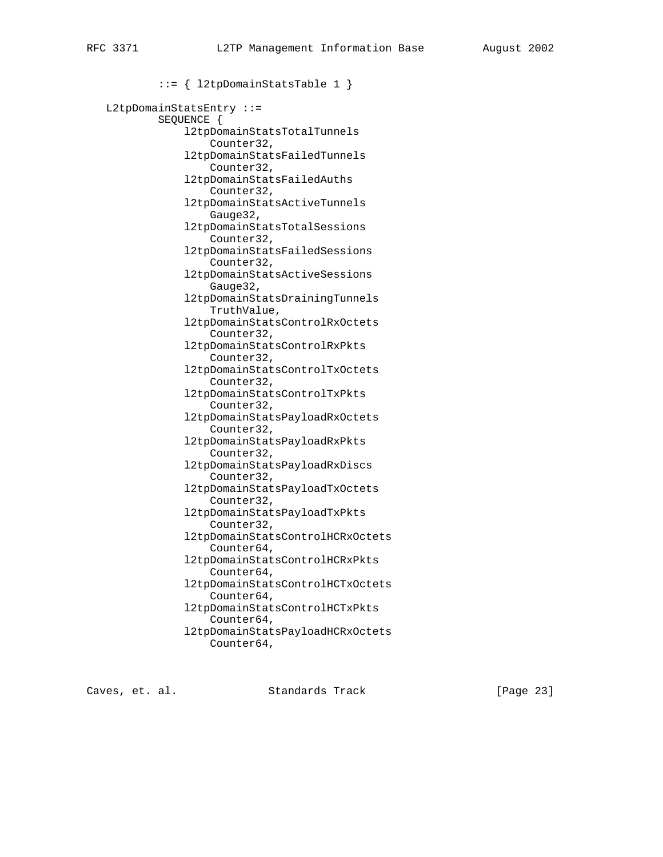::= { l2tpDomainStatsTable 1 } L2tpDomainStatsEntry ::= SEQUENCE { l2tpDomainStatsTotalTunnels Counter32, l2tpDomainStatsFailedTunnels Counter32, l2tpDomainStatsFailedAuths Counter32, l2tpDomainStatsActiveTunnels Gauge32, l2tpDomainStatsTotalSessions Counter32, l2tpDomainStatsFailedSessions Counter32, l2tpDomainStatsActiveSessions Gauge32, l2tpDomainStatsDrainingTunnels TruthValue, l2tpDomainStatsControlRxOctets Counter32, l2tpDomainStatsControlRxPkts Counter32, l2tpDomainStatsControlTxOctets Counter32, l2tpDomainStatsControlTxPkts Counter32, l2tpDomainStatsPayloadRxOctets Counter32, l2tpDomainStatsPayloadRxPkts Counter32, l2tpDomainStatsPayloadRxDiscs Counter32, l2tpDomainStatsPayloadTxOctets Counter32, l2tpDomainStatsPayloadTxPkts Counter32, l2tpDomainStatsControlHCRxOctets Counter64, l2tpDomainStatsControlHCRxPkts Counter64, l2tpDomainStatsControlHCTxOctets Counter64, l2tpDomainStatsControlHCTxPkts Counter64, l2tpDomainStatsPayloadHCRxOctets Counter64,

Caves, et. al. Standards Track [Page 23]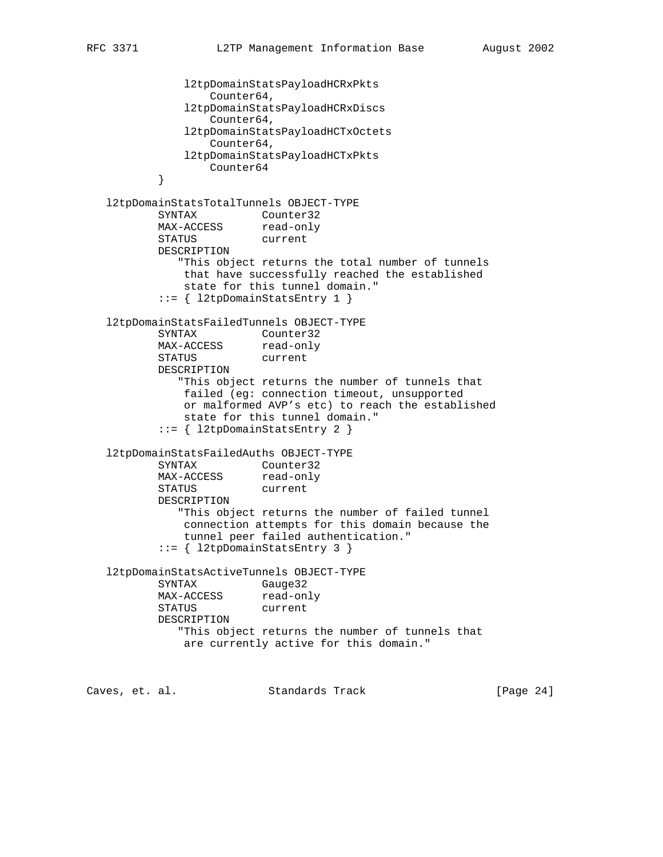```
 l2tpDomainStatsPayloadHCRxPkts
                  Counter64,
              l2tpDomainStatsPayloadHCRxDiscs
                  Counter64,
              l2tpDomainStatsPayloadHCTxOctets
                  Counter64,
              l2tpDomainStatsPayloadHCTxPkts
          Counter64
 }
   l2tpDomainStatsTotalTunnels OBJECT-TYPE
         SYNTAX Counter32<br>MAX-ACCESS read-only
MAX-ACCESS read-only
 STATUS current
          DESCRIPTION
             "This object returns the total number of tunnels
              that have successfully reached the established
              state for this tunnel domain."
          ::= { l2tpDomainStatsEntry 1 }
   l2tpDomainStatsFailedTunnels OBJECT-TYPE
          SYNTAX Counter32
MAX-ACCESS read-only
 STATUS current
          DESCRIPTION
             "This object returns the number of tunnels that
              failed (eg: connection timeout, unsupported
              or malformed AVP's etc) to reach the established
              state for this tunnel domain."
           ::= { l2tpDomainStatsEntry 2 }
   l2tpDomainStatsFailedAuths OBJECT-TYPE
 SYNTAX Counter32
MAX-ACCESS read-only
 STATUS current
          DESCRIPTION
             "This object returns the number of failed tunnel
              connection attempts for this domain because the
              tunnel peer failed authentication."
           ::= { l2tpDomainStatsEntry 3 }
   l2tpDomainStatsActiveTunnels OBJECT-TYPE
          SYNTAX Gauge32
MAX-ACCESS read-only
 STATUS current
          DESCRIPTION
             "This object returns the number of tunnels that
              are currently active for this domain."
```
Caves, et. al. Standards Track [Page 24]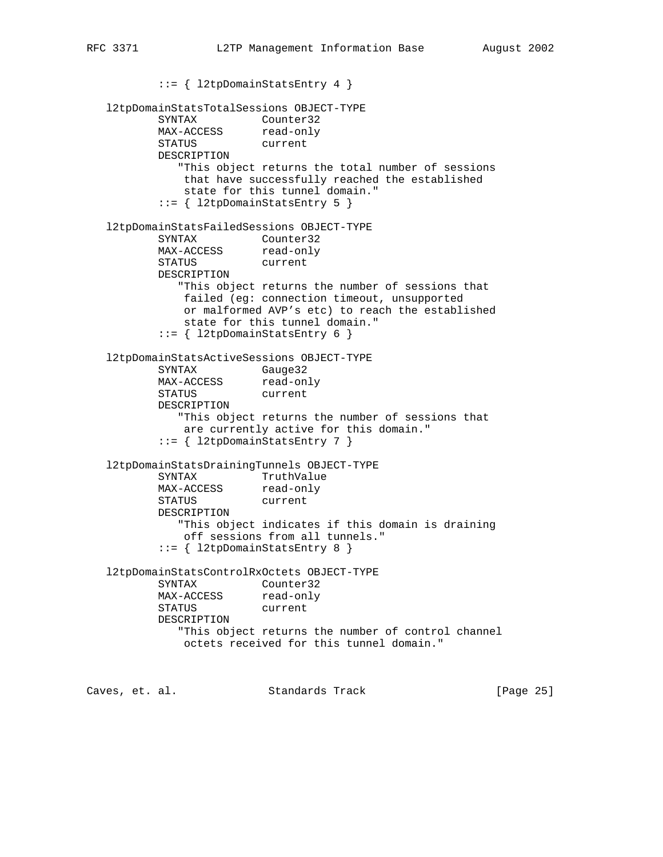::= { l2tpDomainStatsEntry 4 } l2tpDomainStatsTotalSessions OBJECT-TYPE SYNTAX Counter32 MAX-ACCESS read-only STATUS current DESCRIPTION "This object returns the total number of sessions that have successfully reached the established state for this tunnel domain." ::= { l2tpDomainStatsEntry 5 } l2tpDomainStatsFailedSessions OBJECT-TYPE SYNTAX Counter32 MAX-ACCESS read-only STATUS current DESCRIPTION "This object returns the number of sessions that failed (eg: connection timeout, unsupported or malformed AVP's etc) to reach the established state for this tunnel domain." ::= { l2tpDomainStatsEntry 6 } l2tpDomainStatsActiveSessions OBJECT-TYPE SYNTAX Gauge32 MAX-ACCESS read-only STATUS current DESCRIPTION "This object returns the number of sessions that are currently active for this domain." ::= { l2tpDomainStatsEntry 7 } l2tpDomainStatsDrainingTunnels OBJECT-TYPE SYNTAX TruthValue MAX-ACCESS read-only STATUS current DESCRIPTION "This object indicates if this domain is draining off sessions from all tunnels." ::= { l2tpDomainStatsEntry 8 } l2tpDomainStatsControlRxOctets OBJECT-TYPE SYNTAX Counter32 MAX-ACCESS read-only STATUS current DESCRIPTION "This object returns the number of control channel octets received for this tunnel domain."

Caves, et. al. Standards Track [Page 25]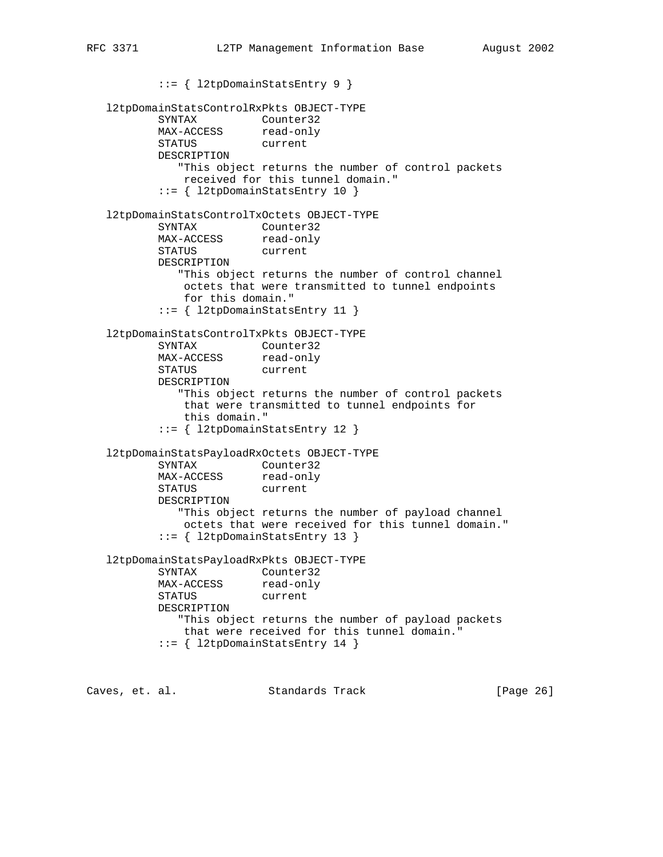::= { l2tpDomainStatsEntry 9 } l2tpDomainStatsControlRxPkts OBJECT-TYPE SYNTAX Counter32 MAX-ACCESS read-only STATUS current DESCRIPTION "This object returns the number of control packets received for this tunnel domain." ::= { l2tpDomainStatsEntry 10 } l2tpDomainStatsControlTxOctets OBJECT-TYPE SYNTAX Counter32 MAX-ACCESS read-only STATUS current DESCRIPTION "This object returns the number of control channel octets that were transmitted to tunnel endpoints for this domain." ::= { l2tpDomainStatsEntry 11 } l2tpDomainStatsControlTxPkts OBJECT-TYPE SYNTAX Counter32 MAX-ACCESS read-only STATUS current DESCRIPTION "This object returns the number of control packets that were transmitted to tunnel endpoints for this domain." ::= { l2tpDomainStatsEntry 12 } l2tpDomainStatsPayloadRxOctets OBJECT-TYPE SYNTAX Counter32 MAX-ACCESS read-only STATUS current DESCRIPTION "This object returns the number of payload channel octets that were received for this tunnel domain." ::= { l2tpDomainStatsEntry 13 } l2tpDomainStatsPayloadRxPkts OBJECT-TYPE SYNTAX Counter32 MAX-ACCESS read-only STATUS current DESCRIPTION "This object returns the number of payload packets that were received for this tunnel domain." ::= { l2tpDomainStatsEntry 14 } Caves, et. al. Standards Track [Page 26]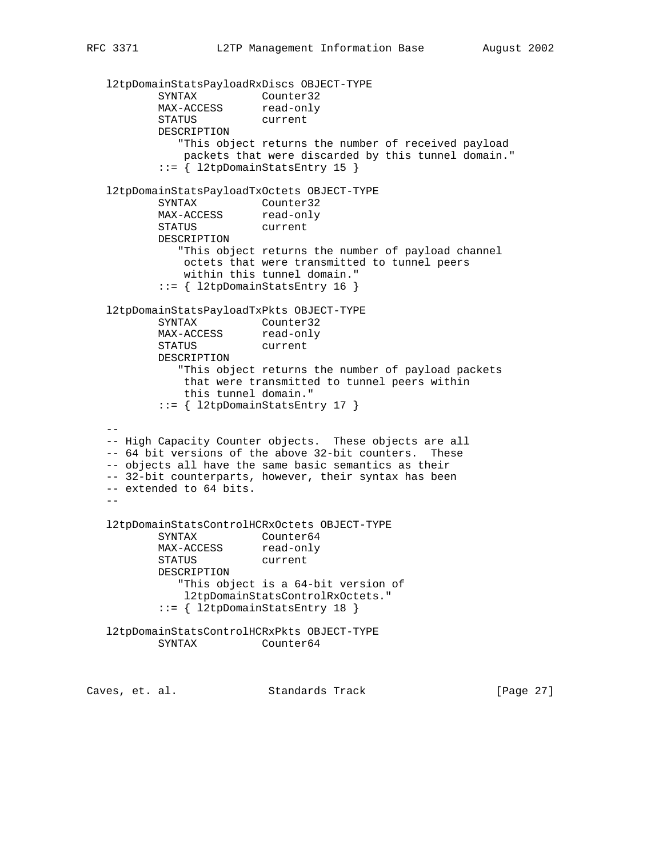```
 l2tpDomainStatsPayloadRxDiscs OBJECT-TYPE
SYNTAX Counter32
MAX-ACCESS read-only
          STATUS current
          DESCRIPTION
             "This object returns the number of received payload
             packets that were discarded by this tunnel domain."
          ::= { l2tpDomainStatsEntry 15 }
   l2tpDomainStatsPayloadTxOctets OBJECT-TYPE
SYNTAX Counter32
MAX-ACCESS read-only
 STATUS current
          DESCRIPTION
             "This object returns the number of payload channel
             octets that were transmitted to tunnel peers
             within this tunnel domain."
          ::= { l2tpDomainStatsEntry 16 }
   l2tpDomainStatsPayloadTxPkts OBJECT-TYPE
          SYNTAX Counter32
MAX-ACCESS read-only
 STATUS current
          DESCRIPTION
             "This object returns the number of payload packets
              that were transmitted to tunnel peers within
              this tunnel domain."
          ::= { l2tpDomainStatsEntry 17 }
- -- High Capacity Counter objects. These objects are all
   -- 64 bit versions of the above 32-bit counters. These
   -- objects all have the same basic semantics as their
   -- 32-bit counterparts, however, their syntax has been
   -- extended to 64 bits.
   --
   l2tpDomainStatsControlHCRxOctets OBJECT-TYPE
          SYNTAX Counter64
MAX-ACCESS read-only
 STATUS current
          DESCRIPTION
             "This object is a 64-bit version of
             l2tpDomainStatsControlRxOctets."
          ::= { l2tpDomainStatsEntry 18 }
   l2tpDomainStatsControlHCRxPkts OBJECT-TYPE
          SYNTAX Counter64
Caves, et. al. Standards Track [Page 27]
```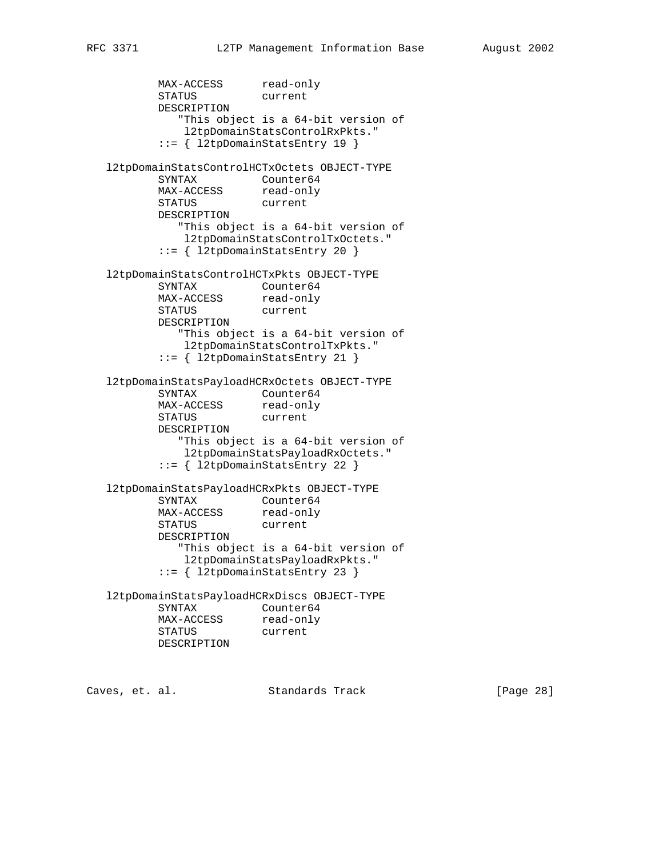MAX-ACCESS read-only STATUS current DESCRIPTION "This object is a 64-bit version of l2tpDomainStatsControlRxPkts." ::= { l2tpDomainStatsEntry 19 } l2tpDomainStatsControlHCTxOctets OBJECT-TYPE SYNTAX Counter64 MAX-ACCESS read-only STATUS current DESCRIPTION "This object is a 64-bit version of l2tpDomainStatsControlTxOctets." ::= { l2tpDomainStatsEntry 20 } l2tpDomainStatsControlHCTxPkts OBJECT-TYPE SYNTAX Counter64 MAX-ACCESS read-only STATUS current DESCRIPTION "This object is a 64-bit version of l2tpDomainStatsControlTxPkts." ::= { l2tpDomainStatsEntry 21 } l2tpDomainStatsPayloadHCRxOctets OBJECT-TYPE SYNTAX Counter64 MAX-ACCESS read-only STATUS current DESCRIPTION "This object is a 64-bit version of l2tpDomainStatsPayloadRxOctets." ::= { l2tpDomainStatsEntry 22 } l2tpDomainStatsPayloadHCRxPkts OBJECT-TYPE SYNTAX Counter64 MAX-ACCESS read-only STATUS current DESCRIPTION "This object is a 64-bit version of l2tpDomainStatsPayloadRxPkts." ::= { l2tpDomainStatsEntry 23 } l2tpDomainStatsPayloadHCRxDiscs OBJECT-TYPE SYNTAX Counter64 MAX-ACCESS read-only STATUS current DESCRIPTION

Caves, et. al. Standards Track [Page 28]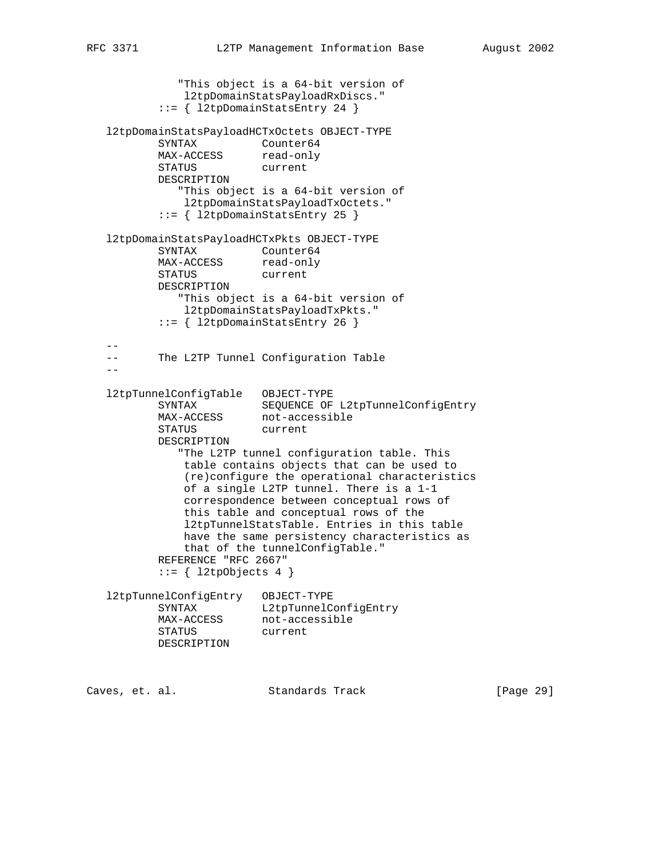```
 "This object is a 64-bit version of
             l2tpDomainStatsPayloadRxDiscs."
          ::= { l2tpDomainStatsEntry 24 }
   l2tpDomainStatsPayloadHCTxOctets OBJECT-TYPE
SYNTAX Counter64
MAX-ACCESS read-only
 STATUS current
          DESCRIPTION
             "This object is a 64-bit version of
             l2tpDomainStatsPayloadTxOctets."
          ::= { l2tpDomainStatsEntry 25 }
   l2tpDomainStatsPayloadHCTxPkts OBJECT-TYPE
         SYNTAX Counter64
MAX-ACCESS read-only
 STATUS current
          DESCRIPTION
             "This object is a 64-bit version of
             l2tpDomainStatsPayloadTxPkts."
          ::= { l2tpDomainStatsEntry 26 }
 --
   -- The L2TP Tunnel Configuration Table
  - l2tpTunnelConfigTable OBJECT-TYPE
 SYNTAX SEQUENCE OF L2tpTunnelConfigEntry
MAX-ACCESS not-accessible
 STATUS current
          DESCRIPTION
             "The L2TP tunnel configuration table. This
             table contains objects that can be used to
             (re)configure the operational characteristics
             of a single L2TP tunnel. There is a 1-1
             correspondence between conceptual rows of
             this table and conceptual rows of the
              l2tpTunnelStatsTable. Entries in this table
             have the same persistency characteristics as
             that of the tunnelConfigTable."
          REFERENCE "RFC 2667"
         ::= { l2tpObjects 4 }
   l2tpTunnelConfigEntry OBJECT-TYPE
SYNTAX L2tpTunnelConfigEntry
MAX-ACCESS not-accessible
 STATUS current
          DESCRIPTION
```
Caves, et. al. Standards Track [Page 29]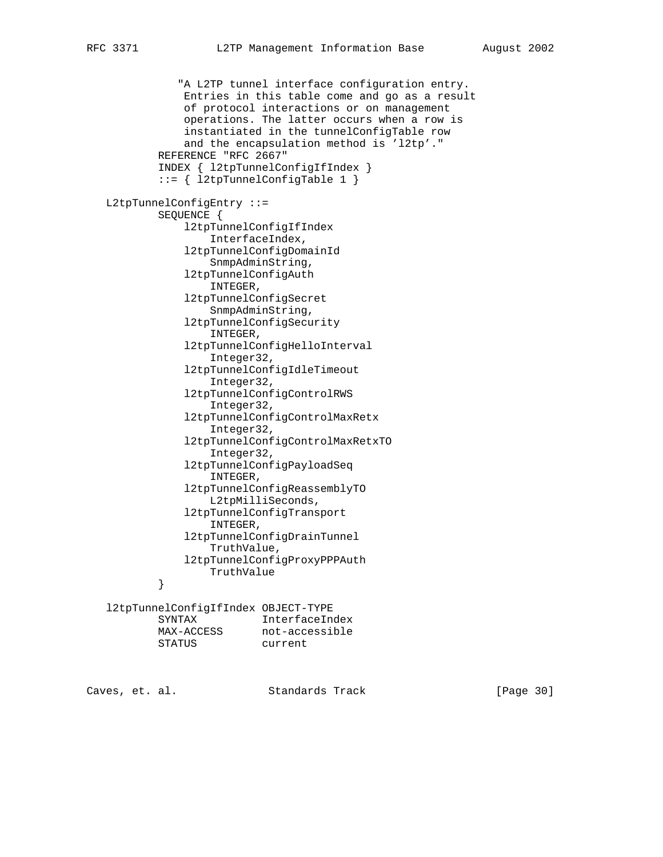"A L2TP tunnel interface configuration entry. Entries in this table come and go as a result of protocol interactions or on management operations. The latter occurs when a row is instantiated in the tunnelConfigTable row and the encapsulation method is 'l2tp'." REFERENCE "RFC 2667" INDEX { l2tpTunnelConfigIfIndex } ::= { l2tpTunnelConfigTable 1 } L2tpTunnelConfigEntry ::= SEQUENCE { l2tpTunnelConfigIfIndex InterfaceIndex, l2tpTunnelConfigDomainId SnmpAdminString, l2tpTunnelConfigAuth INTEGER, l2tpTunnelConfigSecret SnmpAdminString, l2tpTunnelConfigSecurity INTEGER, l2tpTunnelConfigHelloInterval Integer32, l2tpTunnelConfigIdleTimeout Integer32, l2tpTunnelConfigControlRWS Integer32, l2tpTunnelConfigControlMaxRetx Integer32, l2tpTunnelConfigControlMaxRetxTO Integer32, l2tpTunnelConfigPayloadSeq INTEGER, l2tpTunnelConfigReassemblyTO L2tpMilliSeconds, l2tpTunnelConfigTransport INTEGER, l2tpTunnelConfigDrainTunnel TruthValue, l2tpTunnelConfigProxyPPPAuth TruthValue } } l2tpTunnelConfigIfIndex OBJECT-TYPE SYNTAX InterfaceIndex

| 5 IN LAA |            | THLEI LACE THUEX |
|----------|------------|------------------|
|          | MAX-ACCESS | not-accessible   |
| STATUS   |            | current          |

Caves, et. al. Standards Track [Page 30]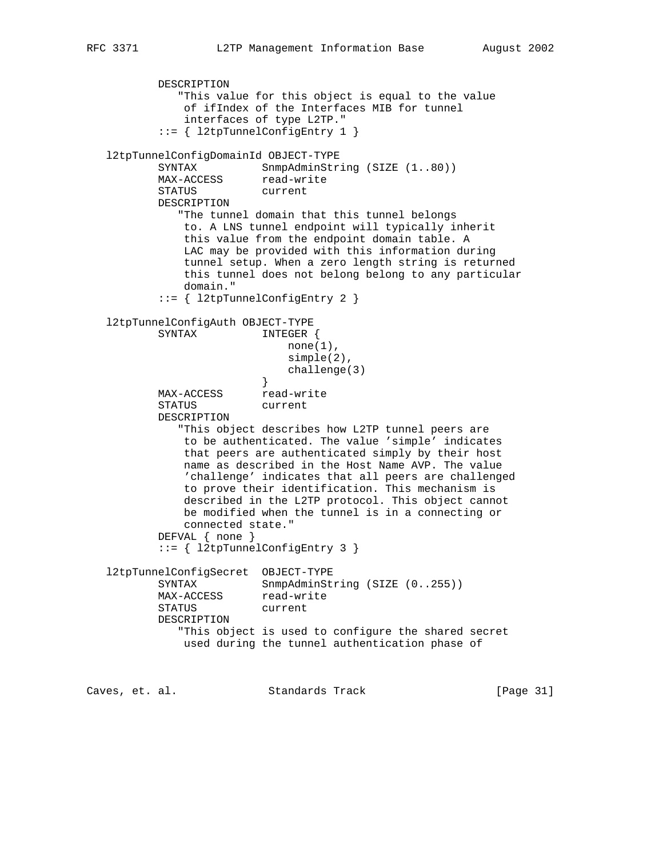```
 DESCRIPTION
              "This value for this object is equal to the value
              of ifIndex of the Interfaces MIB for tunnel
              interfaces of type L2TP."
           ::= { l2tpTunnelConfigEntry 1 }
   l2tpTunnelConfigDomainId OBJECT-TYPE
SYNTAX SnmpAdminString (SIZE (1..80))
MAX-ACCESS read-write
           STATUS current
           DESCRIPTION
              "The tunnel domain that this tunnel belongs
              to. A LNS tunnel endpoint will typically inherit
              this value from the endpoint domain table. A
              LAC may be provided with this information during
              tunnel setup. When a zero length string is returned
              this tunnel does not belong belong to any particular
              domain."
           ::= { l2tpTunnelConfigEntry 2 }
   l2tpTunnelConfigAuth OBJECT-TYPE
           SYNTAX INTEGER {
                            none(1),
                             simple(2),
                         challenge(3)<br>}
 }
          MAX-ACCESS read-write
           STATUS current
           DESCRIPTION
              "This object describes how L2TP tunnel peers are
              to be authenticated. The value 'simple' indicates
              that peers are authenticated simply by their host
              name as described in the Host Name AVP. The value
              'challenge' indicates that all peers are challenged
              to prove their identification. This mechanism is
              described in the L2TP protocol. This object cannot
              be modified when the tunnel is in a connecting or
              connected state."
           DEFVAL { none }
           ::= { l2tpTunnelConfigEntry 3 }
   l2tpTunnelConfigSecret OBJECT-TYPE
          SYNTAX SnmpAdminString (SIZE (0..255))
MAX-ACCESS read-write
 STATUS current
           DESCRIPTION
              "This object is used to configure the shared secret
              used during the tunnel authentication phase of
Caves, et. al. Standards Track [Page 31]
```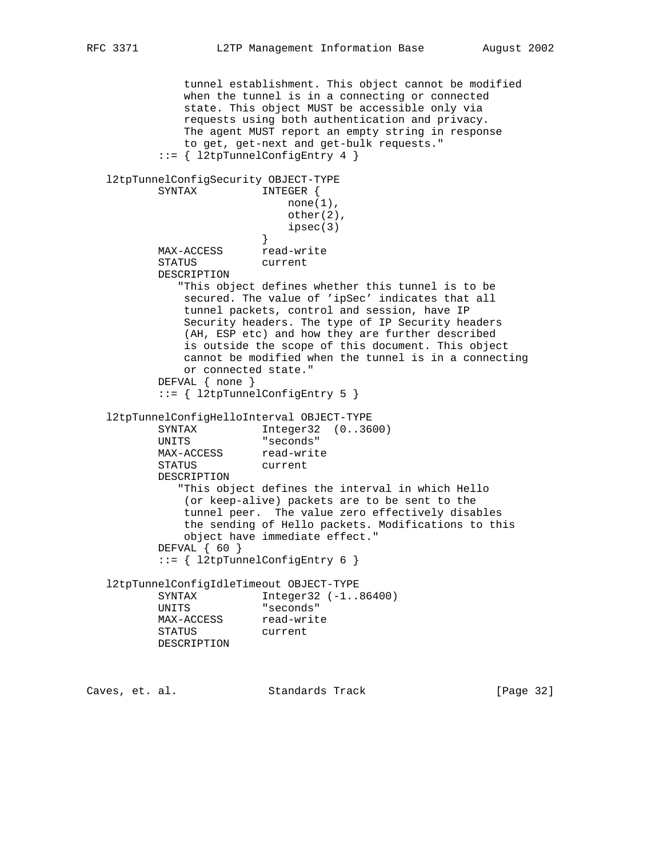tunnel establishment. This object cannot be modified when the tunnel is in a connecting or connected state. This object MUST be accessible only via requests using both authentication and privacy. The agent MUST report an empty string in response to get, get-next and get-bulk requests." ::= { l2tpTunnelConfigEntry 4 } l2tpTunnelConfigSecurity OBJECT-TYPE SYNTAX INTEGER {  $none(1)$ , other(2),  $i$ psec(3) } MAX-ACCESS read-write STATUS current DESCRIPTION "This object defines whether this tunnel is to be secured. The value of 'ipSec' indicates that all tunnel packets, control and session, have IP Security headers. The type of IP Security headers (AH, ESP etc) and how they are further described is outside the scope of this document. This object cannot be modified when the tunnel is in a connecting or connected state." DEFVAL { none } ::= { l2tpTunnelConfigEntry 5 } l2tpTunnelConfigHelloInterval OBJECT-TYPE SYNTAX Integer32 (0..3600)<br>UNITS "seconds" "seconds" MAX-ACCESS read-write STATUS current DESCRIPTION "This object defines the interval in which Hello (or keep-alive) packets are to be sent to the tunnel peer. The value zero effectively disables the sending of Hello packets. Modifications to this object have immediate effect." DEFVAL { 60 } ::= { l2tpTunnelConfigEntry 6 } l2tpTunnelConfigIdleTimeout OBJECT-TYPE SYNTAX Integer32 (-1..86400) UNITS "seconds" MAX-ACCESS read-write STATUS current DESCRIPTION Caves, et. al. Standards Track [Page 32]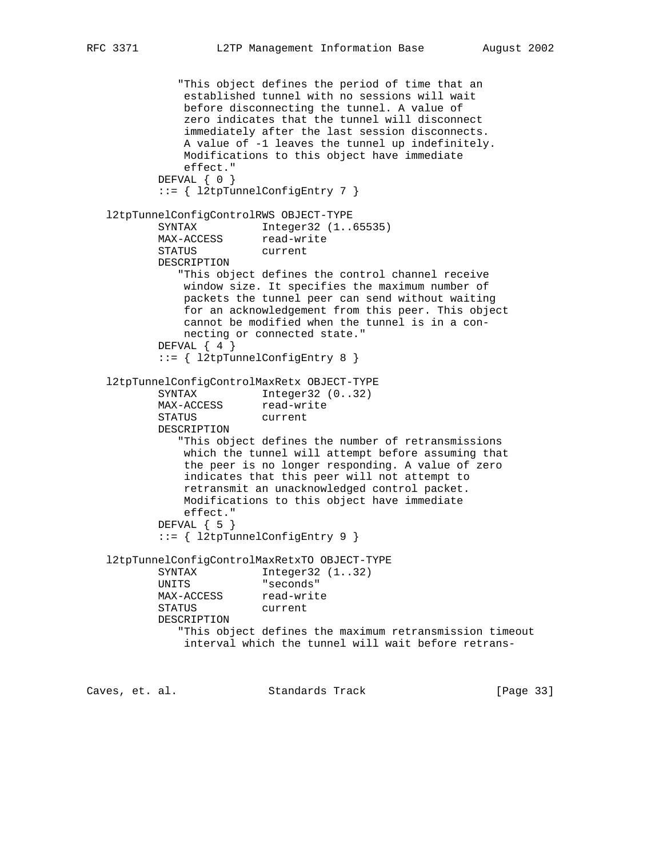```
 "This object defines the period of time that an
               established tunnel with no sessions will wait
               before disconnecting the tunnel. A value of
               zero indicates that the tunnel will disconnect
               immediately after the last session disconnects.
               A value of -1 leaves the tunnel up indefinitely.
              Modifications to this object have immediate
               effect."
           DEFVAL { 0 }
           ::= { l2tpTunnelConfigEntry 7 }
   l2tpTunnelConfigControlRWS OBJECT-TYPE
           SYNTAX Integer32 (1..65535)
MAX-ACCESS read-write
 STATUS current
           DESCRIPTION
              "This object defines the control channel receive
              window size. It specifies the maximum number of
              packets the tunnel peer can send without waiting
              for an acknowledgement from this peer. This object
              cannot be modified when the tunnel is in a con-
              necting or connected state."
          DEFVAL \{ 4 \} ::= { l2tpTunnelConfigEntry 8 }
   l2tpTunnelConfigControlMaxRetx OBJECT-TYPE
SYNTAX Integer32 (0..32)
MAX-ACCESS read-write
           STATUS current
           DESCRIPTION
              "This object defines the number of retransmissions
              which the tunnel will attempt before assuming that
              the peer is no longer responding. A value of zero
              indicates that this peer will not attempt to
              retransmit an unacknowledged control packet.
              Modifications to this object have immediate
              effect."
          DEFVAL { 5 }
           ::= { l2tpTunnelConfigEntry 9 }
   l2tpTunnelConfigControlMaxRetxTO OBJECT-TYPE
          SYNTAX Integer32 (1..32)<br>UNITS "seconds"
                        "seconds"
MAX-ACCESS read-write
 STATUS current
           DESCRIPTION
              "This object defines the maximum retransmission timeout
              interval which the tunnel will wait before retrans-
Caves, et. al. Standards Track [Page 33]
```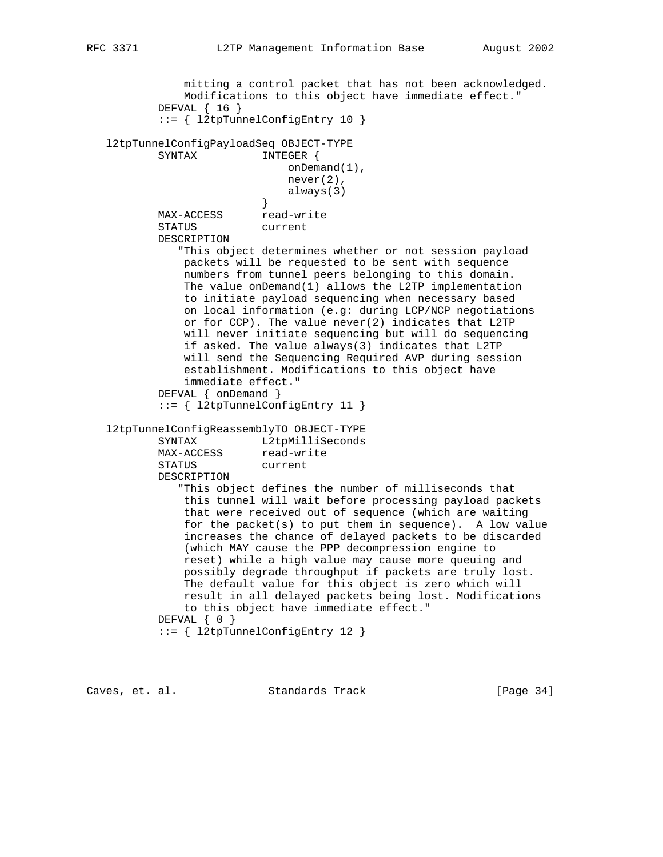```
 mitting a control packet that has not been acknowledged.
               Modifications to this object have immediate effect."
           DEFVAL { 16 }
           ::= { l2tpTunnelConfigEntry 10 }
   l2tpTunnelConfigPayloadSeq OBJECT-TYPE
          SYNTAX INTEGER {
                             onDemand(1),
                              never(2),
                          always(3)<br>}
 }
MAX-ACCESS read-write
           STATUS current
           DESCRIPTION
              "This object determines whether or not session payload
               packets will be requested to be sent with sequence
               numbers from tunnel peers belonging to this domain.
               The value onDemand(1) allows the L2TP implementation
               to initiate payload sequencing when necessary based
               on local information (e.g: during LCP/NCP negotiations
               or for CCP). The value never(2) indicates that L2TP
               will never initiate sequencing but will do sequencing
               if asked. The value always(3) indicates that L2TP
               will send the Sequencing Required AVP during session
               establishment. Modifications to this object have
               immediate effect."
           DEFVAL { onDemand }
           ::= { l2tpTunnelConfigEntry 11 }
   l2tpTunnelConfigReassemblyTO OBJECT-TYPE
SYNTAX L2tpMilliSeconds
MAX-ACCESS read-write
           STATUS current
           DESCRIPTION
              "This object defines the number of milliseconds that
               this tunnel will wait before processing payload packets
               that were received out of sequence (which are waiting
               for the packet(s) to put them in sequence). A low value
               increases the chance of delayed packets to be discarded
               (which MAY cause the PPP decompression engine to
               reset) while a high value may cause more queuing and
               possibly degrade throughput if packets are truly lost.
               The default value for this object is zero which will
               result in all delayed packets being lost. Modifications
               to this object have immediate effect."
          DEFVAL { 0 }
           ::= { l2tpTunnelConfigEntry 12 }
```
Caves, et. al. Standards Track [Page 34]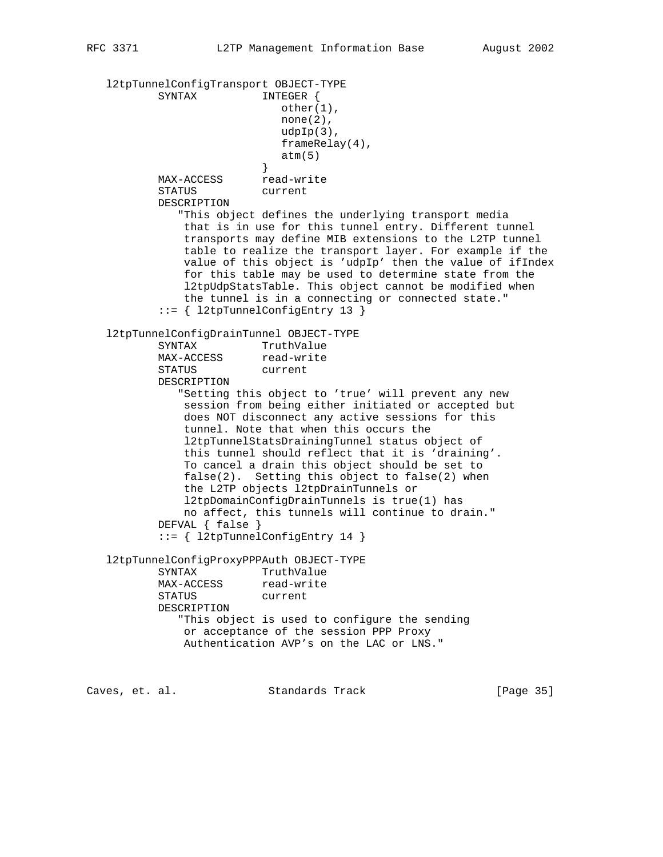l2tpTunnelConfigTransport OBJECT-TYPE SYNTAX INTEGER { other(1),  $none(2)$ , udpIp(3), frameRelay(4),  $atm(5)$  } MAX-ACCESS read-write STATUS current DESCRIPTION "This object defines the underlying transport media that is in use for this tunnel entry. Different tunnel transports may define MIB extensions to the L2TP tunnel table to realize the transport layer. For example if the value of this object is 'udpIp' then the value of ifIndex for this table may be used to determine state from the l2tpUdpStatsTable. This object cannot be modified when the tunnel is in a connecting or connected state." ::= { l2tpTunnelConfigEntry 13 } l2tpTunnelConfigDrainTunnel OBJECT-TYPE SYNTAX TruthValue MAX-ACCESS read-write STATUS current DESCRIPTION "Setting this object to 'true' will prevent any new session from being either initiated or accepted but does NOT disconnect any active sessions for this tunnel. Note that when this occurs the l2tpTunnelStatsDrainingTunnel status object of this tunnel should reflect that it is 'draining'. To cancel a drain this object should be set to false(2). Setting this object to false(2) when the L2TP objects l2tpDrainTunnels or l2tpDomainConfigDrainTunnels is true(1) has no affect, this tunnels will continue to drain." DEFVAL { false } ::= { l2tpTunnelConfigEntry 14 } l2tpTunnelConfigProxyPPPAuth OBJECT-TYPE SYNTAX TruthValue MAX-ACCESS read-write STATUS current DESCRIPTION "This object is used to configure the sending or acceptance of the session PPP Proxy Authentication AVP's on the LAC or LNS."

Caves, et. al. Standards Track [Page 35]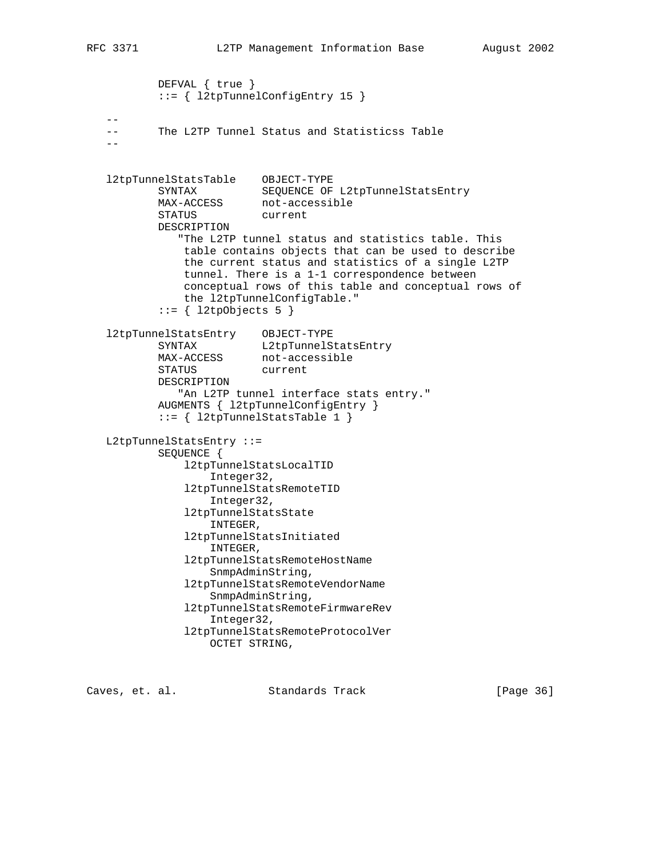```
 DEFVAL { true }
           ::= { l2tpTunnelConfigEntry 15 }
 --
   -- The L2TP Tunnel Status and Statisticss Table
 --
   l2tpTunnelStatsTable OBJECT-TYPE
 SYNTAX SEQUENCE OF L2tpTunnelStatsEntry
MAX-ACCESS not-accessible
 STATUS current
           DESCRIPTION
             "The L2TP tunnel status and statistics table. This
              table contains objects that can be used to describe
              the current status and statistics of a single L2TP
              tunnel. There is a 1-1 correspondence between
              conceptual rows of this table and conceptual rows of
              the l2tpTunnelConfigTable."
          ::= { 12tpObjects 5 }
 l2tpTunnelStatsEntry OBJECT-TYPE
SYNTAX L2tpTunnelStatsEntry
MAX-ACCESS not-accessible
 STATUS current
           DESCRIPTION
              "An L2TP tunnel interface stats entry."
           AUGMENTS { l2tpTunnelConfigEntry }
           ::= { l2tpTunnelStatsTable 1 }
   L2tpTunnelStatsEntry ::=
           SEQUENCE {
              l2tpTunnelStatsLocalTID
                  Integer32,
              l2tpTunnelStatsRemoteTID
                  Integer32,
              l2tpTunnelStatsState
                  INTEGER,
              l2tpTunnelStatsInitiated
                  INTEGER,
              l2tpTunnelStatsRemoteHostName
                  SnmpAdminString,
              l2tpTunnelStatsRemoteVendorName
                  SnmpAdminString,
              l2tpTunnelStatsRemoteFirmwareRev
                  Integer32,
              l2tpTunnelStatsRemoteProtocolVer
                  OCTET STRING,
```
Caves, et. al. Standards Track [Page 36]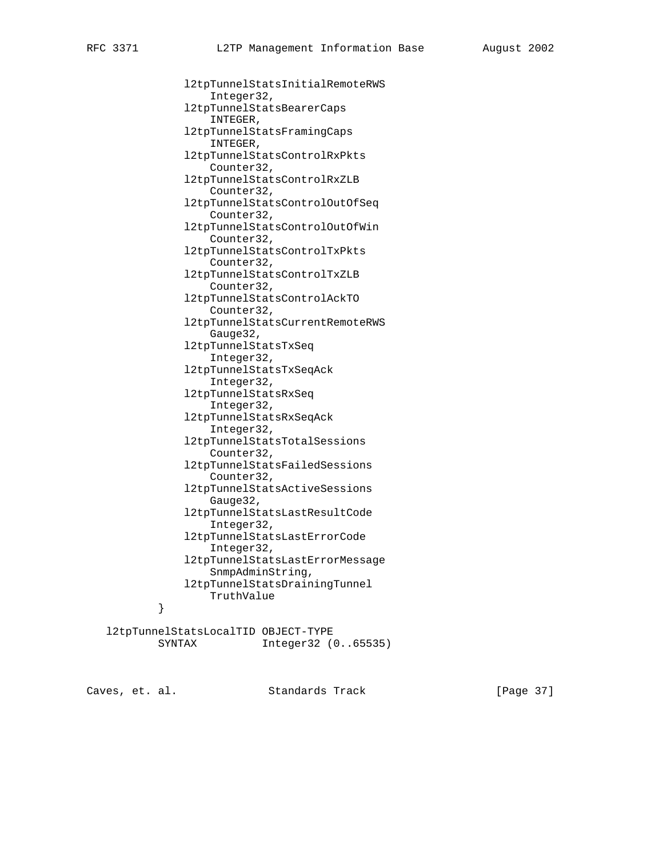l2tpTunnelStatsInitialRemoteRWS Integer32, l2tpTunnelStatsBearerCaps INTEGER, l2tpTunnelStatsFramingCaps INTEGER, l2tpTunnelStatsControlRxPkts Counter32, l2tpTunnelStatsControlRxZLB Counter32, l2tpTunnelStatsControlOutOfSeq Counter32, l2tpTunnelStatsControlOutOfWin Counter32, l2tpTunnelStatsControlTxPkts Counter32, l2tpTunnelStatsControlTxZLB Counter32, l2tpTunnelStatsControlAckTO Counter32, l2tpTunnelStatsCurrentRemoteRWS Gauge32, l2tpTunnelStatsTxSeq Integer32, l2tpTunnelStatsTxSeqAck Integer32, l2tpTunnelStatsRxSeq Integer32, l2tpTunnelStatsRxSeqAck Integer32, l2tpTunnelStatsTotalSessions Counter32, l2tpTunnelStatsFailedSessions Counter32, l2tpTunnelStatsActiveSessions Gauge32, l2tpTunnelStatsLastResultCode Integer32, l2tpTunnelStatsLastErrorCode Integer32, l2tpTunnelStatsLastErrorMessage SnmpAdminString, l2tpTunnelStatsDrainingTunnel TruthValue } }

 l2tpTunnelStatsLocalTID OBJECT-TYPE SYNTAX Integer32 (0..65535)

Caves, et. al. Standards Track [Page 37]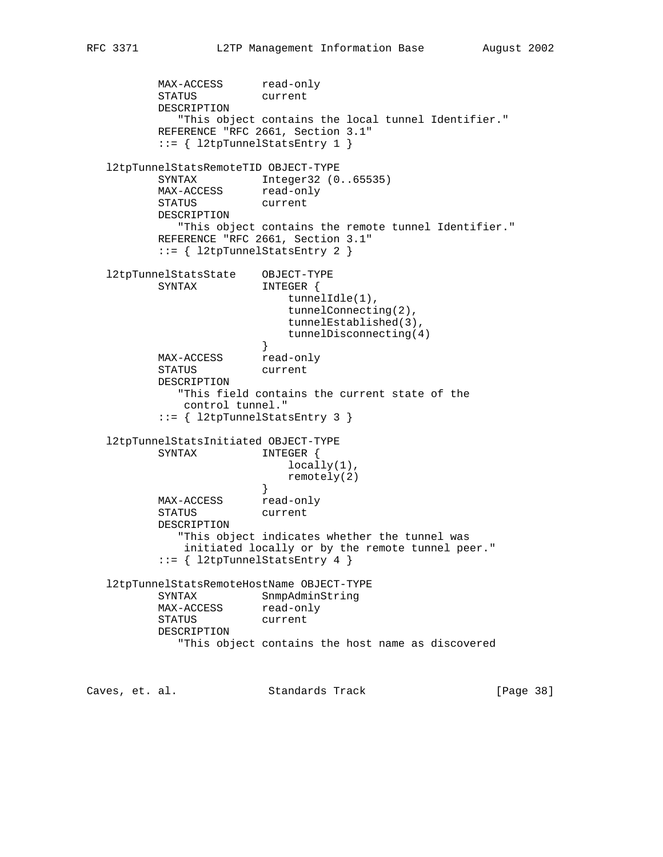MAX-ACCESS read-only STATUS current DESCRIPTION "This object contains the local tunnel Identifier." REFERENCE "RFC 2661, Section 3.1" ::= { l2tpTunnelStatsEntry 1 } l2tpTunnelStatsRemoteTID OBJECT-TYPE SYNTAX Integer32 (0..65535) MAX-ACCESS read-only STATUS current DESCRIPTION "This object contains the remote tunnel Identifier." REFERENCE "RFC 2661, Section 3.1" ::= { l2tpTunnelStatsEntry 2 } l2tpTunnelStatsState OBJECT-TYPE SYNTAX INTEGER { tunnelIdle(1), tunnelConnecting(2), tunnelEstablished(3), tunnelDisconnecting(4)<br>} } MAX-ACCESS read-only STATUS current DESCRIPTION "This field contains the current state of the control tunnel." ::= { l2tpTunnelStatsEntry 3 } l2tpTunnelStatsInitiated OBJECT-TYPE SYNTAX INTEGER { locally(1), remotely(2)<br>} } MAX-ACCESS read-only STATUS current DESCRIPTION "This object indicates whether the tunnel was initiated locally or by the remote tunnel peer." ::= { l2tpTunnelStatsEntry 4 } l2tpTunnelStatsRemoteHostName OBJECT-TYPE SYNTAX SnmpAdminString MAX-ACCESS read-only STATUS current DESCRIPTION "This object contains the host name as discovered Caves, et. al. Standards Track [Page 38]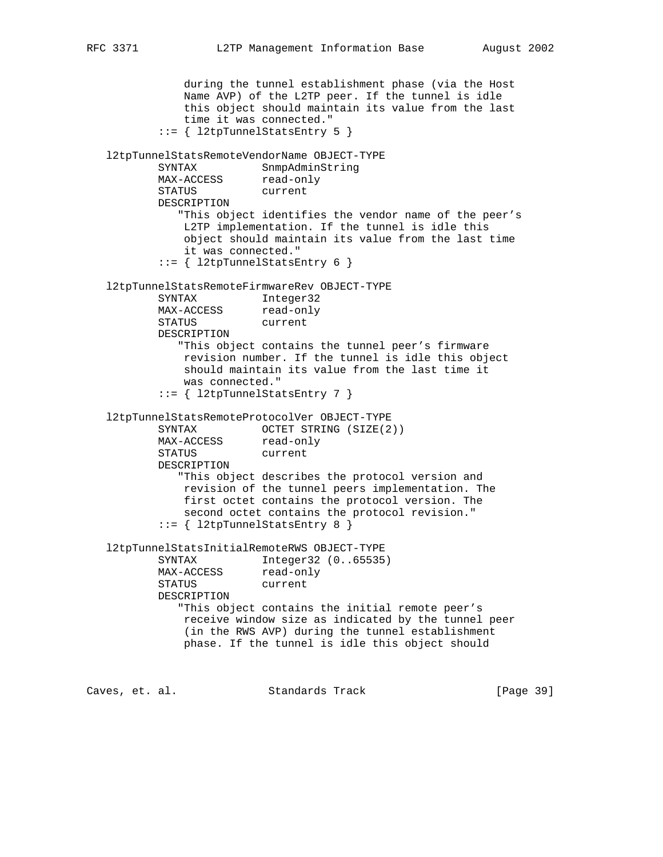```
 during the tunnel establishment phase (via the Host
              Name AVP) of the L2TP peer. If the tunnel is idle
              this object should maintain its value from the last
              time it was connected."
          ::= { l2tpTunnelStatsEntry 5 }
   l2tpTunnelStatsRemoteVendorName OBJECT-TYPE
 SYNTAX SnmpAdminString
MAX-ACCESS read-only
          STATUS current
          DESCRIPTION
             "This object identifies the vendor name of the peer's
              L2TP implementation. If the tunnel is idle this
              object should maintain its value from the last time
              it was connected."
           ::= { l2tpTunnelStatsEntry 6 }
   l2tpTunnelStatsRemoteFirmwareRev OBJECT-TYPE
          SYNTAX Integer32
MAX-ACCESS read-only
 STATUS current
          DESCRIPTION
             "This object contains the tunnel peer's firmware
              revision number. If the tunnel is idle this object
              should maintain its value from the last time it
              was connected."
           ::= { l2tpTunnelStatsEntry 7 }
   l2tpTunnelStatsRemoteProtocolVer OBJECT-TYPE
SYNTAX OCTET STRING (SIZE(2))
MAX-ACCESS read-only
 STATUS current
          DESCRIPTION
             "This object describes the protocol version and
              revision of the tunnel peers implementation. The
              first octet contains the protocol version. The
              second octet contains the protocol revision."
           ::= { l2tpTunnelStatsEntry 8 }
   l2tpTunnelStatsInitialRemoteRWS OBJECT-TYPE
          SYNTAX Integer32 (0..65535)
MAX-ACCESS read-only
 STATUS current
          DESCRIPTION
             "This object contains the initial remote peer's
              receive window size as indicated by the tunnel peer
              (in the RWS AVP) during the tunnel establishment
              phase. If the tunnel is idle this object should
```
Caves, et. al. Standards Track [Page 39]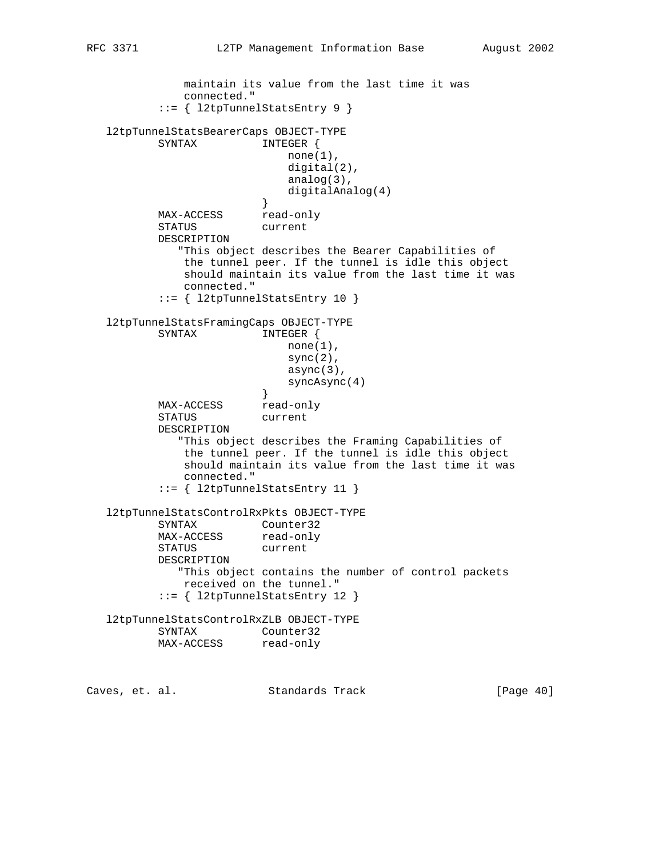```
 maintain its value from the last time it was
              connected."
           ::= { l2tpTunnelStatsEntry 9 }
   l2tpTunnelStatsBearerCaps OBJECT-TYPE
         SYNTAX INTEGER {
                           none(1),
                            digital(2),
                            analog(3),
                        digitalAnalog(4)<br>}
 }
MAX-ACCESS read-only
          STATUS current
          DESCRIPTION
             "This object describes the Bearer Capabilities of
              the tunnel peer. If the tunnel is idle this object
              should maintain its value from the last time it was
              connected."
          ::= { l2tpTunnelStatsEntry 10 }
   l2tpTunnelStatsFramingCaps OBJECT-TYPE
          SYNTAX INTEGER {
                           none(1),
                           sync(2),
                            async(3),
                        syncAsync(4)<br>}
 }
         MAX-ACCESS read-only
          STATUS current
          DESCRIPTION
             "This object describes the Framing Capabilities of
              the tunnel peer. If the tunnel is idle this object
              should maintain its value from the last time it was
              connected."
           ::= { l2tpTunnelStatsEntry 11 }
   l2tpTunnelStatsControlRxPkts OBJECT-TYPE
          SYNTAX Counter32
MAX-ACCESS read-only
 STATUS current
          DESCRIPTION
             "This object contains the number of control packets
             received on the tunnel."
          ::= { l2tpTunnelStatsEntry 12 }
   l2tpTunnelStatsControlRxZLB OBJECT-TYPE
          SYNTAX Counter32
         MAX-ACCESS read-only
Caves, et. al. Standards Track [Page 40]
```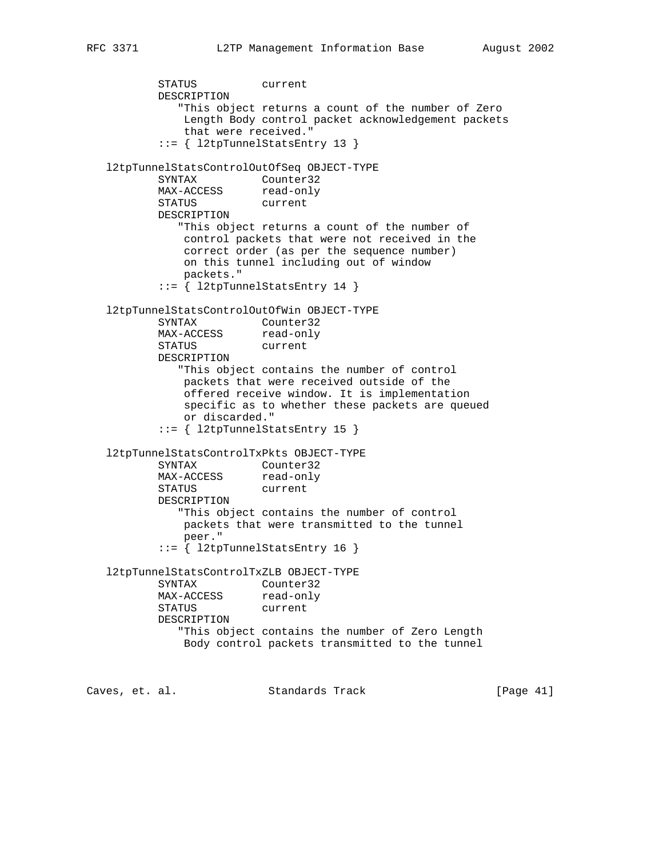STATUS current DESCRIPTION "This object returns a count of the number of Zero Length Body control packet acknowledgement packets that were received." ::= { l2tpTunnelStatsEntry 13 } l2tpTunnelStatsControlOutOfSeq OBJECT-TYPE SYNTAX Counter32<br>MAX-ACCESS read-only MAX-ACCESS read-only STATUS current DESCRIPTION "This object returns a count of the number of control packets that were not received in the correct order (as per the sequence number) on this tunnel including out of window packets." ::= { l2tpTunnelStatsEntry 14 } l2tpTunnelStatsControlOutOfWin OBJECT-TYPE SYNTAX Counter32 MAX-ACCESS read-only STATUS current DESCRIPTION "This object contains the number of control packets that were received outside of the offered receive window. It is implementation specific as to whether these packets are queued or discarded." ::= { l2tpTunnelStatsEntry 15 } l2tpTunnelStatsControlTxPkts OBJECT-TYPE SYNTAX Counter32 MAX-ACCESS read-only STATUS current DESCRIPTION "This object contains the number of control packets that were transmitted to the tunnel peer." ::= { l2tpTunnelStatsEntry 16 } l2tpTunnelStatsControlTxZLB OBJECT-TYPE SYNTAX Counter32 MAX-ACCESS read-only STATUS current DESCRIPTION "This object contains the number of Zero Length Body control packets transmitted to the tunnel

Caves, et. al. Standards Track [Page 41]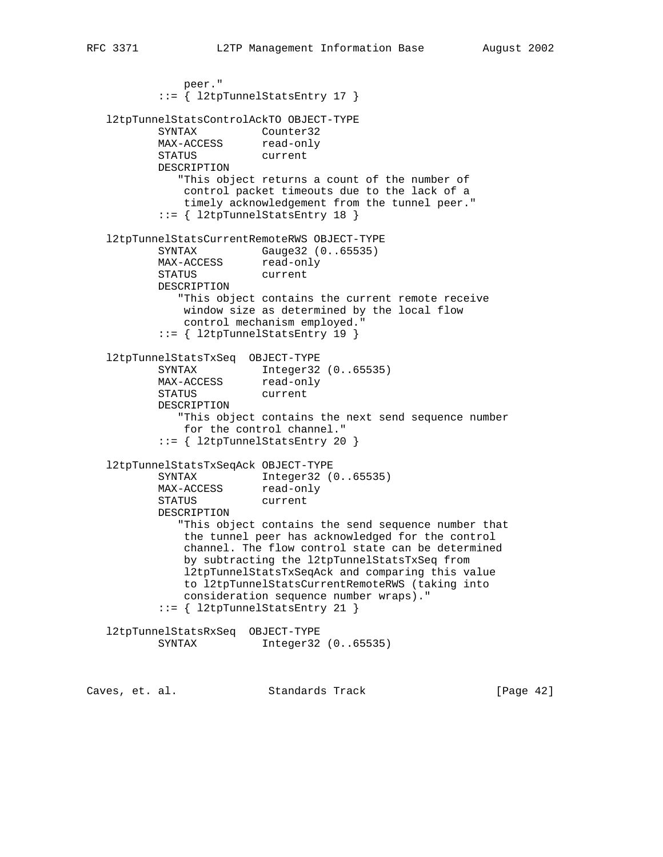peer." ::= { l2tpTunnelStatsEntry 17 } l2tpTunnelStatsControlAckTO OBJECT-TYPE SYNTAX Counter32 MAX-ACCESS read-only STATUS current DESCRIPTION "This object returns a count of the number of control packet timeouts due to the lack of a timely acknowledgement from the tunnel peer." ::= { l2tpTunnelStatsEntry 18 } l2tpTunnelStatsCurrentRemoteRWS OBJECT-TYPE SYNTAX Gauge32 (0..65535) MAX-ACCESS read-only STATUS current DESCRIPTION "This object contains the current remote receive window size as determined by the local flow control mechanism employed." ::= { l2tpTunnelStatsEntry 19 } l2tpTunnelStatsTxSeq OBJECT-TYPE SYNTAX Integer32 (0..65535) MAX-ACCESS read-only STATUS current DESCRIPTION "This object contains the next send sequence number for the control channel." ::= { l2tpTunnelStatsEntry 20 } l2tpTunnelStatsTxSeqAck OBJECT-TYPE SYNTAX Integer32 (0..65535) MAX-ACCESS read-only STATUS current DESCRIPTION "This object contains the send sequence number that the tunnel peer has acknowledged for the control channel. The flow control state can be determined by subtracting the l2tpTunnelStatsTxSeq from l2tpTunnelStatsTxSeqAck and comparing this value to l2tpTunnelStatsCurrentRemoteRWS (taking into consideration sequence number wraps)." ::= { l2tpTunnelStatsEntry 21 } l2tpTunnelStatsRxSeq OBJECT-TYPE SYNTAX Integer32 (0..65535)

Caves, et. al. Standards Track [Page 42]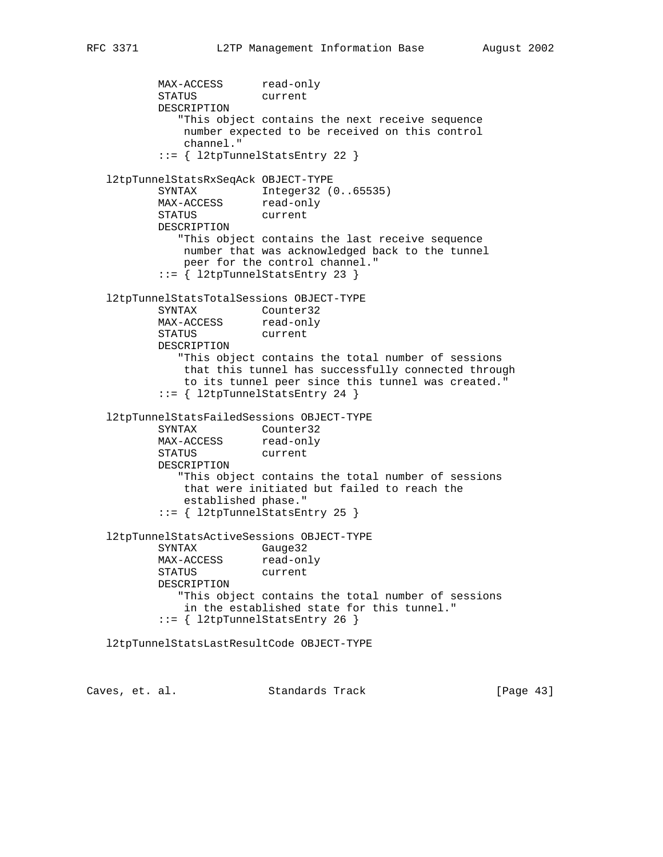MAX-ACCESS read-only STATUS current DESCRIPTION "This object contains the next receive sequence number expected to be received on this control channel." ::= { l2tpTunnelStatsEntry 22 } l2tpTunnelStatsRxSeqAck OBJECT-TYPE SYNTAX Integer32 (0..65535) MAX-ACCESS read-only STATUS current DESCRIPTION "This object contains the last receive sequence number that was acknowledged back to the tunnel peer for the control channel." ::= { l2tpTunnelStatsEntry 23 } l2tpTunnelStatsTotalSessions OBJECT-TYPE SYNTAX Counter32 MAX-ACCESS read-only STATUS current DESCRIPTION "This object contains the total number of sessions that this tunnel has successfully connected through to its tunnel peer since this tunnel was created." ::= { l2tpTunnelStatsEntry 24 } l2tpTunnelStatsFailedSessions OBJECT-TYPE SYNTAX Counter32 MAX-ACCESS read-only STATUS current DESCRIPTION "This object contains the total number of sessions that were initiated but failed to reach the established phase." ::= { l2tpTunnelStatsEntry 25 } l2tpTunnelStatsActiveSessions OBJECT-TYPE SYNTAX Gauge32 MAX-ACCESS read-only STATUS current DESCRIPTION "This object contains the total number of sessions in the established state for this tunnel." ::= { l2tpTunnelStatsEntry 26 } l2tpTunnelStatsLastResultCode OBJECT-TYPE

Caves, et. al. Standards Track [Page 43]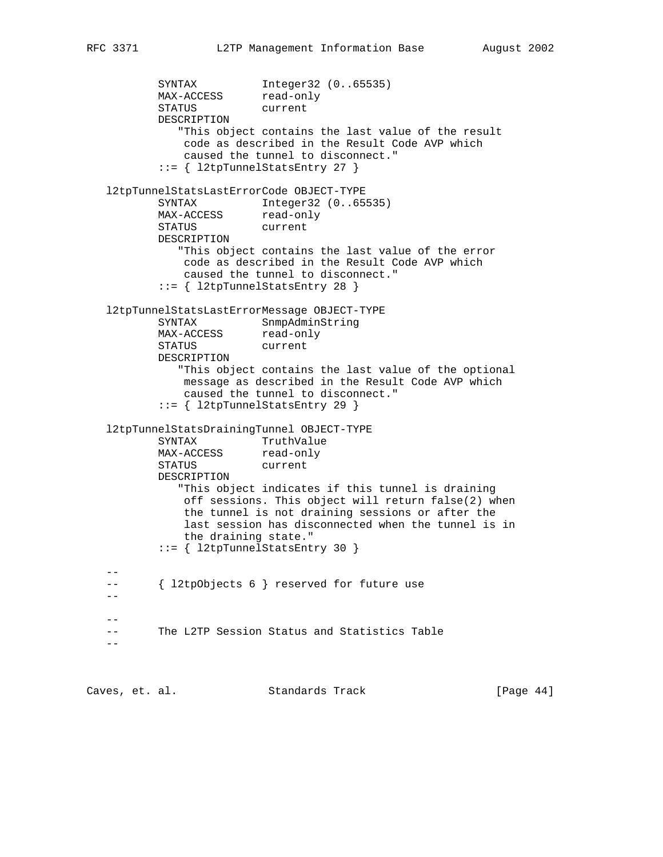```
SYNTAX Integer32 (0..65535)<br>MAX-ACCESS read-only
         MAX-ACCESS
          STATUS current
          DESCRIPTION
             "This object contains the last value of the result
              code as described in the Result Code AVP which
              caused the tunnel to disconnect."
           ::= { l2tpTunnelStatsEntry 27 }
   l2tpTunnelStatsLastErrorCode OBJECT-TYPE
 SYNTAX Integer32 (0..65535)
MAX-ACCESS read-only
 STATUS current
          DESCRIPTION
             "This object contains the last value of the error
              code as described in the Result Code AVP which
              caused the tunnel to disconnect."
           ::= { l2tpTunnelStatsEntry 28 }
   l2tpTunnelStatsLastErrorMessage OBJECT-TYPE
          SYNTAX SnmpAdminString
MAX-ACCESS read-only
 STATUS current
          DESCRIPTION
             "This object contains the last value of the optional
              message as described in the Result Code AVP which
              caused the tunnel to disconnect."
           ::= { l2tpTunnelStatsEntry 29 }
   l2tpTunnelStatsDrainingTunnel OBJECT-TYPE
SYNTAX TruthValue
MAX-ACCESS read-only
 STATUS current
          DESCRIPTION
             "This object indicates if this tunnel is draining
              off sessions. This object will return false(2) when
              the tunnel is not draining sessions or after the
              last session has disconnected when the tunnel is in
              the draining state."
          ::= { l2tpTunnelStatsEntry 30 }
 --
   -- { l2tpObjects 6 } reserved for future use
  - - --
   -- The L2TP Session Status and Statistics Table
 --
```
Caves, et. al. Standards Track [Page 44]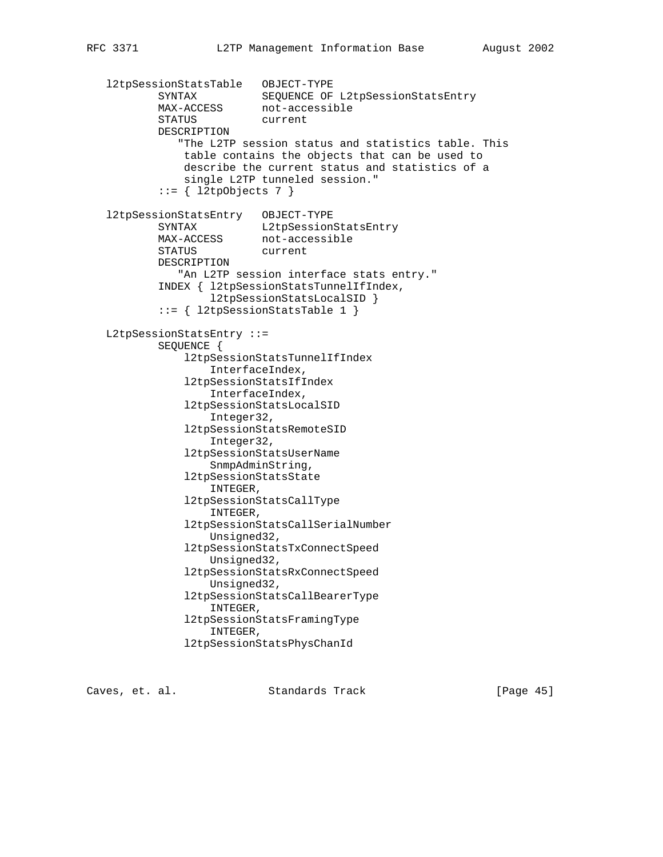l2tpSessionStatsTable OBJECT-TYPE SYNTAX SEQUENCE OF L2tpSessionStatsEntry MAX-ACCESS not-accessible STATUS current DESCRIPTION "The L2TP session status and statistics table. This table contains the objects that can be used to describe the current status and statistics of a single L2TP tunneled session."  $::= \{ 12tpObjects 7 \}$  l2tpSessionStatsEntry OBJECT-TYPE SYNTAX L2tpSessionStatsEntry MAX-ACCESS not-accessible STATUS current DESCRIPTION "An L2TP session interface stats entry." INDEX { l2tpSessionStatsTunnelIfIndex, l2tpSessionStatsLocalSID } ::= { l2tpSessionStatsTable 1 } L2tpSessionStatsEntry ::= SEQUENCE { l2tpSessionStatsTunnelIfIndex InterfaceIndex, l2tpSessionStatsIfIndex InterfaceIndex, l2tpSessionStatsLocalSID Integer32, l2tpSessionStatsRemoteSID Integer32, l2tpSessionStatsUserName SnmpAdminString, l2tpSessionStatsState INTEGER, l2tpSessionStatsCallType INTEGER, l2tpSessionStatsCallSerialNumber Unsigned32, l2tpSessionStatsTxConnectSpeed Unsigned32, l2tpSessionStatsRxConnectSpeed Unsigned32, l2tpSessionStatsCallBearerType INTEGER, l2tpSessionStatsFramingType INTEGER, l2tpSessionStatsPhysChanId

Caves, et. al. Standards Track [Page 45]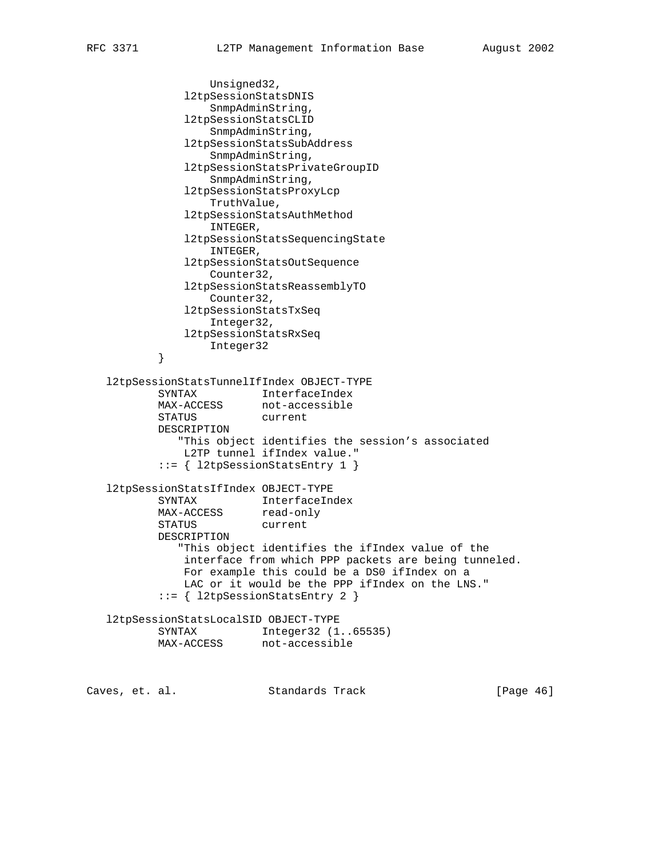```
 Unsigned32,
              l2tpSessionStatsDNIS
                  SnmpAdminString,
              l2tpSessionStatsCLID
                  SnmpAdminString,
              l2tpSessionStatsSubAddress
                  SnmpAdminString,
              l2tpSessionStatsPrivateGroupID
                  SnmpAdminString,
              l2tpSessionStatsProxyLcp
                  TruthValue,
              l2tpSessionStatsAuthMethod
                  INTEGER,
              l2tpSessionStatsSequencingState
                  INTEGER,
              l2tpSessionStatsOutSequence
                  Counter32,
              l2tpSessionStatsReassemblyTO
                  Counter32,
              l2tpSessionStatsTxSeq
                  Integer32,
              l2tpSessionStatsRxSeq
          Integer32
 }
   l2tpSessionStatsTunnelIfIndex OBJECT-TYPE
 SYNTAX InterfaceIndex
MAX-ACCESS not-accessible
          STATUS current
          DESCRIPTION
             "This object identifies the session's associated
              L2TP tunnel ifIndex value."
           ::= { l2tpSessionStatsEntry 1 }
   l2tpSessionStatsIfIndex OBJECT-TYPE
          SYNTAX InterfaceIndex
MAX-ACCESS read-only
 STATUS current
          DESCRIPTION
             "This object identifies the ifIndex value of the
              interface from which PPP packets are being tunneled.
              For example this could be a DS0 ifIndex on a
              LAC or it would be the PPP ifIndex on the LNS."
           ::= { l2tpSessionStatsEntry 2 }
   l2tpSessionStatsLocalSID OBJECT-TYPE
 SYNTAX Integer32 (1..65535)
MAX-ACCESS not-accessible
Caves, et. al. Standards Track [Page 46]
```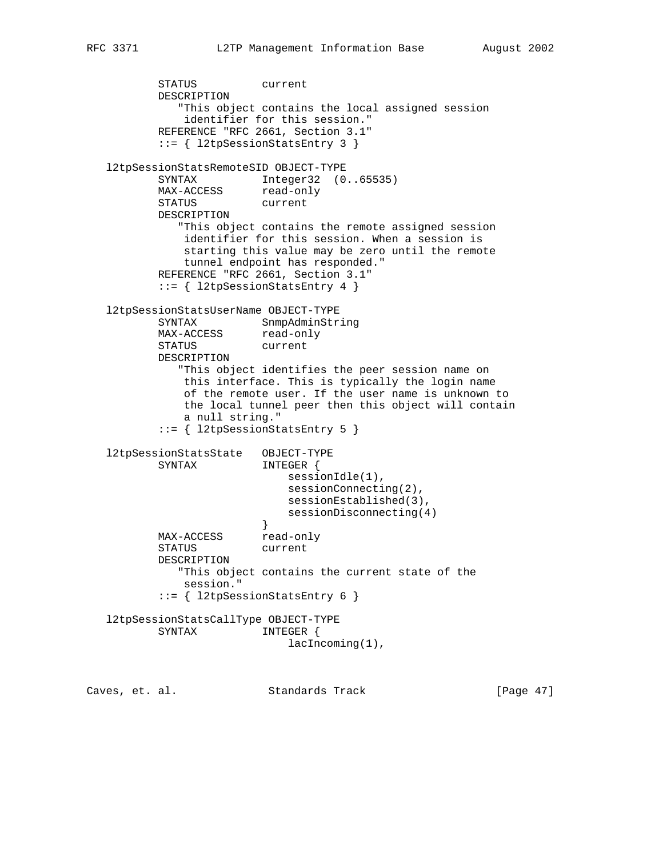STATUS current DESCRIPTION "This object contains the local assigned session identifier for this session." REFERENCE "RFC 2661, Section 3.1" ::= { l2tpSessionStatsEntry 3 } l2tpSessionStatsRemoteSID OBJECT-TYPE SYNTAX Integer32 (0..65535) MAX-ACCESS read-only STATUS current DESCRIPTION "This object contains the remote assigned session identifier for this session. When a session is starting this value may be zero until the remote tunnel endpoint has responded." REFERENCE "RFC 2661, Section 3.1" ::= { l2tpSessionStatsEntry 4 } l2tpSessionStatsUserName OBJECT-TYPE SYNTAX SnmpAdminString MAX-ACCESS read-only STATUS current DESCRIPTION "This object identifies the peer session name on this interface. This is typically the login name of the remote user. If the user name is unknown to the local tunnel peer then this object will contain a null string." ::= { l2tpSessionStatsEntry 5 } l2tpSessionStatsState OBJECT-TYPE SYNTAX INTEGER { sessionIdle(1), sessionConnecting(2), sessionEstablished(3), sessionDisconnecting(4)<br>} } MAX-ACCESS read-only STATUS current DESCRIPTION "This object contains the current state of the session." ::= { l2tpSessionStatsEntry 6 } l2tpSessionStatsCallType OBJECT-TYPE SYNTAX INTEGER { lacIncoming(1),

Caves, et. al. Standards Track [Page 47]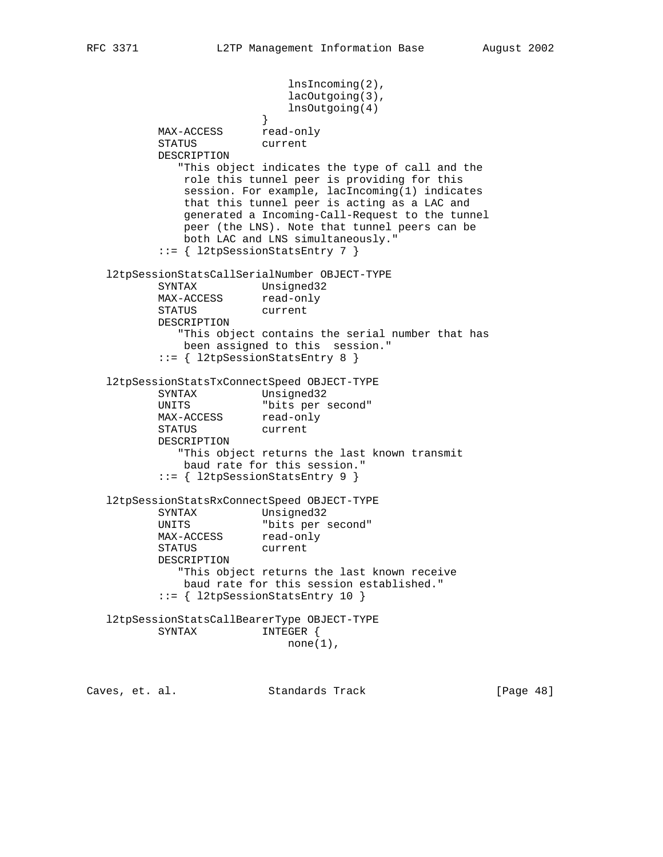lnsIncoming(2), lacOutgoing(3), lnsOutgoing(4) } MAX-ACCESS read-only STATUS current DESCRIPTION "This object indicates the type of call and the role this tunnel peer is providing for this session. For example, lacIncoming(1) indicates that this tunnel peer is acting as a LAC and generated a Incoming-Call-Request to the tunnel peer (the LNS). Note that tunnel peers can be both LAC and LNS simultaneously." ::= { l2tpSessionStatsEntry 7 } l2tpSessionStatsCallSerialNumber OBJECT-TYPE SYNTAX Unsigned32 MAX-ACCESS read-only STATUS current DESCRIPTION "This object contains the serial number that has been assigned to this session." ::= { l2tpSessionStatsEntry 8 } l2tpSessionStatsTxConnectSpeed OBJECT-TYPE SYNTAX Unsigned32<br>UNITS "bits per second" UNITS "bits per second" MAX-ACCESS read-only STATUS current DESCRIPTION "This object returns the last known transmit baud rate for this session." ::= { l2tpSessionStatsEntry 9 } l2tpSessionStatsRxConnectSpeed OBJECT-TYPE SYNTAX Unsigned32<br>UNITS "bits per second" UNITS "bits per second" MAX-ACCESS read-only STATUS current DESCRIPTION "This object returns the last known receive baud rate for this session established." ::= { l2tpSessionStatsEntry 10 } l2tpSessionStatsCallBearerType OBJECT-TYPE SYNTAX INTEGER {  $none(1)$ ,

Caves, et. al. Standards Track [Page 48]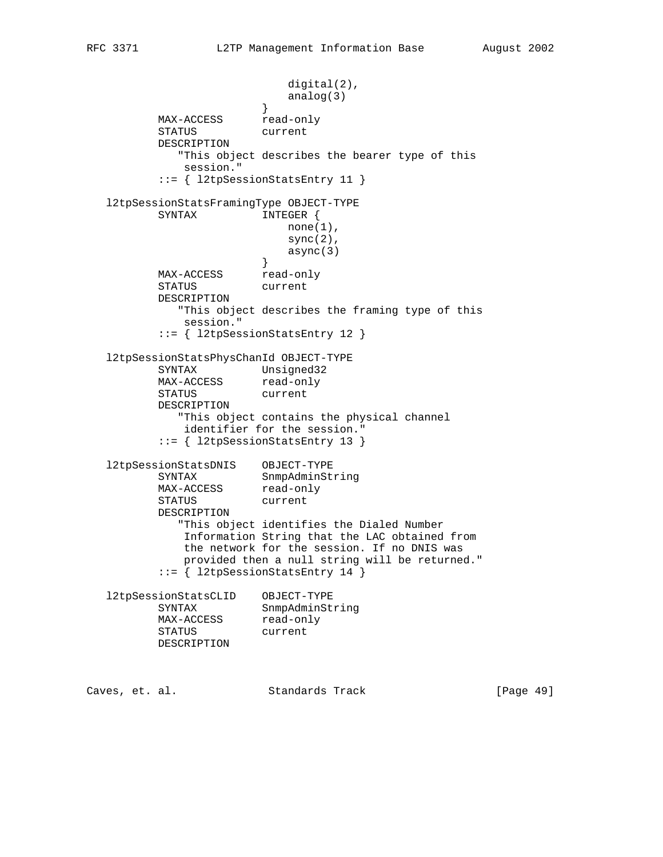digital(2), analog(3)<br>} } MAX-ACCESS read-only STATUS current DESCRIPTION "This object describes the bearer type of this session." ::= { l2tpSessionStatsEntry 11 } l2tpSessionStatsFramingType OBJECT-TYPE SYNTAX INTEGER { none(1),  $sync(2)$ , async(3)<br>} } MAX-ACCESS read-only STATUS current DESCRIPTION "This object describes the framing type of this session." ::= { l2tpSessionStatsEntry 12 } l2tpSessionStatsPhysChanId OBJECT-TYPE SYNTAX Unsigned32 MAX-ACCESS read-only STATUS current DESCRIPTION "This object contains the physical channel identifier for the session." ::= { l2tpSessionStatsEntry 13 } l2tpSessionStatsDNIS OBJECT-TYPE SYNTAX SnmpAdminString MAX-ACCESS read-only STATUS current DESCRIPTION "This object identifies the Dialed Number Information String that the LAC obtained from the network for the session. If no DNIS was provided then a null string will be returned." ::= { l2tpSessionStatsEntry 14 } l2tpSessionStatsCLID OBJECT-TYPE SYNTAX SnmpAdminString MAX-ACCESS read-only STATUS current DESCRIPTION

Caves, et. al. Standards Track [Page 49]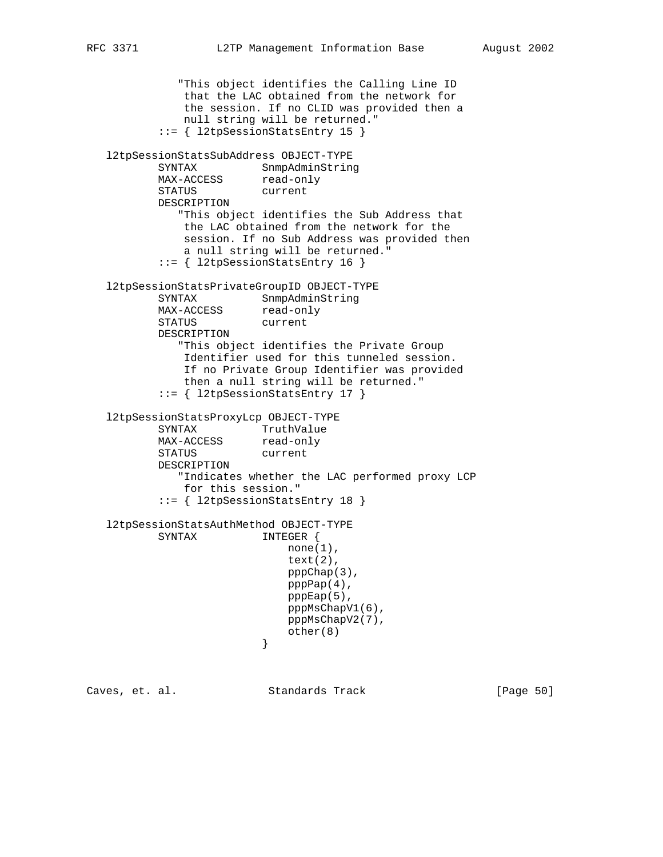"This object identifies the Calling Line ID that the LAC obtained from the network for the session. If no CLID was provided then a null string will be returned." ::= { l2tpSessionStatsEntry 15 } l2tpSessionStatsSubAddress OBJECT-TYPE SYNTAX SnmpAdminString MAX-ACCESS read-only STATUS current DESCRIPTION "This object identifies the Sub Address that the LAC obtained from the network for the session. If no Sub Address was provided then a null string will be returned." ::= { l2tpSessionStatsEntry 16 } l2tpSessionStatsPrivateGroupID OBJECT-TYPE SYNTAX SnmpAdminString MAX-ACCESS read-only STATUS current DESCRIPTION "This object identifies the Private Group Identifier used for this tunneled session. If no Private Group Identifier was provided then a null string will be returned." ::= { l2tpSessionStatsEntry 17 } l2tpSessionStatsProxyLcp OBJECT-TYPE SYNTAX TruthValue MAX-ACCESS read-only STATUS current DESCRIPTION "Indicates whether the LAC performed proxy LCP for this session." ::= { l2tpSessionStatsEntry 18 } l2tpSessionStatsAuthMethod OBJECT-TYPE SYNTAX INTEGER {  $none(1)$ , text(2), pppChap(3), pppPap(4), pppEap(5), pppMsChapV1(6), pppMsChapV2(7),  $other(8)$ }

Caves, et. al. Standards Track [Page 50]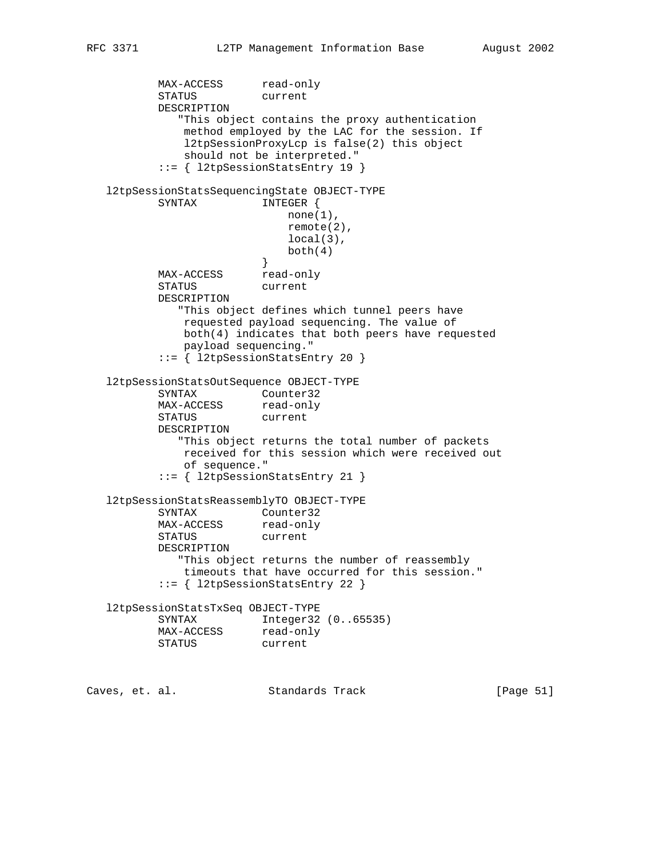MAX-ACCESS read-only STATUS current DESCRIPTION "This object contains the proxy authentication method employed by the LAC for the session. If l2tpSessionProxyLcp is false(2) this object should not be interpreted." ::= { l2tpSessionStatsEntry 19 } l2tpSessionStatsSequencingState OBJECT-TYPE SYNTAX INTEGER { none(1), remote(2), local(3),  $\text{both}(4)$  } MAX-ACCESS read-only STATUS current DESCRIPTION "This object defines which tunnel peers have requested payload sequencing. The value of both(4) indicates that both peers have requested payload sequencing." ::= { l2tpSessionStatsEntry 20 } l2tpSessionStatsOutSequence OBJECT-TYPE SYNTAX Counter32 MAX-ACCESS read-only STATUS current DESCRIPTION "This object returns the total number of packets received for this session which were received out of sequence." ::= { l2tpSessionStatsEntry 21 } l2tpSessionStatsReassemblyTO OBJECT-TYPE SYNTAX Counter32 MAX-ACCESS read-only STATUS current DESCRIPTION "This object returns the number of reassembly timeouts that have occurred for this session." ::= { l2tpSessionStatsEntry 22 } l2tpSessionStatsTxSeq OBJECT-TYPE SYNTAX Integer32 (0..65535) MAX-ACCESS read-only STATUS current

Caves, et. al. Standards Track [Page 51]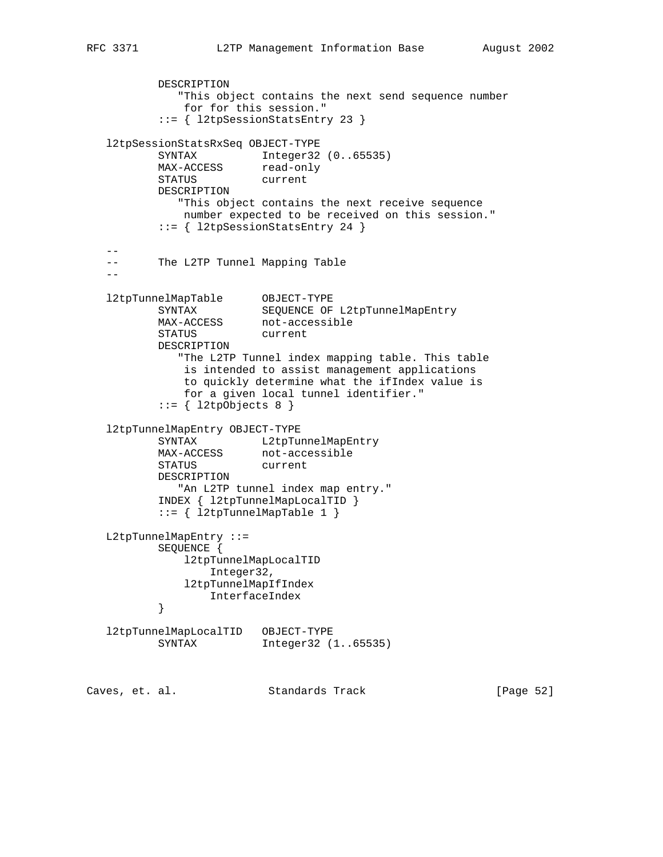```
 DESCRIPTION
             "This object contains the next send sequence number
             for for this session."
          ::= { l2tpSessionStatsEntry 23 }
   l2tpSessionStatsRxSeq OBJECT-TYPE
 SYNTAX Integer32 (0..65535)
MAX-ACCESS read-only
 STATUS current
          DESCRIPTION
             "This object contains the next receive sequence
             number expected to be received on this session."
          ::= { l2tpSessionStatsEntry 24 }
 --
   -- The L2TP Tunnel Mapping Table
 --
 l2tpTunnelMapTable OBJECT-TYPE
 SYNTAX SEQUENCE OF L2tpTunnelMapEntry
MAX-ACCESS not-accessible
 STATUS current
          DESCRIPTION
             "The L2TP Tunnel index mapping table. This table
             is intended to assist management applications
             to quickly determine what the ifIndex value is
              for a given local tunnel identifier."
          ::= \{ 12tpObjects 8 \} l2tpTunnelMapEntry OBJECT-TYPE
SYNTAX L2tpTunnelMapEntry
MAX-ACCESS not-accessible
          STATUS current
          DESCRIPTION
             "An L2TP tunnel index map entry."
          INDEX { l2tpTunnelMapLocalTID }
          ::= { l2tpTunnelMapTable 1 }
   L2tpTunnelMapEntry ::=
          SEQUENCE {
             l2tpTunnelMapLocalTID
                 Integer32,
             l2tpTunnelMapIfIndex
         InterfaceIndex }
 }
   l2tpTunnelMapLocalTID OBJECT-TYPE
          SYNTAX Integer32 (1..65535)
Caves, et. al. Standards Track [Page 52]
```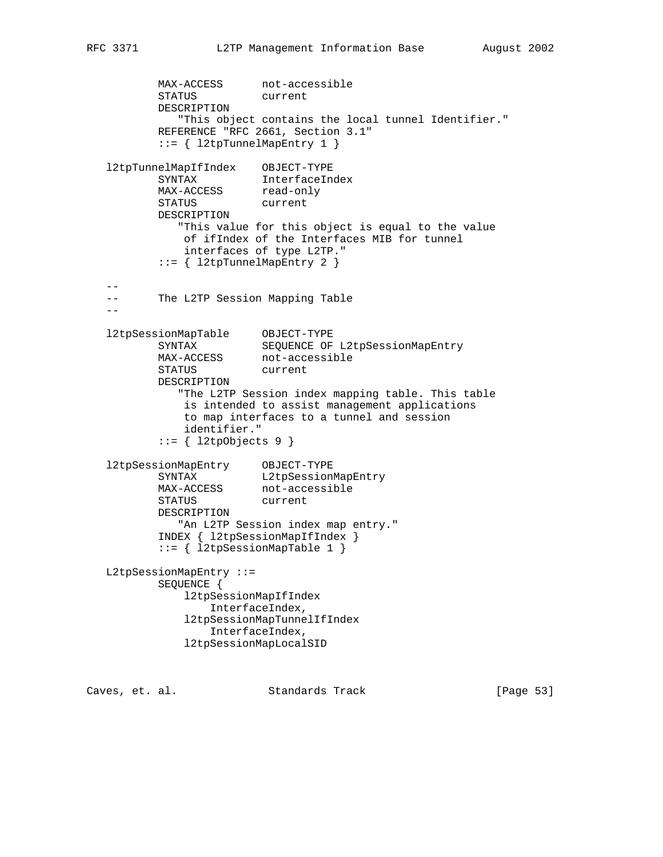```
MAX-ACCESS not-accessible
          STATUS current
          DESCRIPTION
             "This object contains the local tunnel Identifier."
          REFERENCE "RFC 2661, Section 3.1"
          ::= { l2tpTunnelMapEntry 1 }
   l2tpTunnelMapIfIndex OBJECT-TYPE
 SYNTAX InterfaceIndex
MAX-ACCESS read-only
 STATUS current
          DESCRIPTION
             "This value for this object is equal to the value
             of ifIndex of the Interfaces MIB for tunnel
             interfaces of type L2TP."
          ::= { l2tpTunnelMapEntry 2 }
 --
   -- The L2TP Session Mapping Table
  - - l2tpSessionMapTable OBJECT-TYPE
 SYNTAX SEQUENCE OF L2tpSessionMapEntry
MAX-ACCESS not-accessible
 STATUS current
          DESCRIPTION
             "The L2TP Session index mapping table. This table
              is intended to assist management applications
              to map interfaces to a tunnel and session
              identifier."
         ::= \{ 12tpObjects 9 \} l2tpSessionMapEntry OBJECT-TYPE
 SYNTAX L2tpSessionMapEntry
MAX-ACCESS not-accessible
 STATUS current
          DESCRIPTION
            "An L2TP Session index map entry."
          INDEX { l2tpSessionMapIfIndex }
          ::= { l2tpSessionMapTable 1 }
   L2tpSessionMapEntry ::=
          SEQUENCE {
              l2tpSessionMapIfIndex
                 InterfaceIndex,
              l2tpSessionMapTunnelIfIndex
                 InterfaceIndex,
              l2tpSessionMapLocalSID
```
Caves, et. al. Standards Track [Page 53]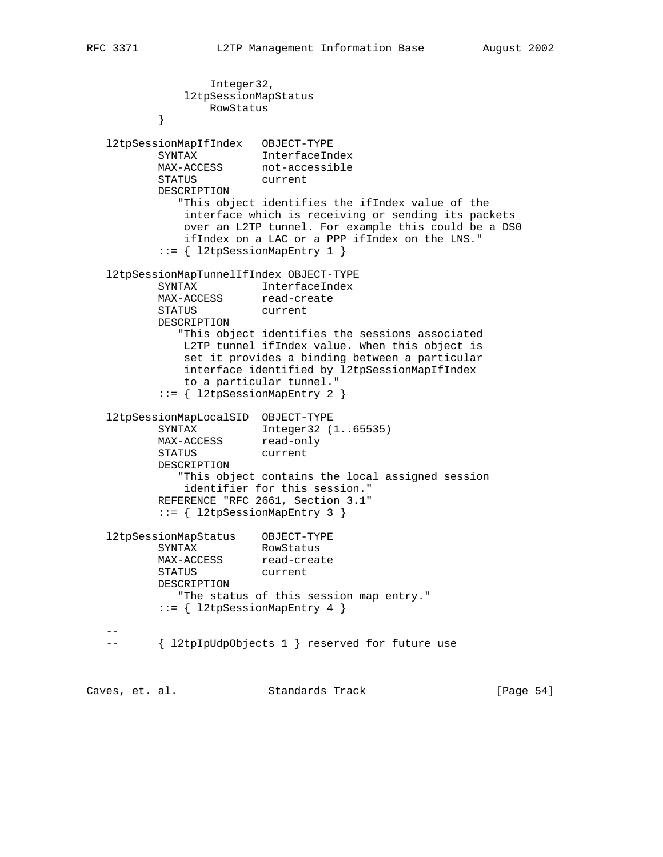Integer32, l2tpSessionMapStatus RowStatus<br>} } l2tpSessionMapIfIndex OBJECT-TYPE SYNTAX InterfaceIndex MAX-ACCESS not-accessible STATUS current DESCRIPTION "This object identifies the ifIndex value of the interface which is receiving or sending its packets over an L2TP tunnel. For example this could be a DS0 ifIndex on a LAC or a PPP ifIndex on the LNS." ::= { l2tpSessionMapEntry 1 } l2tpSessionMapTunnelIfIndex OBJECT-TYPE SYNTAX InterfaceIndex MAX-ACCESS read-create STATUS current DESCRIPTION "This object identifies the sessions associated L2TP tunnel ifIndex value. When this object is set it provides a binding between a particular interface identified by l2tpSessionMapIfIndex to a particular tunnel." ::= { l2tpSessionMapEntry 2 } l2tpSessionMapLocalSID OBJECT-TYPE SYNTAX Integer32 (1..65535) MAX-ACCESS read-only STATUS current DESCRIPTION "This object contains the local assigned session identifier for this session." REFERENCE "RFC 2661, Section 3.1" ::= { l2tpSessionMapEntry 3 } l2tpSessionMapStatus OBJECT-TYPE SYNTAX RowStatus MAX-ACCESS read-create STATUS current DESCRIPTION "The status of this session map entry." ::= { l2tpSessionMapEntry 4 } -- -- { l2tpIpUdpObjects 1 } reserved for future use

Caves, et. al. Standards Track [Page 54]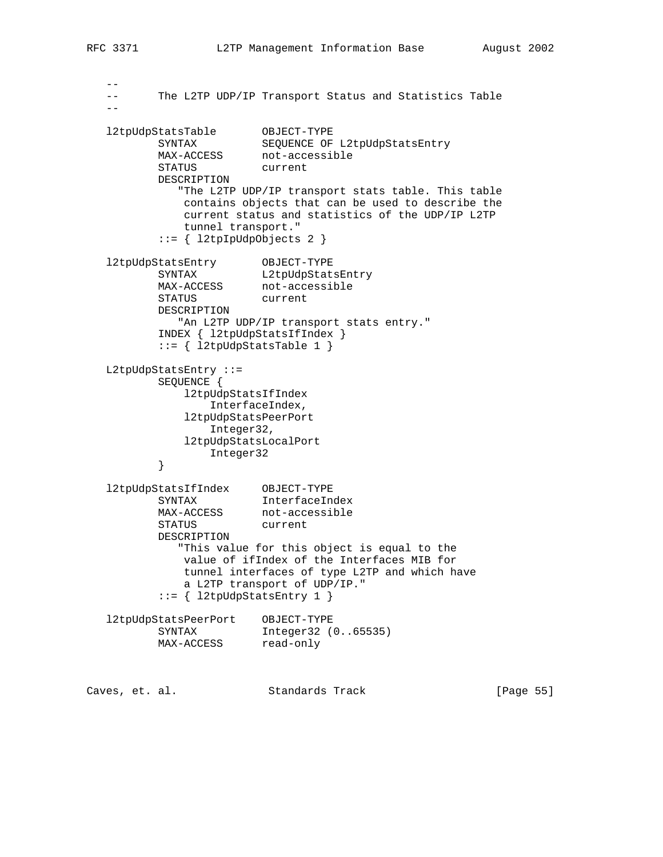```
- -- The L2TP UDP/IP Transport Status and Statistics Table
 --
   l2tpUdpStatsTable OBJECT-TYPE
 SYNTAX SEQUENCE OF L2tpUdpStatsEntry
MAX-ACCESS not-accessible
 STATUS current
          DESCRIPTION
            "The L2TP UDP/IP transport stats table. This table
             contains objects that can be used to describe the
             current status and statistics of the UDP/IP L2TP
             tunnel transport."
          ::= { l2tpIpUdpObjects 2 }
 l2tpUdpStatsEntry OBJECT-TYPE
SYNTAX L2tpUdpStatsEntry
 MAX-ACCESS not-accessible
 STATUS current
          DESCRIPTION
            "An L2TP UDP/IP transport stats entry."
          INDEX { l2tpUdpStatsIfIndex }
         ::= { l2tpUdpStatsTable 1 }
   L2tpUdpStatsEntry ::=
```

```
 SEQUENCE {
```

```
 l2tpUdpStatsIfIndex
        InterfaceIndex,
    l2tpUdpStatsPeerPort
        Integer32,
    l2tpUdpStatsLocalPort
Integer32
```

```
 }
```

```
 l2tpUdpStatsIfIndex OBJECT-TYPE
 SYNTAX InterfaceIndex
MAX-ACCESS not-accessible
 STATUS current
          DESCRIPTION
            "This value for this object is equal to the
             value of ifIndex of the Interfaces MIB for
             tunnel interfaces of type L2TP and which have
             a L2TP transport of UDP/IP."
         ::= { 12tpUdpStatsEntry 1 }
```

```
 l2tpUdpStatsPeerPort OBJECT-TYPE
 SYNTAX Integer32 (0..65535)
MAX-ACCESS read-only
```

| Caves, et. al. |  | Standards Track | [Page 55] |  |
|----------------|--|-----------------|-----------|--|
|                |  |                 |           |  |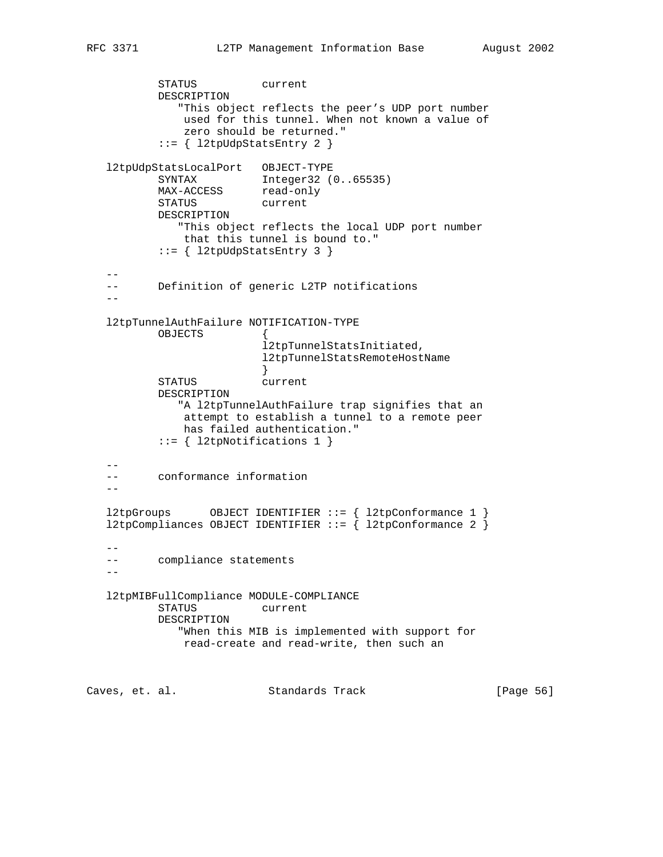```
 STATUS current
          DESCRIPTION
             "This object reflects the peer's UDP port number
              used for this tunnel. When not known a value of
              zero should be returned."
          ::= { 12tpUdpStatsEntry 2 }
   l2tpUdpStatsLocalPort OBJECT-TYPE
 SYNTAX Integer32 (0..65535)
MAX-ACCESS read-only
 STATUS current
          DESCRIPTION
             "This object reflects the local UDP port number
              that this tunnel is bound to."
          ::= { l2tpUdpStatsEntry 3 }
 --
   -- Definition of generic L2TP notifications
  - l2tpTunnelAuthFailure NOTIFICATION-TYPE
         OBJECTS
                         l2tpTunnelStatsInitiated,
                         l2tpTunnelStatsRemoteHostName
 }
          STATUS current
          DESCRIPTION
             "A l2tpTunnelAuthFailure trap signifies that an
              attempt to establish a tunnel to a remote peer
              has failed authentication."
           ::= { l2tpNotifications 1 }
  - - -- conformance information
 --
   l2tpGroups OBJECT IDENTIFIER ::= { l2tpConformance 1 }
  l2tpCompliances OBJECT IDENTIFIER ::= { l2tpConformance 2 }
 --
   -- compliance statements
 --
   l2tpMIBFullCompliance MODULE-COMPLIANCE
          STATUS current
          DESCRIPTION
             "When this MIB is implemented with support for
              read-create and read-write, then such an
```
Caves, et. al. Standards Track [Page 56]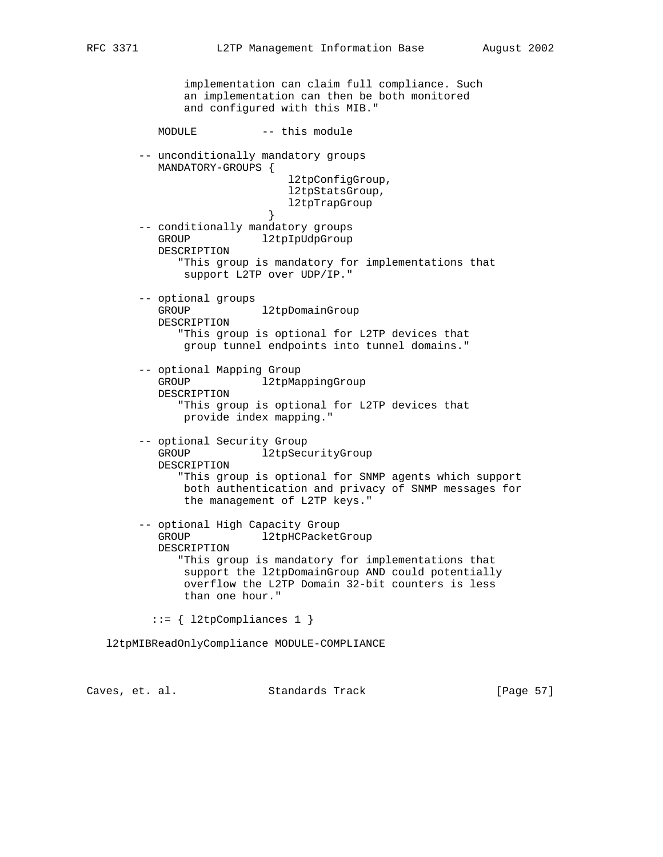```
 implementation can claim full compliance. Such
               an implementation can then be both monitored
               and configured with this MIB."
          MODULE -- this module
        -- unconditionally mandatory groups
           MANDATORY-GROUPS {
                              l2tpConfigGroup,
                              l2tpStatsGroup,
                           l2tpTrapGroup<br>}
 }
        -- conditionally mandatory groups
          GROUP l2tpIpUdpGroup
           DESCRIPTION
              "This group is mandatory for implementations that
               support L2TP over UDP/IP."
        -- optional groups
          GROUP 12tpDomainGroup
           DESCRIPTION
              "This group is optional for L2TP devices that
               group tunnel endpoints into tunnel domains."
        -- optional Mapping Group
          GROUP l2tpMappingGroup
           DESCRIPTION
              "This group is optional for L2TP devices that
               provide index mapping."
        -- optional Security Group
          GROUP 12tpSecurityGroup
           DESCRIPTION
              "This group is optional for SNMP agents which support
              both authentication and privacy of SNMP messages for
               the management of L2TP keys."
        -- optional High Capacity Group
          GROUP 12tpHCPacketGroup
           DESCRIPTION
              "This group is mandatory for implementations that
               support the l2tpDomainGroup AND could potentially
               overflow the L2TP Domain 32-bit counters is less
               than one hour."
          ::= { l2tpCompliances 1 }
   l2tpMIBReadOnlyCompliance MODULE-COMPLIANCE
```
Caves, et. al. Standards Track [Page 57]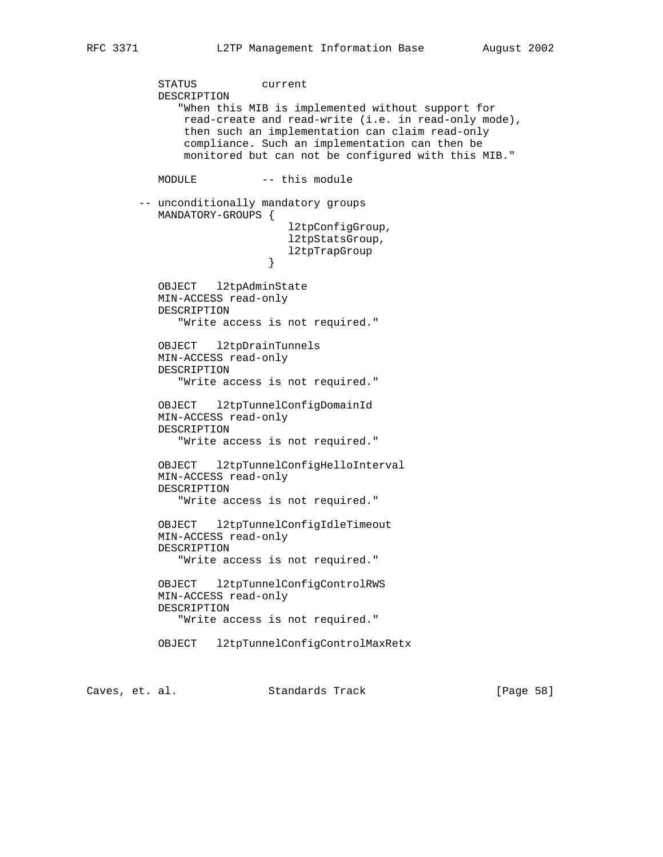STATUS current DESCRIPTION "When this MIB is implemented without support for read-create and read-write (i.e. in read-only mode), then such an implementation can claim read-only compliance. Such an implementation can then be monitored but can not be configured with this MIB." MODULE -- this module -- unconditionally mandatory groups MANDATORY-GROUPS { l2tpConfigGroup, l2tpStatsGroup, l2tpTrapGroup } OBJECT l2tpAdminState MIN-ACCESS read-only DESCRIPTION "Write access is not required." OBJECT l2tpDrainTunnels MIN-ACCESS read-only DESCRIPTION "Write access is not required." OBJECT l2tpTunnelConfigDomainId MIN-ACCESS read-only DESCRIPTION "Write access is not required." OBJECT l2tpTunnelConfigHelloInterval MIN-ACCESS read-only DESCRIPTION "Write access is not required." OBJECT l2tpTunnelConfigIdleTimeout MIN-ACCESS read-only DESCRIPTION "Write access is not required." OBJECT l2tpTunnelConfigControlRWS MIN-ACCESS read-only DESCRIPTION "Write access is not required." OBJECT l2tpTunnelConfigControlMaxRetx

Caves, et. al. Standards Track [Page 58]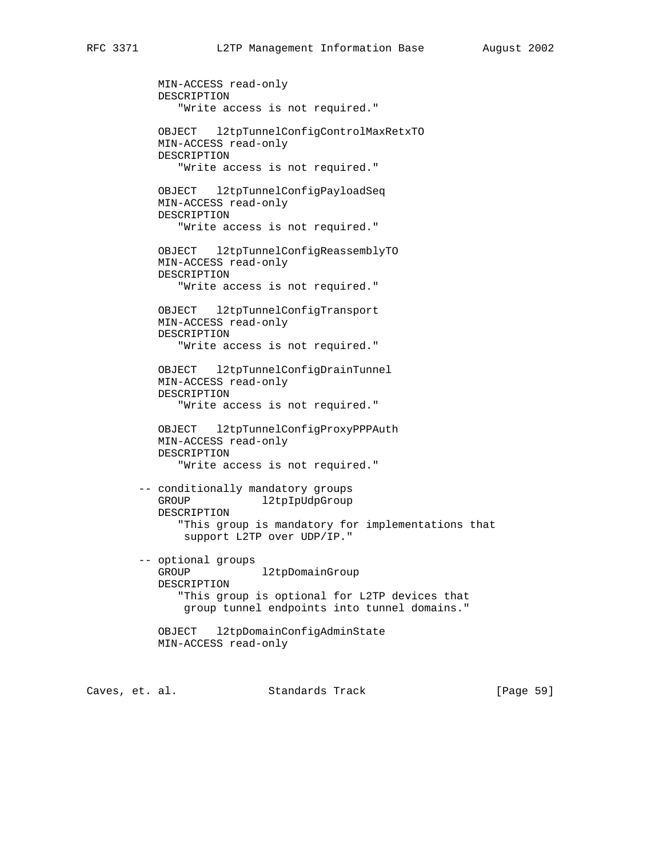MIN-ACCESS read-only DESCRIPTION "Write access is not required." OBJECT l2tpTunnelConfigControlMaxRetxTO MIN-ACCESS read-only DESCRIPTION "Write access is not required." OBJECT l2tpTunnelConfigPayloadSeq MIN-ACCESS read-only DESCRIPTION "Write access is not required." OBJECT l2tpTunnelConfigReassemblyTO MIN-ACCESS read-only DESCRIPTION "Write access is not required." OBJECT l2tpTunnelConfigTransport MIN-ACCESS read-only DESCRIPTION "Write access is not required." OBJECT l2tpTunnelConfigDrainTunnel MIN-ACCESS read-only DESCRIPTION "Write access is not required." OBJECT l2tpTunnelConfigProxyPPPAuth MIN-ACCESS read-only DESCRIPTION "Write access is not required." -- conditionally mandatory groups GROUP l2tpIpUdpGroup DESCRIPTION "This group is mandatory for implementations that support L2TP over UDP/IP." -- optional groups GROUP l2tpDomainGroup DESCRIPTION "This group is optional for L2TP devices that group tunnel endpoints into tunnel domains." OBJECT l2tpDomainConfigAdminState MIN-ACCESS read-only

Caves, et. al. Standards Track [Page 59]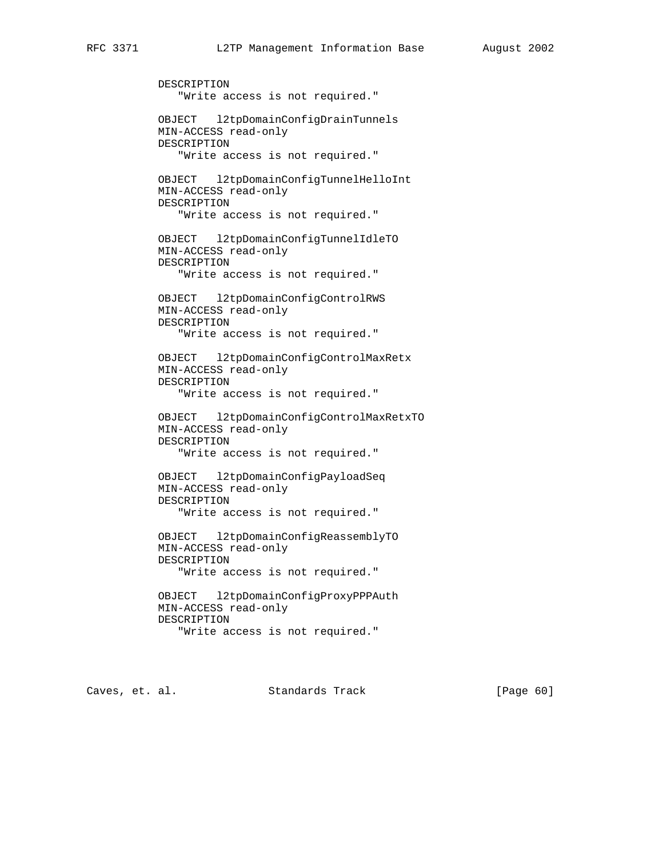DESCRIPTION "Write access is not required." OBJECT l2tpDomainConfigDrainTunnels MIN-ACCESS read-only DESCRIPTION "Write access is not required." OBJECT l2tpDomainConfigTunnelHelloInt MIN-ACCESS read-only DESCRIPTION "Write access is not required." OBJECT l2tpDomainConfigTunnelIdleTO MIN-ACCESS read-only DESCRIPTION "Write access is not required." OBJECT l2tpDomainConfigControlRWS MIN-ACCESS read-only DESCRIPTION "Write access is not required." OBJECT l2tpDomainConfigControlMaxRetx MIN-ACCESS read-only DESCRIPTION "Write access is not required." OBJECT l2tpDomainConfigControlMaxRetxTO MIN-ACCESS read-only DESCRIPTION "Write access is not required." OBJECT l2tpDomainConfigPayloadSeq MIN-ACCESS read-only DESCRIPTION "Write access is not required." OBJECT l2tpDomainConfigReassemblyTO MIN-ACCESS read-only DESCRIPTION "Write access is not required." OBJECT l2tpDomainConfigProxyPPPAuth MIN-ACCESS read-only DESCRIPTION "Write access is not required."

Caves, et. al. Standards Track [Page 60]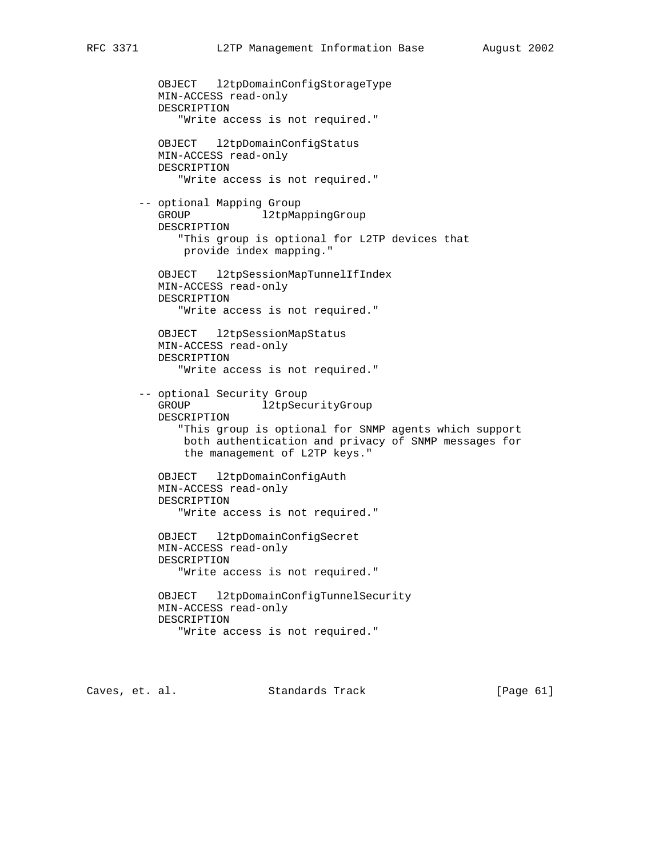OBJECT l2tpDomainConfigStorageType MIN-ACCESS read-only DESCRIPTION "Write access is not required." OBJECT l2tpDomainConfigStatus MIN-ACCESS read-only DESCRIPTION "Write access is not required." -- optional Mapping Group GROUP l2tpMappingGroup DESCRIPTION "This group is optional for L2TP devices that provide index mapping." OBJECT l2tpSessionMapTunnelIfIndex MIN-ACCESS read-only DESCRIPTION "Write access is not required." OBJECT l2tpSessionMapStatus MIN-ACCESS read-only DESCRIPTION "Write access is not required." -- optional Security Group GROUP l2tpSecurityGroup DESCRIPTION "This group is optional for SNMP agents which support both authentication and privacy of SNMP messages for the management of L2TP keys." OBJECT l2tpDomainConfigAuth MIN-ACCESS read-only DESCRIPTION "Write access is not required." OBJECT l2tpDomainConfigSecret MIN-ACCESS read-only DESCRIPTION "Write access is not required." OBJECT l2tpDomainConfigTunnelSecurity MIN-ACCESS read-only DESCRIPTION "Write access is not required."

Caves, et. al. Standards Track [Page 61]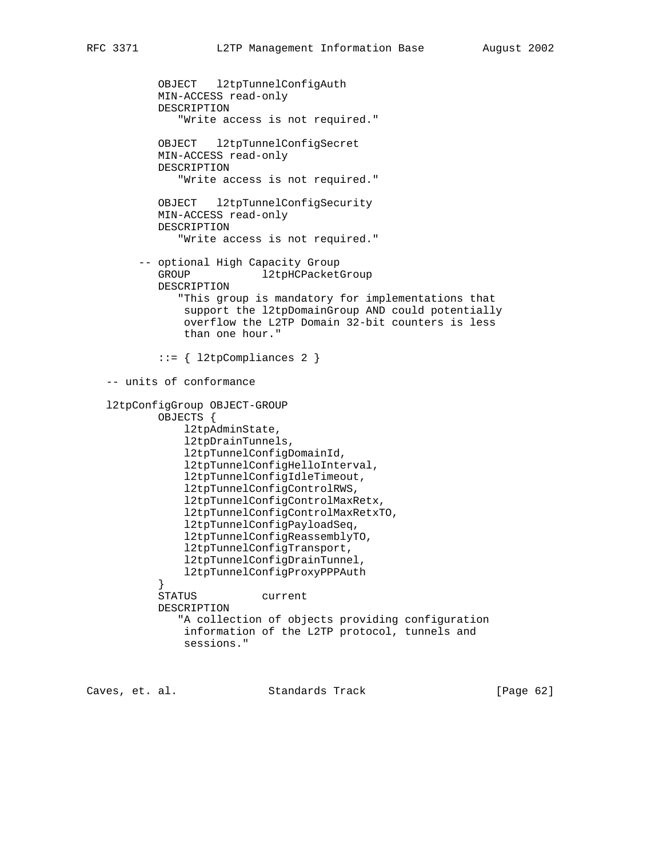OBJECT l2tpTunnelConfigAuth MIN-ACCESS read-only DESCRIPTION "Write access is not required." OBJECT l2tpTunnelConfigSecret MIN-ACCESS read-only DESCRIPTION "Write access is not required." OBJECT l2tpTunnelConfigSecurity MIN-ACCESS read-only DESCRIPTION "Write access is not required." -- optional High Capacity Group GROUP 12tpHCPacketGroup DESCRIPTION "This group is mandatory for implementations that support the l2tpDomainGroup AND could potentially overflow the L2TP Domain 32-bit counters is less than one hour."  $::=$  {  $12tpCompliances 2$  } -- units of conformance l2tpConfigGroup OBJECT-GROUP OBJECTS { l2tpAdminState, l2tpDrainTunnels, l2tpTunnelConfigDomainId, l2tpTunnelConfigHelloInterval, l2tpTunnelConfigIdleTimeout, l2tpTunnelConfigControlRWS, l2tpTunnelConfigControlMaxRetx, l2tpTunnelConfigControlMaxRetxTO, l2tpTunnelConfigPayloadSeq, l2tpTunnelConfigReassemblyTO, l2tpTunnelConfigTransport, l2tpTunnelConfigDrainTunnel, l2tpTunnelConfigProxyPPPAuth } STATUS current DESCRIPTION "A collection of objects providing configuration information of the L2TP protocol, tunnels and sessions."

Caves, et. al. Standards Track [Page 62]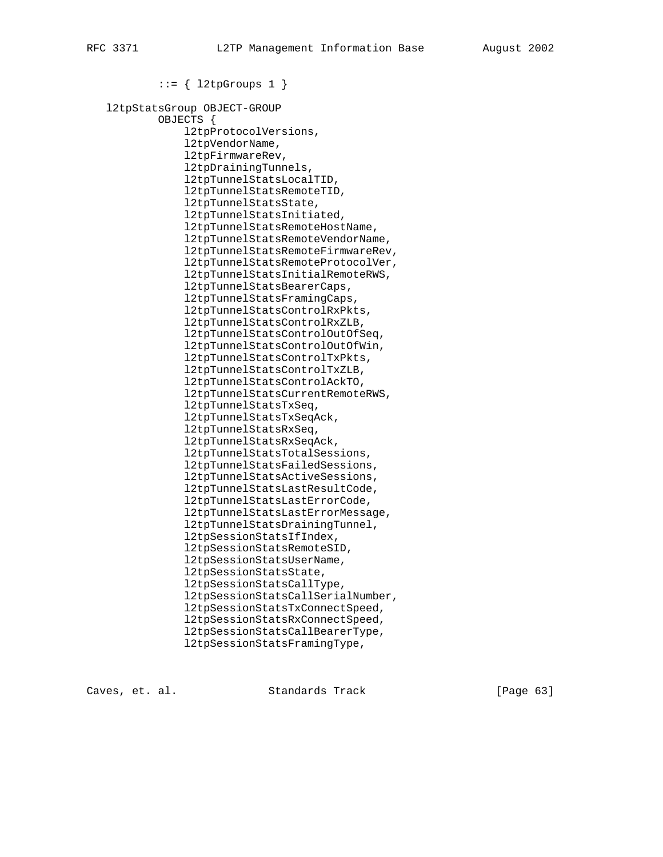::= { l2tpGroups 1 }

 l2tpStatsGroup OBJECT-GROUP OBJECTS { l2tpProtocolVersions, l2tpVendorName, l2tpFirmwareRev, l2tpDrainingTunnels, l2tpTunnelStatsLocalTID, l2tpTunnelStatsRemoteTID, l2tpTunnelStatsState, l2tpTunnelStatsInitiated, l2tpTunnelStatsRemoteHostName, l2tpTunnelStatsRemoteVendorName, l2tpTunnelStatsRemoteFirmwareRev, l2tpTunnelStatsRemoteProtocolVer, l2tpTunnelStatsInitialRemoteRWS, l2tpTunnelStatsBearerCaps, l2tpTunnelStatsFramingCaps, l2tpTunnelStatsControlRxPkts, l2tpTunnelStatsControlRxZLB, l2tpTunnelStatsControlOutOfSeq, l2tpTunnelStatsControlOutOfWin, l2tpTunnelStatsControlTxPkts, l2tpTunnelStatsControlTxZLB, l2tpTunnelStatsControlAckTO, l2tpTunnelStatsCurrentRemoteRWS, l2tpTunnelStatsTxSeq, l2tpTunnelStatsTxSeqAck, l2tpTunnelStatsRxSeq, l2tpTunnelStatsRxSeqAck, l2tpTunnelStatsTotalSessions, l2tpTunnelStatsFailedSessions, l2tpTunnelStatsActiveSessions, l2tpTunnelStatsLastResultCode, l2tpTunnelStatsLastErrorCode, l2tpTunnelStatsLastErrorMessage, l2tpTunnelStatsDrainingTunnel, l2tpSessionStatsIfIndex, l2tpSessionStatsRemoteSID, l2tpSessionStatsUserName, l2tpSessionStatsState, l2tpSessionStatsCallType, l2tpSessionStatsCallSerialNumber, l2tpSessionStatsTxConnectSpeed, l2tpSessionStatsRxConnectSpeed, l2tpSessionStatsCallBearerType, l2tpSessionStatsFramingType,

Caves, et. al. Standards Track [Page 63]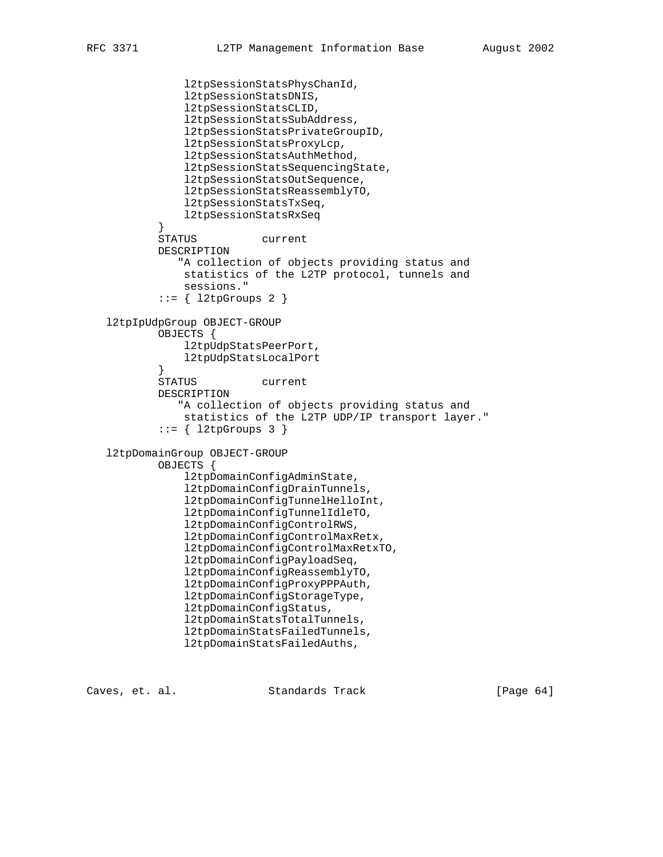```
 l2tpSessionStatsPhysChanId,
                l2tpSessionStatsDNIS,
                l2tpSessionStatsCLID,
                l2tpSessionStatsSubAddress,
                l2tpSessionStatsPrivateGroupID,
                l2tpSessionStatsProxyLcp,
                l2tpSessionStatsAuthMethod,
                l2tpSessionStatsSequencingState,
                l2tpSessionStatsOutSequence,
                l2tpSessionStatsReassemblyTO,
                l2tpSessionStatsTxSeq,
            l2tpSessionStatsRxSeq
 }
            STATUS current
           DESCRIPTION
               "A collection of objects providing status and
                statistics of the L2TP protocol, tunnels and
                sessions."
            ::= { l2tpGroups 2 }
   l2tpIpUdpGroup OBJECT-GROUP
           OBJECTS {
                l2tpUdpStatsPeerPort,
            l2tpUdpStatsLocalPort
 }
           STATUS current
           DESCRIPTION
               "A collection of objects providing status and
                statistics of the L2TP UDP/IP transport layer."
           ::= \{ 12tpGroups 3 \} l2tpDomainGroup OBJECT-GROUP
           OBJECTS {
                l2tpDomainConfigAdminState,
                l2tpDomainConfigDrainTunnels,
                l2tpDomainConfigTunnelHelloInt,
                l2tpDomainConfigTunnelIdleTO,
                l2tpDomainConfigControlRWS,
                l2tpDomainConfigControlMaxRetx,
                l2tpDomainConfigControlMaxRetxTO,
                l2tpDomainConfigPayloadSeq,
                l2tpDomainConfigReassemblyTO,
                l2tpDomainConfigProxyPPPAuth,
                l2tpDomainConfigStorageType,
                l2tpDomainConfigStatus,
                l2tpDomainStatsTotalTunnels,
                l2tpDomainStatsFailedTunnels,
                l2tpDomainStatsFailedAuths,
```
Caves, et. al. Standards Track [Page 64]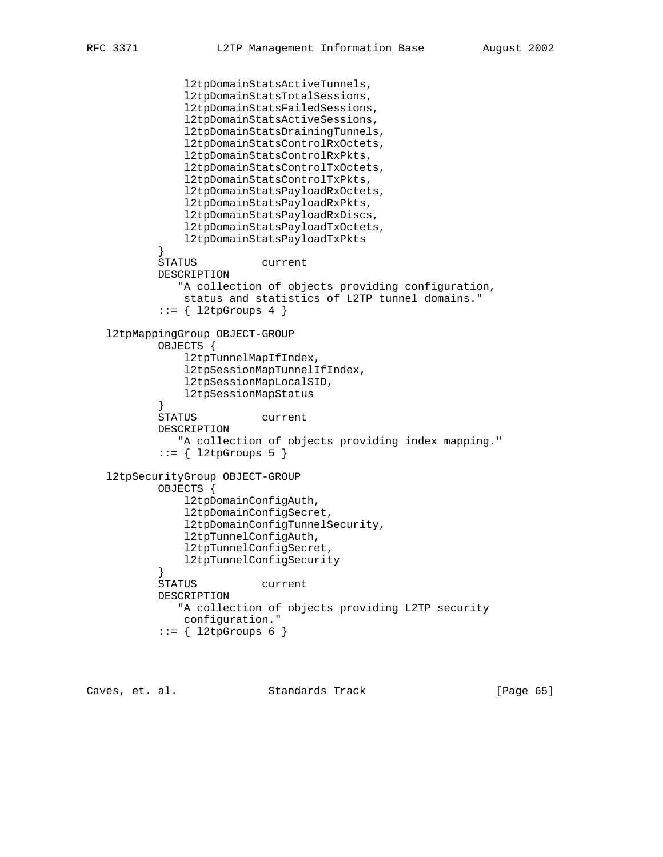```
 l2tpDomainStatsActiveTunnels,
               l2tpDomainStatsTotalSessions,
               l2tpDomainStatsFailedSessions,
               l2tpDomainStatsActiveSessions,
               l2tpDomainStatsDrainingTunnels,
               l2tpDomainStatsControlRxOctets,
               l2tpDomainStatsControlRxPkts,
               l2tpDomainStatsControlTxOctets,
               l2tpDomainStatsControlTxPkts,
               l2tpDomainStatsPayloadRxOctets,
               l2tpDomainStatsPayloadRxPkts,
               l2tpDomainStatsPayloadRxDiscs,
               l2tpDomainStatsPayloadTxOctets,
            l2tpDomainStatsPayloadTxPkts
 }
           STATUS current
           DESCRIPTION
              "A collection of objects providing configuration,
               status and statistics of L2TP tunnel domains."
           ::= \{ 12tpGroups 4 \} l2tpMappingGroup OBJECT-GROUP
           OBJECTS {
               l2tpTunnelMapIfIndex,
               l2tpSessionMapTunnelIfIndex,
               l2tpSessionMapLocalSID,
               l2tpSessionMapStatus
 }
           STATUS current
           DESCRIPTION
               "A collection of objects providing index mapping."
           ::= \{ 12tpGroups 5 \} l2tpSecurityGroup OBJECT-GROUP
           OBJECTS {
               l2tpDomainConfigAuth,
               l2tpDomainConfigSecret,
               l2tpDomainConfigTunnelSecurity,
               l2tpTunnelConfigAuth,
               l2tpTunnelConfigSecret,
               l2tpTunnelConfigSecurity
 }
           STATUS current
           DESCRIPTION
              "A collection of objects providing L2TP security
               configuration."
           ::= \{ 12tpGroups 6 \}
```
Caves, et. al. Standards Track [Page 65]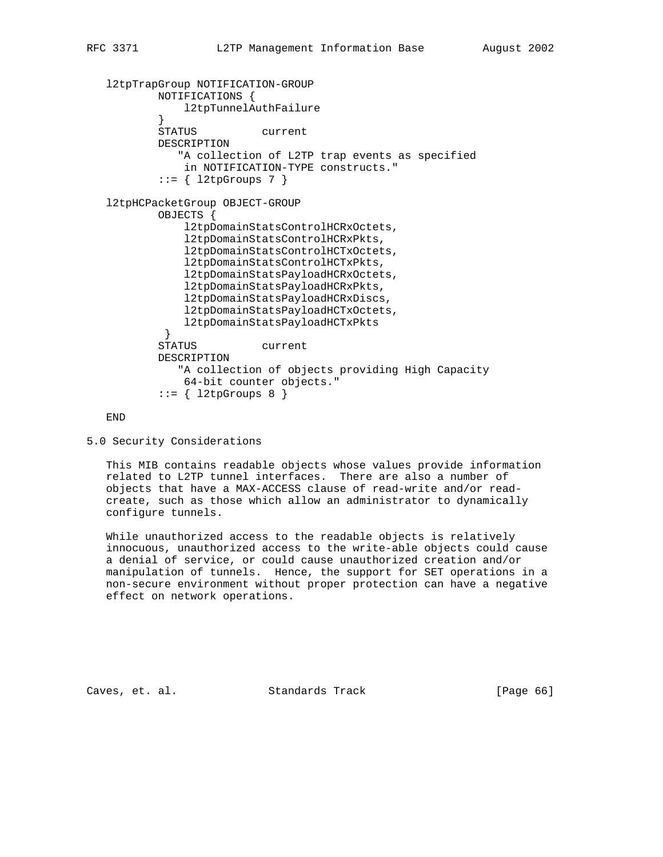```
 l2tpTrapGroup NOTIFICATION-GROUP
           NOTIFICATIONS {
               l2tpTunnelAuthFailure
 }
           STATUS current
           DESCRIPTION
              "A collection of L2TP trap events as specified
               in NOTIFICATION-TYPE constructs."
          ::= \{ 12tpGroups 7 \} l2tpHCPacketGroup OBJECT-GROUP
           OBJECTS {
               l2tpDomainStatsControlHCRxOctets,
               l2tpDomainStatsControlHCRxPkts,
               l2tpDomainStatsControlHCTxOctets,
               l2tpDomainStatsControlHCTxPkts,
               l2tpDomainStatsPayloadHCRxOctets,
               l2tpDomainStatsPayloadHCRxPkts,
               l2tpDomainStatsPayloadHCRxDiscs,
               l2tpDomainStatsPayloadHCTxOctets,
               l2tpDomainStatsPayloadHCTxPkts
 }
           STATUS current
           DESCRIPTION
              "A collection of objects providing High Capacity
               64-bit counter objects."
           ::= \{ 12tpGroups 8 \}
```
END

```
5.0 Security Considerations
```
 This MIB contains readable objects whose values provide information related to L2TP tunnel interfaces. There are also a number of objects that have a MAX-ACCESS clause of read-write and/or read create, such as those which allow an administrator to dynamically configure tunnels.

 While unauthorized access to the readable objects is relatively innocuous, unauthorized access to the write-able objects could cause a denial of service, or could cause unauthorized creation and/or manipulation of tunnels. Hence, the support for SET operations in a non-secure environment without proper protection can have a negative effect on network operations.

Caves, et. al. Standards Track [Page 66]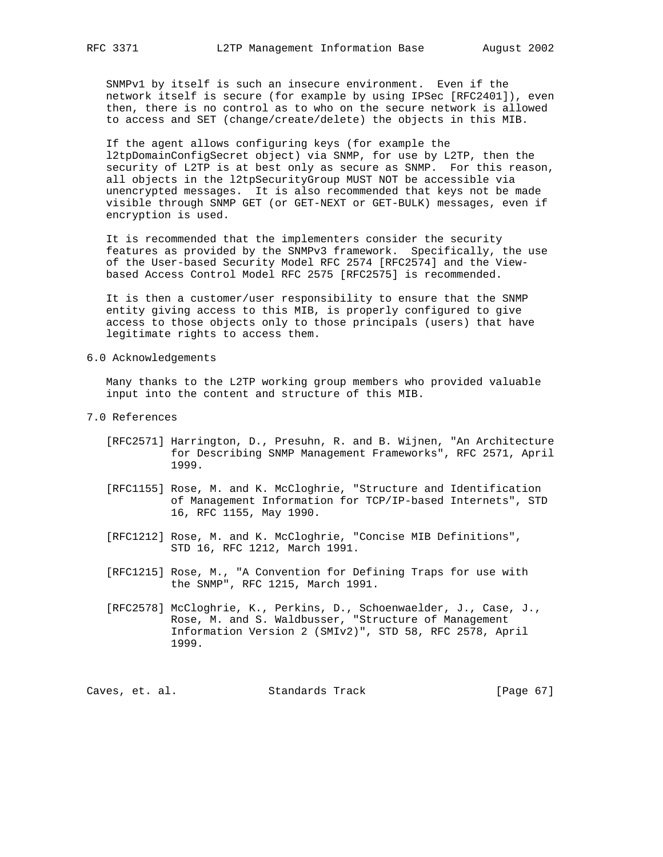SNMPv1 by itself is such an insecure environment. Even if the network itself is secure (for example by using IPSec [RFC2401]), even then, there is no control as to who on the secure network is allowed to access and SET (change/create/delete) the objects in this MIB.

 If the agent allows configuring keys (for example the l2tpDomainConfigSecret object) via SNMP, for use by L2TP, then the security of L2TP is at best only as secure as SNMP. For this reason, all objects in the l2tpSecurityGroup MUST NOT be accessible via unencrypted messages. It is also recommended that keys not be made visible through SNMP GET (or GET-NEXT or GET-BULK) messages, even if encryption is used.

 It is recommended that the implementers consider the security features as provided by the SNMPv3 framework. Specifically, the use of the User-based Security Model RFC 2574 [RFC2574] and the View based Access Control Model RFC 2575 [RFC2575] is recommended.

 It is then a customer/user responsibility to ensure that the SNMP entity giving access to this MIB, is properly configured to give access to those objects only to those principals (users) that have legitimate rights to access them.

6.0 Acknowledgements

 Many thanks to the L2TP working group members who provided valuable input into the content and structure of this MIB.

- 7.0 References
	- [RFC2571] Harrington, D., Presuhn, R. and B. Wijnen, "An Architecture for Describing SNMP Management Frameworks", RFC 2571, April 1999.
	- [RFC1155] Rose, M. and K. McCloghrie, "Structure and Identification of Management Information for TCP/IP-based Internets", STD 16, RFC 1155, May 1990.
	- [RFC1212] Rose, M. and K. McCloghrie, "Concise MIB Definitions", STD 16, RFC 1212, March 1991.
	- [RFC1215] Rose, M., "A Convention for Defining Traps for use with the SNMP", RFC 1215, March 1991.
	- [RFC2578] McCloghrie, K., Perkins, D., Schoenwaelder, J., Case, J., Rose, M. and S. Waldbusser, "Structure of Management Information Version 2 (SMIv2)", STD 58, RFC 2578, April 1999.

Caves, et. al. Standards Track [Page 67]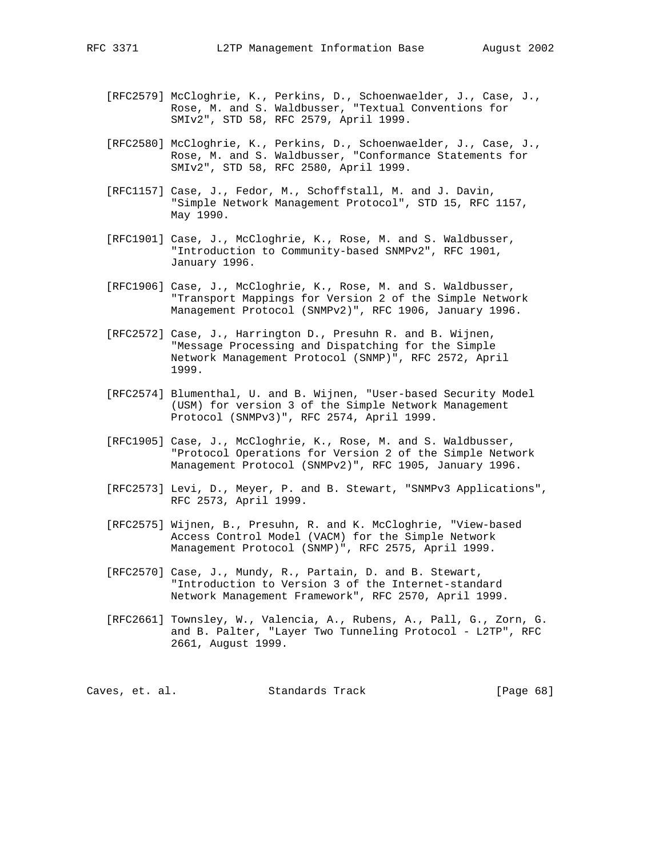- [RFC2579] McCloghrie, K., Perkins, D., Schoenwaelder, J., Case, J., Rose, M. and S. Waldbusser, "Textual Conventions for SMIv2", STD 58, RFC 2579, April 1999.
	- [RFC2580] McCloghrie, K., Perkins, D., Schoenwaelder, J., Case, J., Rose, M. and S. Waldbusser, "Conformance Statements for SMIv2", STD 58, RFC 2580, April 1999.
	- [RFC1157] Case, J., Fedor, M., Schoffstall, M. and J. Davin, "Simple Network Management Protocol", STD 15, RFC 1157, May 1990.
	- [RFC1901] Case, J., McCloghrie, K., Rose, M. and S. Waldbusser, "Introduction to Community-based SNMPv2", RFC 1901, January 1996.
	- [RFC1906] Case, J., McCloghrie, K., Rose, M. and S. Waldbusser, "Transport Mappings for Version 2 of the Simple Network Management Protocol (SNMPv2)", RFC 1906, January 1996.
	- [RFC2572] Case, J., Harrington D., Presuhn R. and B. Wijnen, "Message Processing and Dispatching for the Simple Network Management Protocol (SNMP)", RFC 2572, April 1999.
	- [RFC2574] Blumenthal, U. and B. Wijnen, "User-based Security Model (USM) for version 3 of the Simple Network Management Protocol (SNMPv3)", RFC 2574, April 1999.
	- [RFC1905] Case, J., McCloghrie, K., Rose, M. and S. Waldbusser, "Protocol Operations for Version 2 of the Simple Network Management Protocol (SNMPv2)", RFC 1905, January 1996.
	- [RFC2573] Levi, D., Meyer, P. and B. Stewart, "SNMPv3 Applications", RFC 2573, April 1999.
	- [RFC2575] Wijnen, B., Presuhn, R. and K. McCloghrie, "View-based Access Control Model (VACM) for the Simple Network Management Protocol (SNMP)", RFC 2575, April 1999.
	- [RFC2570] Case, J., Mundy, R., Partain, D. and B. Stewart, "Introduction to Version 3 of the Internet-standard Network Management Framework", RFC 2570, April 1999.
	- [RFC2661] Townsley, W., Valencia, A., Rubens, A., Pall, G., Zorn, G. and B. Palter, "Layer Two Tunneling Protocol - L2TP", RFC 2661, August 1999.

Caves, et. al. Standards Track [Page 68]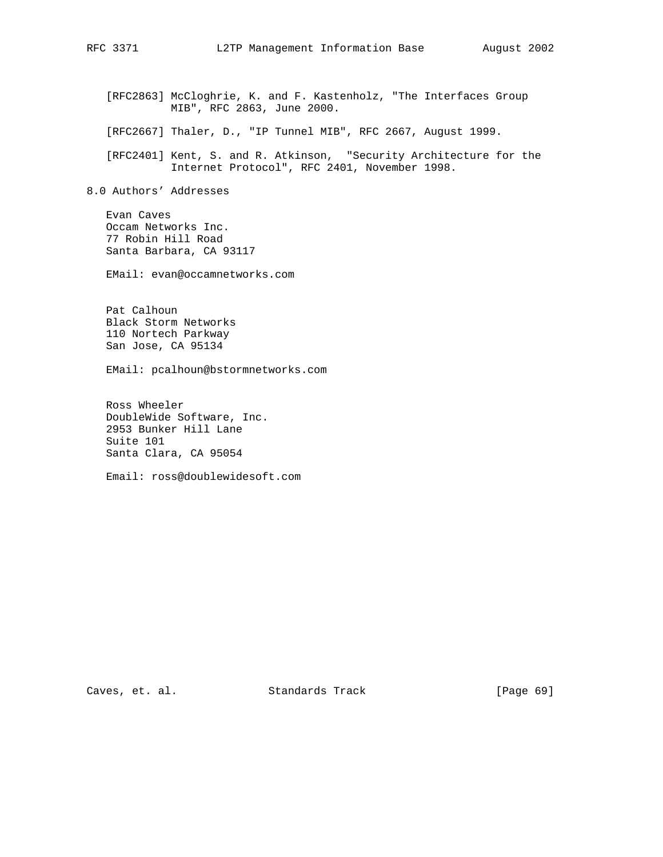[RFC2863] McCloghrie, K. and F. Kastenholz, "The Interfaces Group MIB", RFC 2863, June 2000.

[RFC2667] Thaler, D., "IP Tunnel MIB", RFC 2667, August 1999.

 [RFC2401] Kent, S. and R. Atkinson, "Security Architecture for the Internet Protocol", RFC 2401, November 1998.

8.0 Authors' Addresses

 Evan Caves Occam Networks Inc. 77 Robin Hill Road Santa Barbara, CA 93117

EMail: evan@occamnetworks.com

 Pat Calhoun Black Storm Networks 110 Nortech Parkway San Jose, CA 95134

EMail: pcalhoun@bstormnetworks.com

 Ross Wheeler DoubleWide Software, Inc. 2953 Bunker Hill Lane Suite 101 Santa Clara, CA 95054

Email: ross@doublewidesoft.com

Caves, et. al. Standards Track [Page 69]